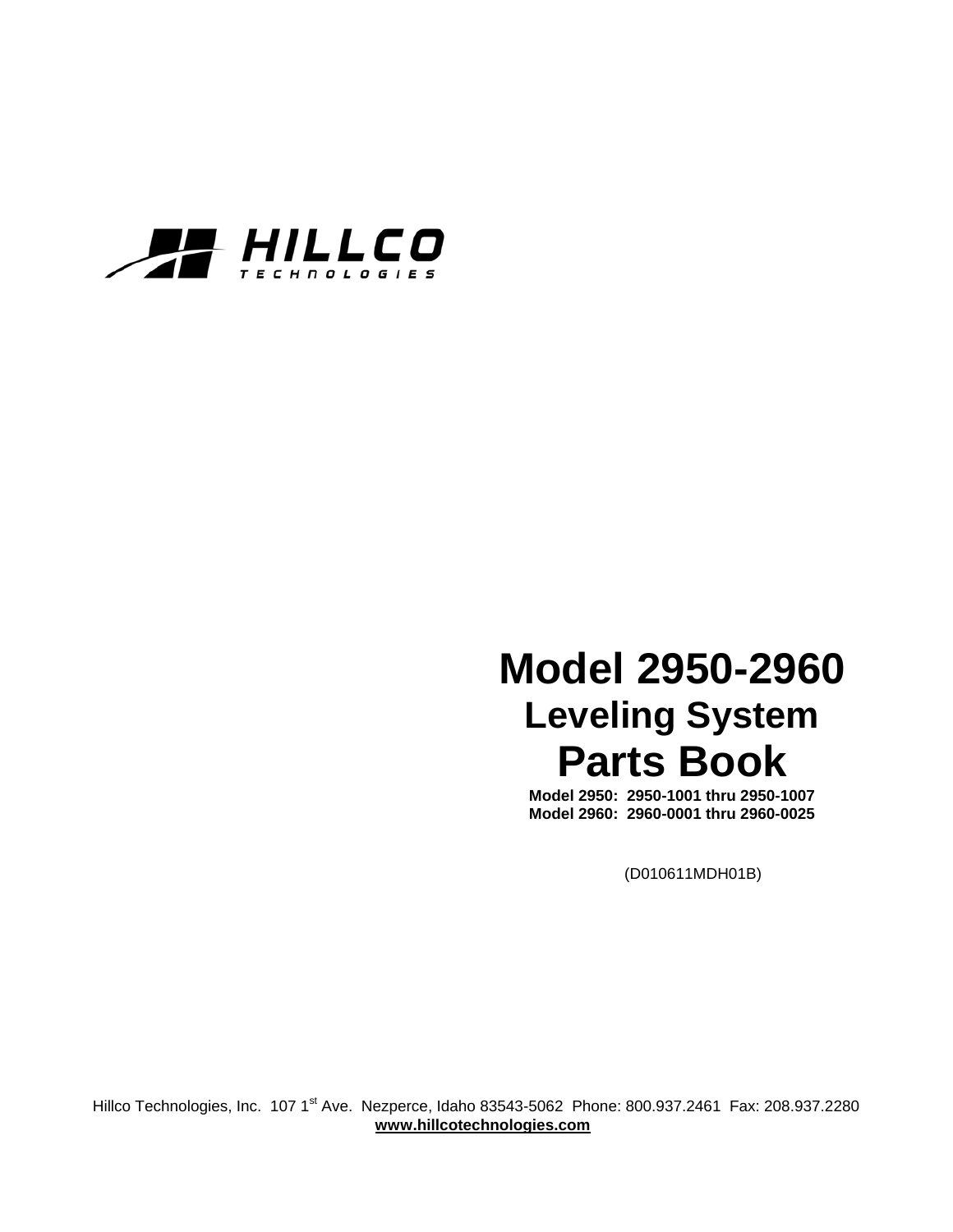

# **Model 2950-2960 Leveling System Parts Book**

**Model 2950: 2950-1001 thru 2950-1007 Model 2960: 2960-0001 thru 2960-0025** 

(D010611MDH01B)

Hillco Technologies, Inc. 107 1<sup>st</sup> Ave. Nezperce, Idaho 83543-5062 Phone: 800.937.2461 Fax: 208.937.2280  **www.hillcotechnologies.com**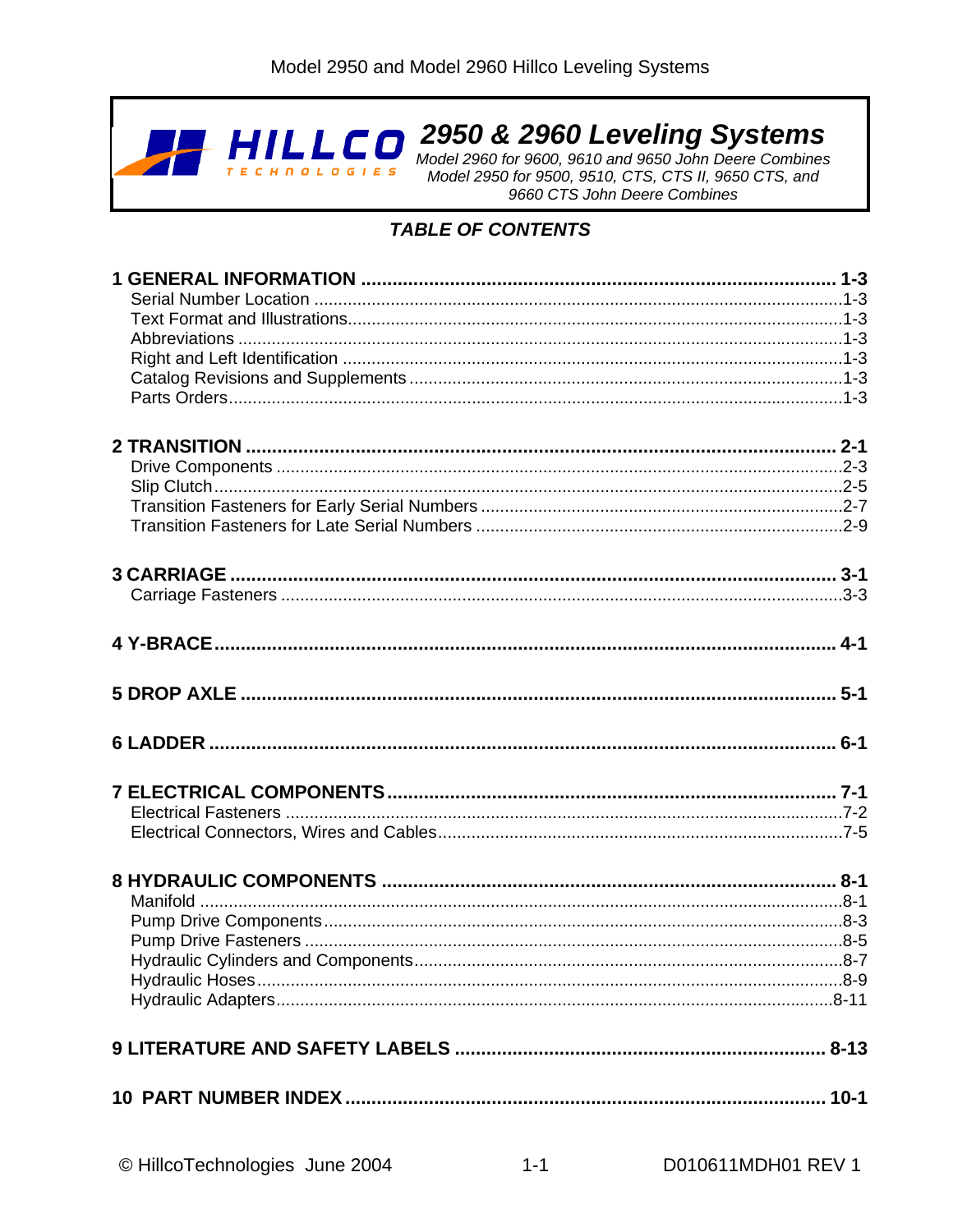

2950 & 2960 Leveling Systems

Model 2960 for 9600, 9610 and 9650 John Deere Combines<br>Model 2950 for 9500, 9510, CTS, CTS II, 9650 CTS, and 9660 CTS John Deere Combines

#### **TABLE OF CONTENTS**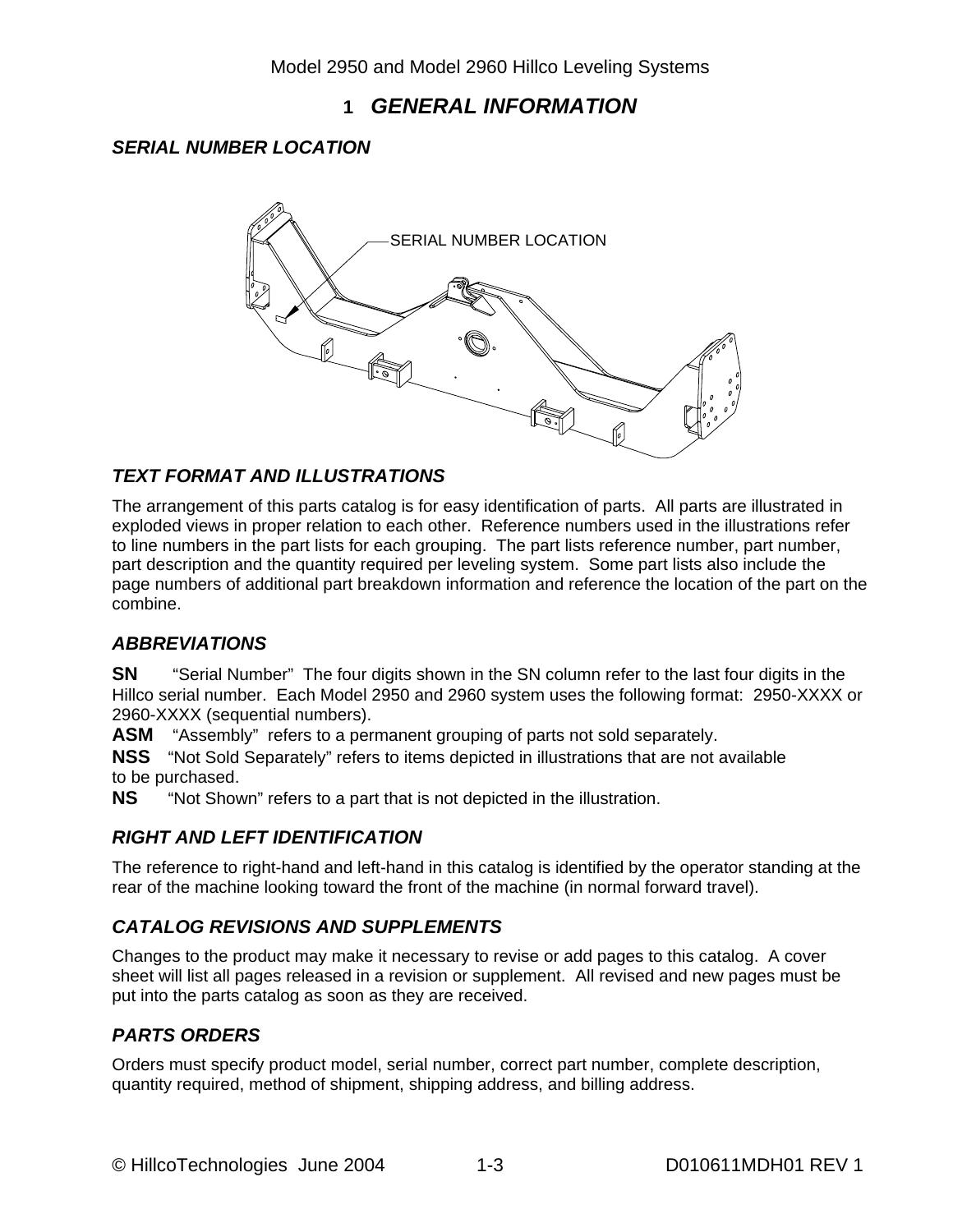#### **1** *GENERAL INFORMATION*

#### *SERIAL NUMBER LOCATION*



#### *TEXT FORMAT AND ILLUSTRATIONS*

The arrangement of this parts catalog is for easy identification of parts. All parts are illustrated in exploded views in proper relation to each other. Reference numbers used in the illustrations refer to line numbers in the part lists for each grouping. The part lists reference number, part number, part description and the quantity required per leveling system. Some part lists also include the page numbers of additional part breakdown information and reference the location of the part on the combine.

#### *ABBREVIATIONS*

**SN** "Serial Number" The four digits shown in the SN column refer to the last four digits in the Hillco serial number. Each Model 2950 and 2960 system uses the following format: 2950-XXXX or 2960-XXXX (sequential numbers).

**ASM** "Assembly" refers to a permanent grouping of parts not sold separately.

**NSS** "Not Sold Separately" refers to items depicted in illustrations that are not available to be purchased.

**NS** "Not Shown" refers to a part that is not depicted in the illustration.

#### *RIGHT AND LEFT IDENTIFICATION*

The reference to right-hand and left-hand in this catalog is identified by the operator standing at the rear of the machine looking toward the front of the machine (in normal forward travel).

#### *CATALOG REVISIONS AND SUPPLEMENTS*

Changes to the product may make it necessary to revise or add pages to this catalog. A cover sheet will list all pages released in a revision or supplement. All revised and new pages must be put into the parts catalog as soon as they are received.

#### *PARTS ORDERS*

Orders must specify product model, serial number, correct part number, complete description, quantity required, method of shipment, shipping address, and billing address.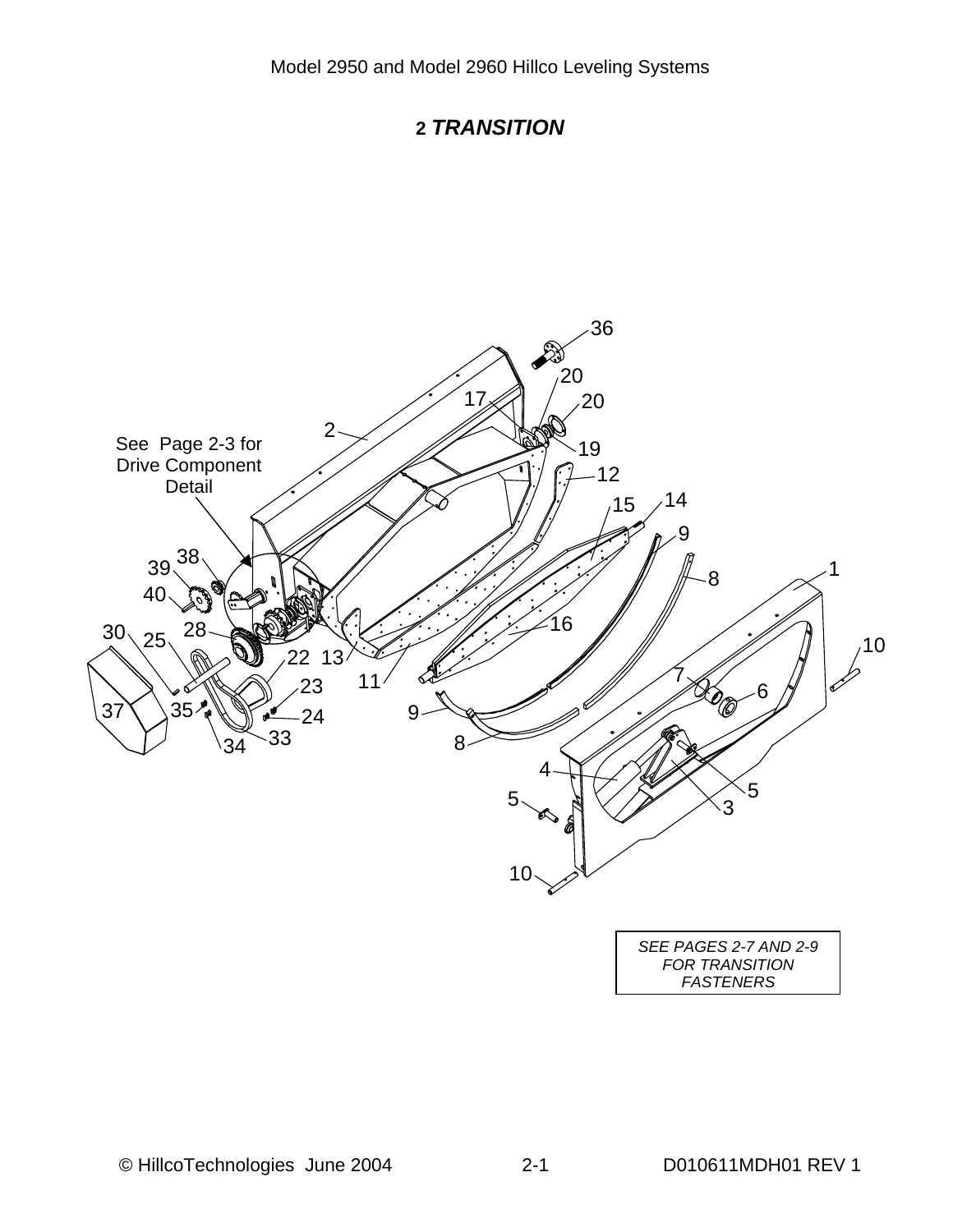

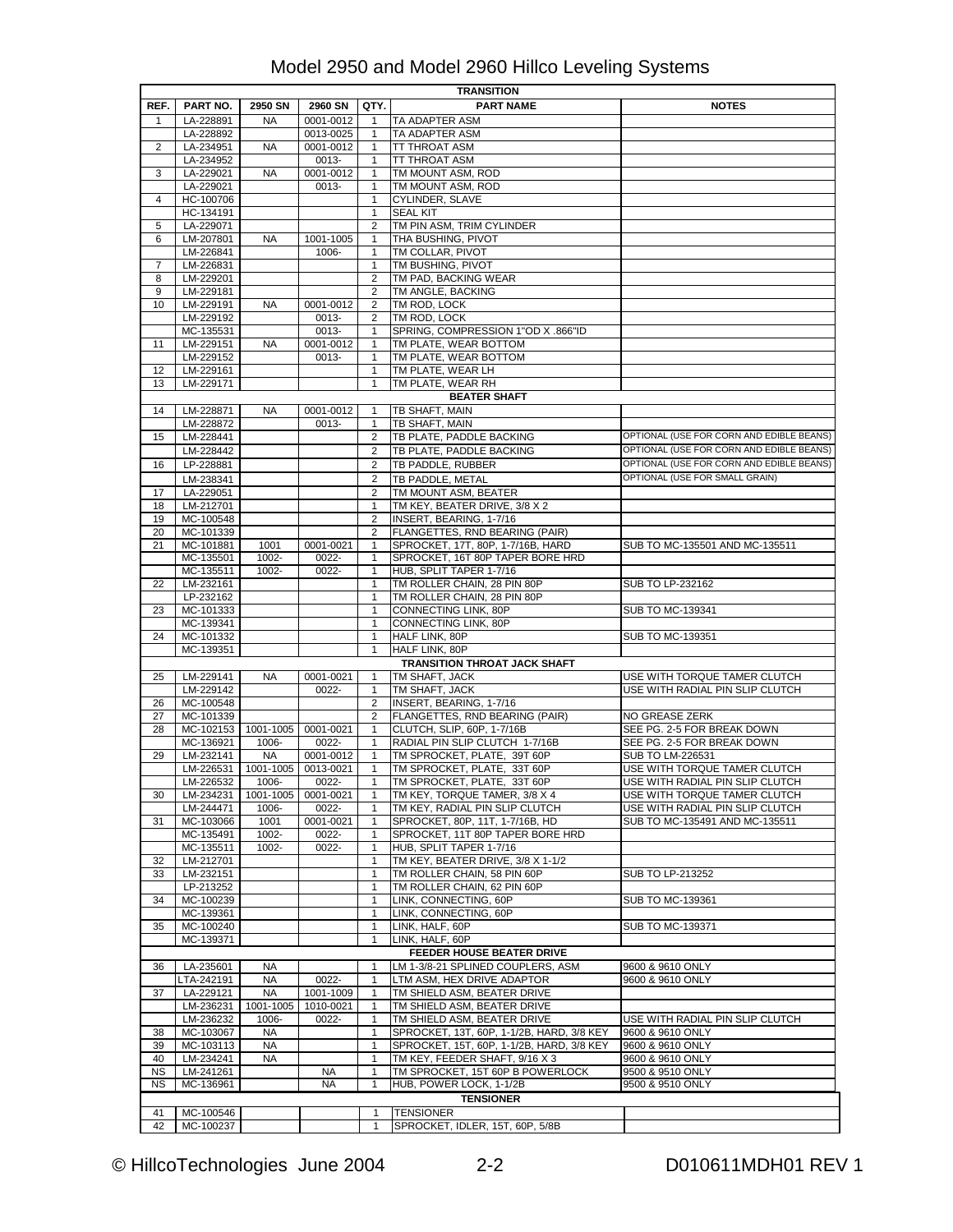|           | <b>TRANSITION</b>                 |                 |                    |                              |                                                                                        |                                                                   |  |  |  |  |
|-----------|-----------------------------------|-----------------|--------------------|------------------------------|----------------------------------------------------------------------------------------|-------------------------------------------------------------------|--|--|--|--|
| REF.      | <b>PART NO.</b>                   | 2950 SN         | 2960 SN            | QTY.                         | <b>PART NAME</b>                                                                       | <b>NOTES</b>                                                      |  |  |  |  |
| 1         | LA-228891                         | <b>NA</b>       | 0001-0012          | 1                            | TA ADAPTER ASM                                                                         |                                                                   |  |  |  |  |
|           | LA-228892                         |                 | 0013-0025          | $\mathbf{1}$                 | TA ADAPTER ASM                                                                         |                                                                   |  |  |  |  |
| 2         | LA-234951                         | <b>NA</b>       | 0001-0012          | $\mathbf{1}$                 | TT THROAT ASM                                                                          |                                                                   |  |  |  |  |
|           | LA-234952                         |                 | 0013-              | 1                            | TT THROAT ASM                                                                          |                                                                   |  |  |  |  |
| 3         | LA-229021                         | NA              | 0001-0012          | 1                            | TM MOUNT ASM, ROD                                                                      |                                                                   |  |  |  |  |
|           | LA-229021                         |                 | 0013-              | 1                            | TM MOUNT ASM, ROD                                                                      |                                                                   |  |  |  |  |
| 4         | HC-100706<br>HC-134191            |                 |                    | $\mathbf{1}$<br>$\mathbf{1}$ | CYLINDER, SLAVE<br><b>SEAL KIT</b>                                                     |                                                                   |  |  |  |  |
| 5         | LA-229071                         |                 |                    | 2                            | TM PIN ASM, TRIM CYLINDER                                                              |                                                                   |  |  |  |  |
| 6         | LM-207801                         | NA              | 1001-1005          | $\mathbf{1}$                 | THA BUSHING, PIVOT                                                                     |                                                                   |  |  |  |  |
|           | LM-226841                         |                 | 1006-              | 1                            | TM COLLAR, PIVOT                                                                       |                                                                   |  |  |  |  |
| 7         | LM-226831                         |                 |                    | $\mathbf{1}$                 | TM BUSHING, PIVOT                                                                      |                                                                   |  |  |  |  |
| 8         | LM-229201                         |                 |                    | 2                            | TM PAD, BACKING WEAR                                                                   |                                                                   |  |  |  |  |
| 9         | LM-229181                         |                 |                    | 2                            | TM ANGLE, BACKING                                                                      |                                                                   |  |  |  |  |
| 10        | LM-229191                         | <b>NA</b>       | 0001-0012          | $\overline{2}$               | TM ROD, LOCK                                                                           |                                                                   |  |  |  |  |
|           | LM-229192                         |                 | 0013-              | 2                            | TM ROD, LOCK                                                                           |                                                                   |  |  |  |  |
|           | MC-135531                         |                 | 0013-              | 1                            | SPRING, COMPRESSION 1"OD X .866"ID                                                     |                                                                   |  |  |  |  |
| 11        | LM-229151                         | <b>NA</b>       | 0001-0012          | 1                            | TM PLATE, WEAR BOTTOM                                                                  |                                                                   |  |  |  |  |
| 12        | LM-229152<br>LM-229161            |                 | 0013-              | $\mathbf{1}$<br>$\mathbf{1}$ | TM PLATE, WEAR BOTTOM<br>TM PLATE, WEAR LH                                             |                                                                   |  |  |  |  |
| 13        | LM-229171                         |                 |                    | 1                            | TM PLATE, WEAR RH                                                                      |                                                                   |  |  |  |  |
|           |                                   |                 |                    |                              | <b>BEATER SHAFT</b>                                                                    |                                                                   |  |  |  |  |
| 14        | LM-228871                         | NA              | 0001-0012          | 1                            | TB SHAFT, MAIN                                                                         |                                                                   |  |  |  |  |
|           | LM-228872                         |                 | 0013-              | $\mathbf{1}$                 | TB SHAFT, MAIN                                                                         |                                                                   |  |  |  |  |
| 15        | LM-228441                         |                 |                    | 2                            | TB PLATE, PADDLE BACKING                                                               | OPTIONAL (USE FOR CORN AND EDIBLE BEANS)                          |  |  |  |  |
|           | LM-228442                         |                 |                    | $\overline{2}$               | TB PLATE. PADDLE BACKING                                                               | OPTIONAL (USE FOR CORN AND EDIBLE BEANS)                          |  |  |  |  |
| 16        | LP-228881                         |                 |                    | $\overline{2}$               | TB PADDLE, RUBBER                                                                      | OPTIONAL (USE FOR CORN AND EDIBLE BEANS)                          |  |  |  |  |
|           | LM-238341                         |                 |                    | $\overline{2}$               | TB PADDLE, METAL                                                                       | OPTIONAL (USE FOR SMALL GRAIN)                                    |  |  |  |  |
| 17        | LA-229051                         |                 |                    | $\overline{2}$               | TM MOUNT ASM. BEATER                                                                   |                                                                   |  |  |  |  |
| 18        | LM-212701                         |                 |                    | 1                            | TM KEY, BEATER DRIVE, 3/8 X 2                                                          |                                                                   |  |  |  |  |
| 19        | MC-100548                         |                 |                    | $\overline{2}$               | INSERT, BEARING, 1-7/16                                                                |                                                                   |  |  |  |  |
| 20        | MC-101339                         |                 |                    | 2                            | FLANGETTES, RND BEARING (PAIR)                                                         |                                                                   |  |  |  |  |
| 21        | MC-101881                         | 1001            | 0001-0021          | $\mathbf{1}$                 | SPROCKET, 17T, 80P, 1-7/16B, HARD                                                      | SUB TO MC-135501 AND MC-135511                                    |  |  |  |  |
|           | MC-135501                         | 1002-           | 0022-              | $\mathbf{1}$                 | SPROCKET, 16T 80P TAPER BORE HRD                                                       |                                                                   |  |  |  |  |
|           | MC-135511                         | 1002-           | 0022-              | 1                            | HUB, SPLIT TAPER 1-7/16                                                                |                                                                   |  |  |  |  |
| 22        | LM-232161                         |                 |                    | $\mathbf{1}$                 | TM ROLLER CHAIN, 28 PIN 80P                                                            | SUB TO LP-232162                                                  |  |  |  |  |
|           | LP-232162                         |                 |                    | 1                            | TM ROLLER CHAIN, 28 PIN 80P                                                            |                                                                   |  |  |  |  |
| 23        | MC-101333<br>MC-139341            |                 |                    | $\mathbf{1}$<br>1            | CONNECTING LINK, 80P<br>CONNECTING LINK, 80P                                           | SUB TO MC-139341                                                  |  |  |  |  |
| 24        | MC-101332                         |                 |                    | $\mathbf{1}$                 | HALF LINK, 80P                                                                         | SUB TO MC-139351                                                  |  |  |  |  |
|           | MC-139351                         |                 |                    | $\mathbf{1}$                 | HALF LINK, 80P                                                                         |                                                                   |  |  |  |  |
|           |                                   |                 |                    |                              | <b>TRANSITION THROAT JACK SHAFT</b>                                                    |                                                                   |  |  |  |  |
| 25        | LM-229141                         | NA              | 0001-0021          | 1                            | TM SHAFT, JACK                                                                         | USE WITH TORQUE TAMER CLUTCH                                      |  |  |  |  |
|           | LM-229142                         |                 | 0022-              | $\mathbf{1}$                 | TM SHAFT, JACK                                                                         | USE WITH RADIAL PIN SLIP CLUTCH                                   |  |  |  |  |
| 26        | MC-100548                         |                 |                    | $\overline{2}$               | INSERT, BEARING, 1-7/16                                                                |                                                                   |  |  |  |  |
| 27        | MC-101339                         |                 |                    | 2                            | FLANGETTES, RND BEARING (PAIR)                                                         | NO GREASE ZERK                                                    |  |  |  |  |
| 28        | MC-102153   1001-1005   0001-0021 |                 |                    | $\mathbf{1}$                 | CLUTCH, SLIP, 60P, 1-7/16B                                                             | SEE PG. 2-5 FOR BREAK DOWN                                        |  |  |  |  |
|           | MC-136921                         | 1006-           | 0022-              | 1                            | RADIAL PIN SLIP CLUTCH 1-7/16B                                                         | SEE PG. 2-5 FOR BREAK DOWN                                        |  |  |  |  |
| 29        | LM-232141                         | <b>NA</b>       | 0001-0012          | 1                            | TM SPROCKET, PLATE, 39T 60P                                                            | SUB TO LM-226531                                                  |  |  |  |  |
|           | LM-226531                         | 1001-1005       | 0013-0021          | $\mathbf{1}$                 | TM SPROCKET, PLATE, 33T 60P                                                            | USE WITH TORQUE TAMER CLUTCH                                      |  |  |  |  |
|           | LM-226532                         | 1006-           | 0022-              | $\mathbf{1}$                 | TM SPROCKET, PLATE, 33T 60P                                                            | USE WITH RADIAL PIN SLIP CLUTCH                                   |  |  |  |  |
| 30        | LM-234231                         | 1001-1005       | 0001-0021          | $\mathbf{1}$                 | TM KEY, TORQUE TAMER, 3/8 X 4                                                          | USE WITH TORQUE TAMER CLUTCH                                      |  |  |  |  |
| 31        | LM-244471<br>MC-103066            | 1006-<br>1001   | 0022-<br>0001-0021 | 1<br>1                       | TM KEY, RADIAL PIN SLIP CLUTCH<br>SPROCKET, 80P, 11T, 1-7/16B, HD                      | USE WITH RADIAL PIN SLIP CLUTCH<br>SUB TO MC-135491 AND MC-135511 |  |  |  |  |
|           | MC-135491                         | 1002-           | 0022-              | $\mathbf{1}$                 | SPROCKET, 11T 80P TAPER BORE HRD                                                       |                                                                   |  |  |  |  |
|           | MC-135511                         | 1002-           | 0022-              | $\mathbf{1}$                 | HUB, SPLIT TAPER 1-7/16                                                                |                                                                   |  |  |  |  |
| 32        | LM-212701                         |                 |                    | 1                            | TM KEY, BEATER DRIVE, 3/8 X 1-1/2                                                      |                                                                   |  |  |  |  |
| 33        | LM-232151                         |                 |                    | $\mathbf{1}$                 | TM ROLLER CHAIN, 58 PIN 60P                                                            | SUB TO LP-213252                                                  |  |  |  |  |
|           | LP-213252                         |                 |                    | 1                            | TM ROLLER CHAIN, 62 PIN 60P                                                            |                                                                   |  |  |  |  |
| 34        | MC-100239                         |                 |                    | $\mathbf{1}$                 | LINK, CONNECTING, 60P                                                                  | SUB TO MC-139361                                                  |  |  |  |  |
|           | MC-139361                         |                 |                    | $\mathbf{1}$                 | LINK, CONNECTING, 60P                                                                  |                                                                   |  |  |  |  |
| 35        | MC-100240                         |                 |                    | $\mathbf{1}$                 | LINK, HALF, 60P                                                                        | SUB TO MC-139371                                                  |  |  |  |  |
|           | MC-139371                         |                 |                    | $\mathbf{1}$                 | LINK, HALF, 60P                                                                        |                                                                   |  |  |  |  |
|           |                                   |                 |                    |                              | FEEDER HOUSE BEATER DRIVE                                                              |                                                                   |  |  |  |  |
| 36        | LA-235601                         | NA              |                    | 1                            | LM 1-3/8-21 SPLINED COUPLERS, ASM                                                      | 9600 & 9610 ONLY                                                  |  |  |  |  |
|           | LTA-242191                        | NA              | 0022-              | 1                            | LTM ASM, HEX DRIVE ADAPTOR                                                             | 9600 & 9610 ONLY                                                  |  |  |  |  |
| 37        | LA-229121                         | <b>NA</b>       | 1001-1009          | $\mathbf{1}$                 | TM SHIELD ASM, BEATER DRIVE                                                            |                                                                   |  |  |  |  |
|           | LM-236231                         | 1001-1005       | 1010-0021          | $\mathbf{1}$                 | TM SHIELD ASM, BEATER DRIVE                                                            |                                                                   |  |  |  |  |
|           | LM-236232<br>MC-103067            | 1006-           | 0022-              | 1                            | TM SHIELD ASM, BEATER DRIVE                                                            | USE WITH RADIAL PIN SLIP CLUTCH<br>9600 & 9610 ONLY               |  |  |  |  |
| 38<br>39  | MC-103113                         | NA<br><b>NA</b> |                    | $\mathbf{1}$<br>1            | SPROCKET, 13T, 60P, 1-1/2B, HARD, 3/8 KEY<br>SPROCKET, 15T, 60P, 1-1/2B, HARD, 3/8 KEY | 9600 & 9610 ONLY                                                  |  |  |  |  |
| 40        | LM-234241                         | NA              |                    | $\mathbf{1}$                 | TM KEY, FEEDER SHAFT, 9/16 X 3                                                         | 9600 & 9610 ONLY                                                  |  |  |  |  |
| <b>NS</b> | LM-241261                         |                 | ΝA                 | $\mathbf{1}$                 | TM SPROCKET, 15T 60P B POWERLOCK                                                       | 9500 & 9510 ONLY                                                  |  |  |  |  |
| <b>NS</b> | MC-136961                         |                 | <b>NA</b>          | $\mathbf{1}$                 | HUB, POWER LOCK, 1-1/2B                                                                | 9500 & 9510 ONLY                                                  |  |  |  |  |
|           |                                   |                 |                    |                              | <b>TENSIONER</b>                                                                       |                                                                   |  |  |  |  |
| 41        | MC-100546                         |                 |                    | $\mathbf{1}$                 | <b>TENSIONER</b>                                                                       |                                                                   |  |  |  |  |
| 42        | MC-100237                         |                 |                    | $\mathbf{1}$                 | SPROCKET, IDLER, 15T, 60P, 5/8B                                                        |                                                                   |  |  |  |  |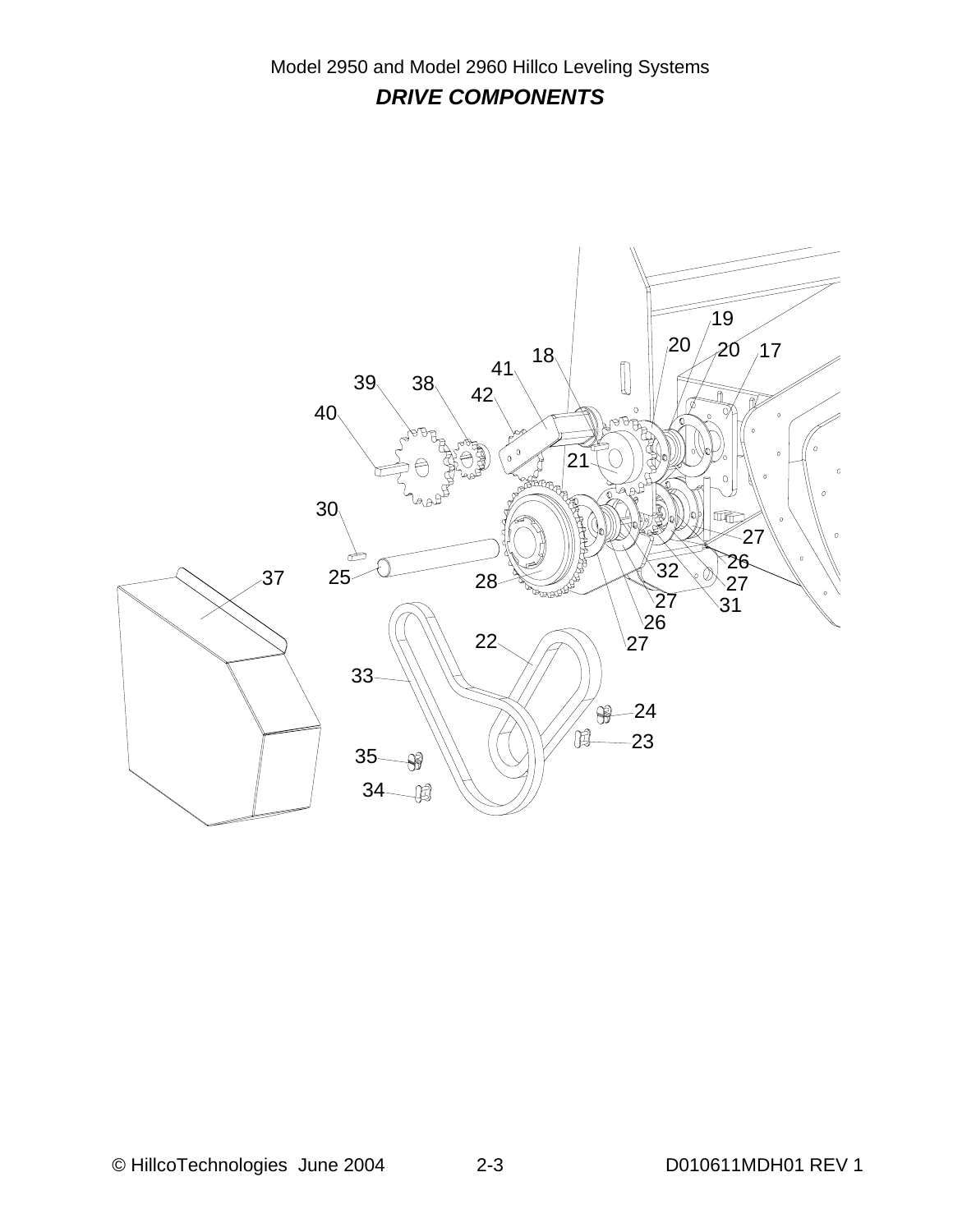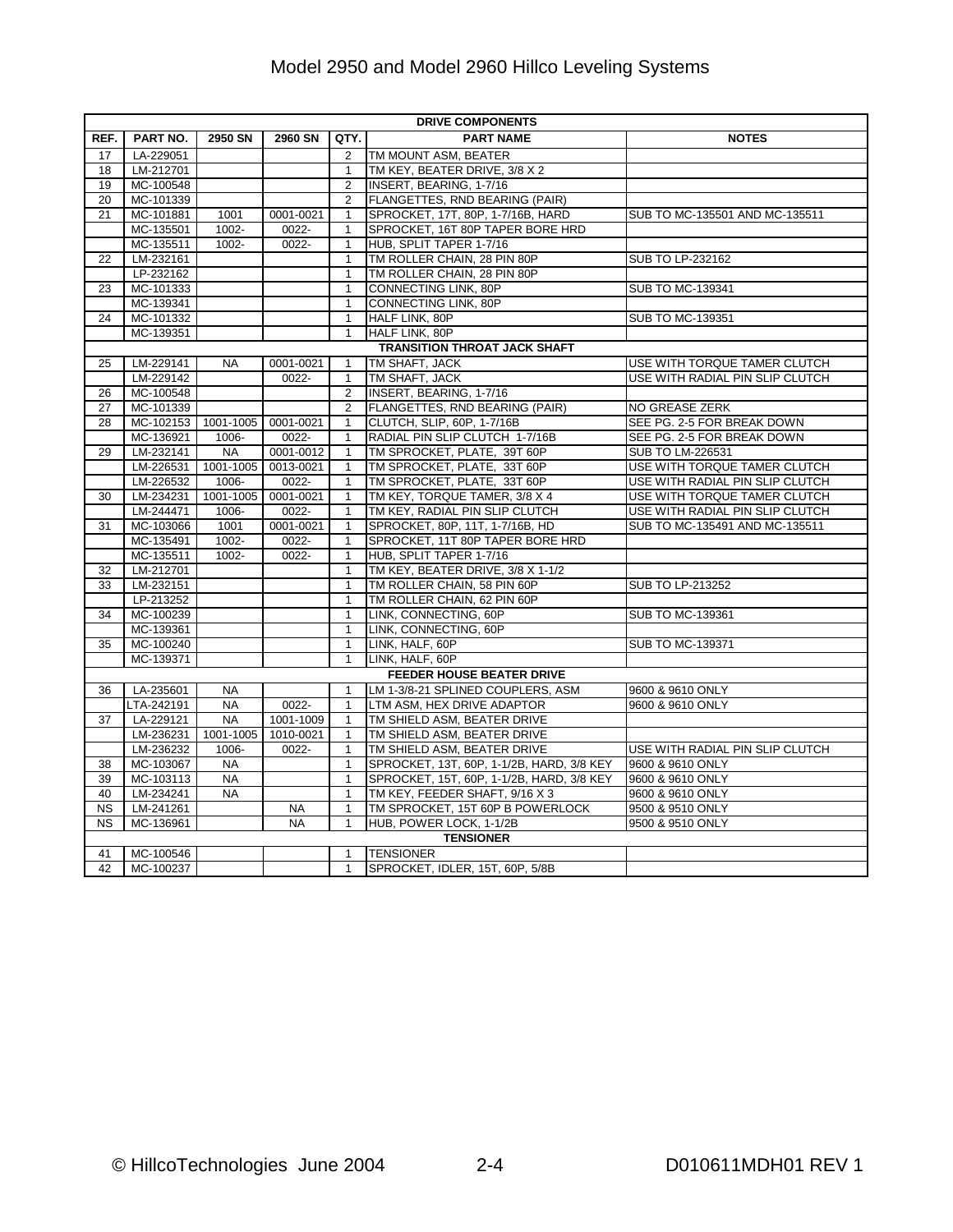| REF.<br>PART NO.<br>2950 SN<br>QTY.<br><b>PART NAME</b><br><b>NOTES</b><br>2960 SN<br>17<br>LA-229051<br>$\overline{2}$<br>TM MOUNT ASM, BEATER<br>TM KEY, BEATER DRIVE, 3/8 X 2<br>18<br>LM-212701<br>$\mathbf{1}$<br>MC-100548<br>INSERT, BEARING, 1-7/16<br>19<br>2 |  |
|------------------------------------------------------------------------------------------------------------------------------------------------------------------------------------------------------------------------------------------------------------------------|--|
|                                                                                                                                                                                                                                                                        |  |
|                                                                                                                                                                                                                                                                        |  |
|                                                                                                                                                                                                                                                                        |  |
|                                                                                                                                                                                                                                                                        |  |
| FLANGETTES, RND BEARING (PAIR)<br>20<br>MC-101339<br>2                                                                                                                                                                                                                 |  |
| 21<br>MC-101881<br>1001<br>0001-0021<br>SPROCKET, 17T, 80P, 1-7/16B, HARD<br>SUB TO MC-135501 AND MC-135511<br>$\mathbf{1}$                                                                                                                                            |  |
| MC-135501<br>1002-<br>0022-<br>SPROCKET, 16T 80P TAPER BORE HRD<br>1                                                                                                                                                                                                   |  |
| MC-135511<br>1002-<br>HUB, SPLIT TAPER 1-7/16<br>0022-<br>1                                                                                                                                                                                                            |  |
| 22<br>LM-232161<br>$\mathbf{1}$<br>TM ROLLER CHAIN, 28 PIN 80P<br>SUB TO LP-232162                                                                                                                                                                                     |  |
| LP-232162<br>TM ROLLER CHAIN, 28 PIN 80P<br>$\mathbf{1}$                                                                                                                                                                                                               |  |
| 23<br>MC-101333<br>CONNECTING LINK, 80P<br>SUB TO MC-139341<br>$\mathbf{1}$                                                                                                                                                                                            |  |
| MC-139341<br>CONNECTING LINK, 80P<br>$\mathbf{1}$                                                                                                                                                                                                                      |  |
| MC-101332<br>HALF LINK, 80P<br>SUB TO MC-139351<br>24<br>$\mathbf{1}$                                                                                                                                                                                                  |  |
| MC-139351<br>$\mathbf{1}$<br><b>HALF LINK, 80P</b>                                                                                                                                                                                                                     |  |
| <b>TRANSITION THROAT JACK SHAFT</b>                                                                                                                                                                                                                                    |  |
| LM-229141<br><b>NA</b><br>0001-0021<br>TM SHAFT, JACK<br>USE WITH TORQUE TAMER CLUTCH<br>25<br>1                                                                                                                                                                       |  |
| LM-229142<br>0022-<br>TM SHAFT, JACK<br>USE WITH RADIAL PIN SLIP CLUTCH<br>$\mathbf{1}$                                                                                                                                                                                |  |
| INSERT, BEARING, 1-7/16<br>26<br>MC-100548<br>$\overline{2}$                                                                                                                                                                                                           |  |
| NO GREASE ZERK<br>27<br>MC-101339<br>2<br>FLANGETTES, RND BEARING (PAIR)                                                                                                                                                                                               |  |
| 28<br>MC-102153<br>1001-1005<br>CLUTCH, SLIP, 60P, 1-7/16B<br>SEE PG. 2-5 FOR BREAK DOWN<br>0001-0021<br>$\mathbf{1}$                                                                                                                                                  |  |
| MC-136921<br>1006-<br>0022-<br>$\mathbf{1}$<br>RADIAL PIN SLIP CLUTCH 1-7/16B<br>SEE PG. 2-5 FOR BREAK DOWN                                                                                                                                                            |  |
| 29<br>LM-232141<br><b>NA</b><br>0001-0012<br>TM SPROCKET, PLATE, 39T 60P<br>SUB TO LM-226531<br>$\mathbf{1}$                                                                                                                                                           |  |
| TM SPROCKET, PLATE, 33T 60P<br>USE WITH TORQUE TAMER CLUTCH<br>LM-226531<br>1001-1005 0013-0021<br>$\mathbf{1}$                                                                                                                                                        |  |
| $0022 -$<br>TM SPROCKET, PLATE, 33T 60P<br>USE WITH RADIAL PIN SLIP CLUTCH<br>LM-226532<br>1006-<br>1                                                                                                                                                                  |  |
| LM-234231<br>1001-1005<br>0001-0021<br>TM KEY, TORQUE TAMER, 3/8 X 4<br>USE WITH TORQUE TAMER CLUTCH<br>30<br>$\mathbf{1}$                                                                                                                                             |  |
| LM-244471<br>1006-<br>0022-<br>TM KEY, RADIAL PIN SLIP CLUTCH<br>USE WITH RADIAL PIN SLIP CLUTCH<br>$\mathbf{1}$                                                                                                                                                       |  |
| SUB TO MC-135491 AND MC-135511<br>MC-103066<br>1001<br>0001-0021<br>SPROCKET, 80P, 11T, 1-7/16B, HD<br>31<br>$\mathbf{1}$                                                                                                                                              |  |
| MC-135491<br>1002-<br>0022-<br>SPROCKET, 11T 80P TAPER BORE HRD<br>1                                                                                                                                                                                                   |  |
| MC-135511<br>1002-<br>0022-<br>HUB, SPLIT TAPER 1-7/16<br>$\mathbf{1}$                                                                                                                                                                                                 |  |
| LM-212701<br>TM KEY, BEATER DRIVE, 3/8 X 1-1/2<br>32<br>$\mathbf{1}$                                                                                                                                                                                                   |  |
| 33<br>LM-232151<br>$\mathbf{1}$<br>TM ROLLER CHAIN, 58 PIN 60P<br>SUB TO LP-213252                                                                                                                                                                                     |  |
| LP-213252<br>$\mathbf{1}$<br>TM ROLLER CHAIN, 62 PIN 60P                                                                                                                                                                                                               |  |
| MC-100239<br>LINK, CONNECTING, 60P<br><b>SUB TO MC-139361</b><br>34<br>$\mathbf{1}$                                                                                                                                                                                    |  |
| LINK, CONNECTING, 60P<br>MC-139361<br>$\mathbf{1}$                                                                                                                                                                                                                     |  |
| 35<br>MC-100240<br>LINK, HALF, 60P<br>SUB TO MC-139371<br>$\mathbf{1}$                                                                                                                                                                                                 |  |
| MC-139371<br>LINK, HALF, 60P<br>$\mathbf{1}$                                                                                                                                                                                                                           |  |
| FEEDER HOUSE BEATER DRIVE                                                                                                                                                                                                                                              |  |
| LA-235601<br>LM 1-3/8-21 SPLINED COUPLERS, ASM<br>9600 & 9610 ONLY<br>36<br><b>NA</b><br>$\mathbf{1}$                                                                                                                                                                  |  |
| LTA-242191<br><b>NA</b><br>0022-<br>LTM ASM, HEX DRIVE ADAPTOR<br>9600 & 9610 ONLY<br>$\mathbf{1}$                                                                                                                                                                     |  |
| LA-229121<br><b>NA</b><br>1001-1009<br>TM SHIELD ASM, BEATER DRIVE<br>37<br>$\mathbf{1}$                                                                                                                                                                               |  |
| LM-236231<br>1001-1005<br>1010-0021<br>TM SHIELD ASM, BEATER DRIVE<br>$\mathbf{1}$                                                                                                                                                                                     |  |
| LM-236232<br>1006-<br>0022-<br>$\mathbf{1}$<br>TM SHIELD ASM, BEATER DRIVE<br>USE WITH RADIAL PIN SLIP CLUTCH                                                                                                                                                          |  |
| MC-103067<br><b>NA</b><br>$\mathbf{1}$<br>SPROCKET, 13T, 60P, 1-1/2B, HARD, 3/8 KEY<br>9600 & 9610 ONLY<br>38                                                                                                                                                          |  |
| MC-103113<br><b>NA</b><br>SPROCKET, 15T, 60P, 1-1/2B, HARD, 3/8 KEY<br>9600 & 9610 ONLY<br>39<br>$\mathbf{1}$                                                                                                                                                          |  |
| 40<br>LM-234241<br><b>NA</b><br>TM KEY, FEEDER SHAFT, 9/16 X 3<br>9600 & 9610 ONLY<br>$\mathbf{1}$                                                                                                                                                                     |  |
| TM SPROCKET, 15T 60P B POWERLOCK<br>NS.<br>LM-241261<br>9500 & 9510 ONLY<br>NA.<br>$\mathbf{1}$                                                                                                                                                                        |  |
| <b>NS</b><br>MC-136961<br><b>NA</b><br>$\mathbf{1}$<br>HUB, POWER LOCK, 1-1/2B<br>9500 & 9510 ONLY                                                                                                                                                                     |  |
| <b>TENSIONER</b>                                                                                                                                                                                                                                                       |  |
| MC-100546<br><b>TENSIONER</b><br>41<br>1                                                                                                                                                                                                                               |  |
| 42<br>MC-100237<br>SPROCKET, IDLER, 15T, 60P, 5/8B<br>$\mathbf{1}$                                                                                                                                                                                                     |  |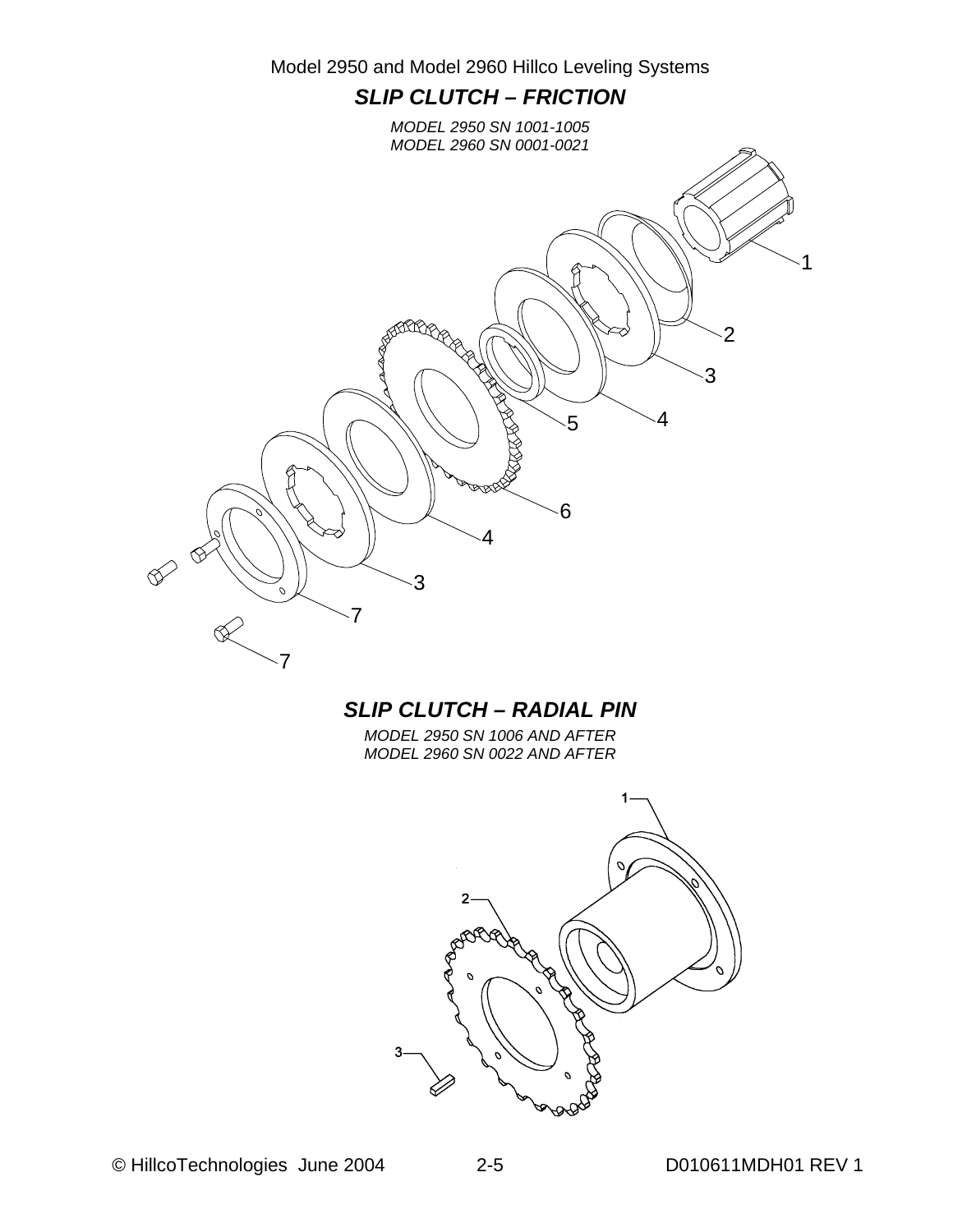

#### *SLIP CLUTCH – RADIAL PIN*

*MODEL 2950 SN 1006 AND AFTER MODEL 2960 SN 0022 AND AFTER*

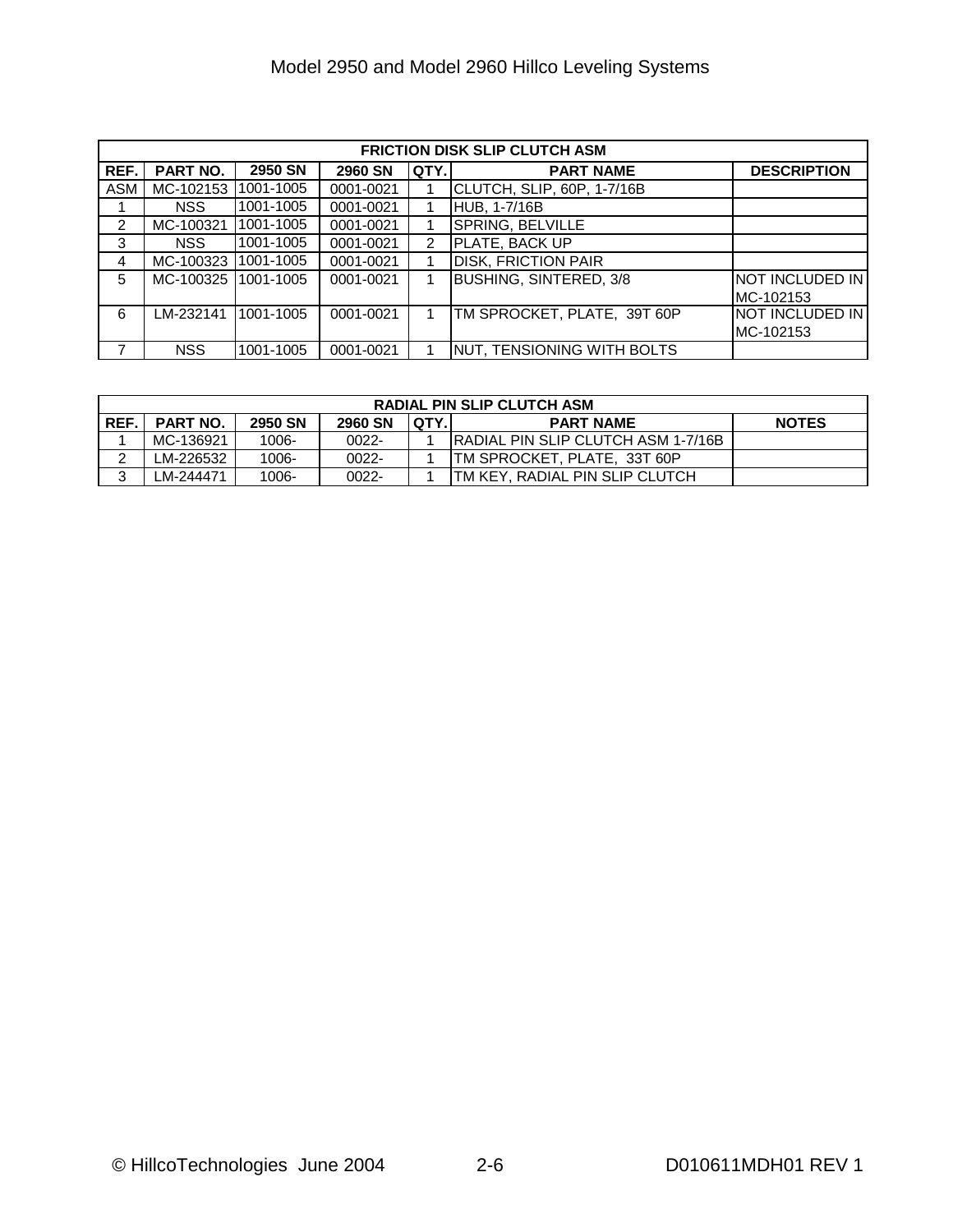|               | <b>FRICTION DISK SLIP CLUTCH ASM</b> |                |                |               |                                    |                        |  |  |  |  |
|---------------|--------------------------------------|----------------|----------------|---------------|------------------------------------|------------------------|--|--|--|--|
| REF.          | PART NO.                             | <b>2950 SN</b> | <b>2960 SN</b> | QTY.          | <b>PART NAME</b>                   | <b>DESCRIPTION</b>     |  |  |  |  |
| <b>ASM</b>    | MC-102153 1001-1005                  |                | 0001-0021      |               | CLUTCH, SLIP, 60P, 1-7/16B         |                        |  |  |  |  |
|               | NSS.                                 | 1001-1005      | 0001-0021      |               | <b>HUB, 1-7/16B</b>                |                        |  |  |  |  |
| $\mathcal{P}$ | MC-100321                            | 1001-1005      | 0001-0021      |               | SPRING, BELVILLE                   |                        |  |  |  |  |
| 3             | NSS.                                 | 1001-1005      | 0001-0021      | $\mathcal{P}$ | <b>PLATE, BACK UP</b>              |                        |  |  |  |  |
| 4             | MC-100323 1001-1005                  |                | 0001-0021      |               | <b>DISK, FRICTION PAIR</b>         |                        |  |  |  |  |
| 5             | MC-100325 1001-1005                  |                | 0001-0021      |               | <b>BUSHING, SINTERED, 3/8</b>      | <b>NOT INCLUDED IN</b> |  |  |  |  |
|               |                                      |                |                |               |                                    | MC-102153              |  |  |  |  |
| 6             | LM-232141                            | 1001-1005      | 0001-0021      |               | TM SPROCKET, PLATE, 39T 60P        | NOT INCLUDED IN        |  |  |  |  |
|               |                                      |                |                |               |                                    | MC-102153              |  |  |  |  |
|               | <b>NSS</b>                           | 1001-1005      | 0001-0021      |               | <b>INUT, TENSIONING WITH BOLTS</b> |                        |  |  |  |  |

| <b>RADIAL PIN SLIP CLUTCH ASM</b> |                                                                                                  |          |          |  |                                            |  |  |  |  |  |
|-----------------------------------|--------------------------------------------------------------------------------------------------|----------|----------|--|--------------------------------------------|--|--|--|--|--|
| REF.I                             | <b>IQTY.</b><br>2950 SN<br><b>2960 SN</b><br><b>PART NO.</b><br><b>NOTES</b><br><b>PART NAME</b> |          |          |  |                                            |  |  |  |  |  |
|                                   | MC-136921                                                                                        | 1006-    | $0022 -$ |  | <b>IRADIAL PIN SLIP CLUTCH ASM 1-7/16B</b> |  |  |  |  |  |
|                                   | LM-226532                                                                                        | $1006 -$ | 0022-    |  | TM SPROCKET. PLATE. 33T 60P                |  |  |  |  |  |
| ົ                                 | M-244471_                                                                                        | 1006-    | 0022-    |  | TM KEY, RADIAL PIN SLIP CLUTCH             |  |  |  |  |  |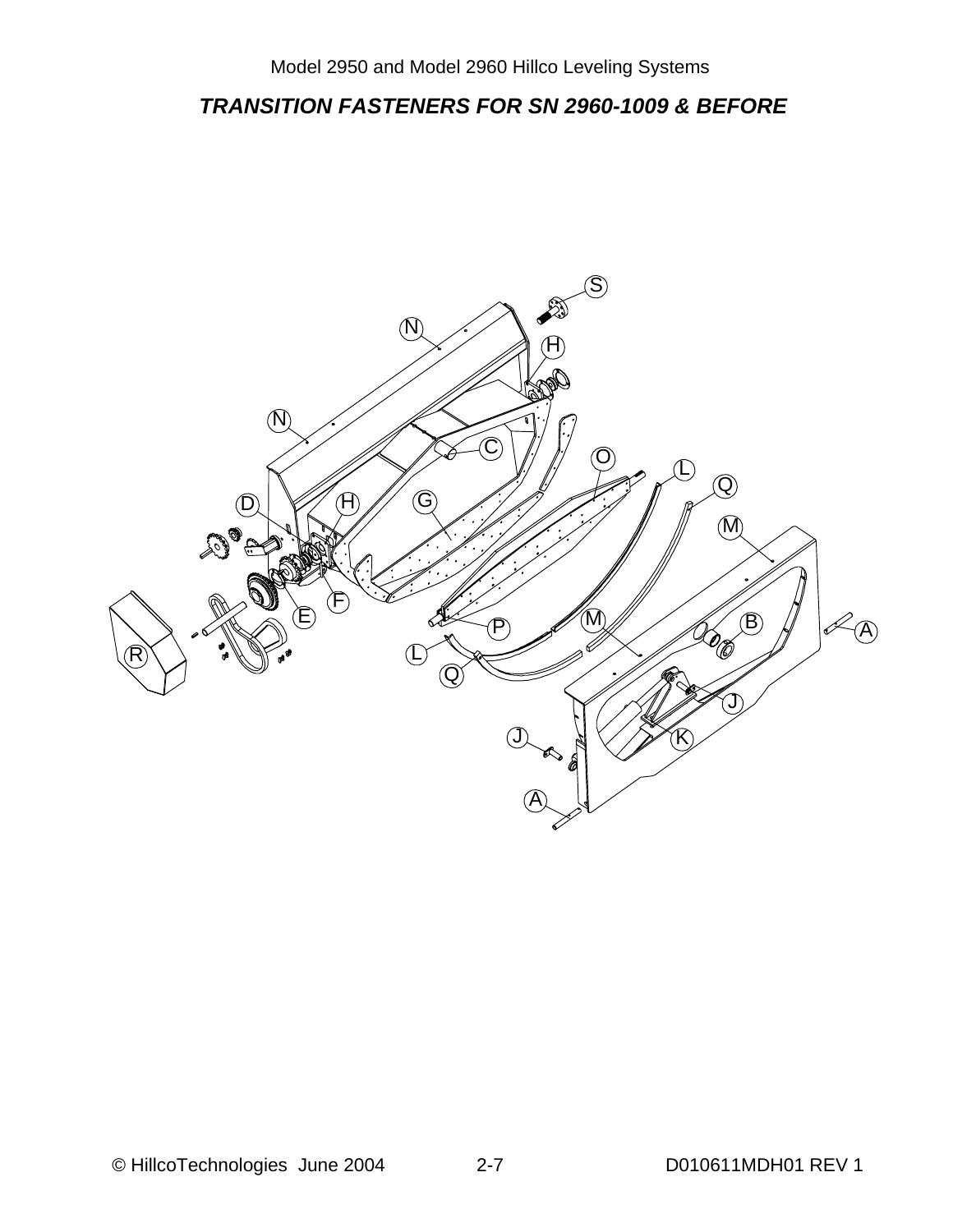#### *TRANSITION FASTENERS FOR SN 2960-1009 & BEFORE*

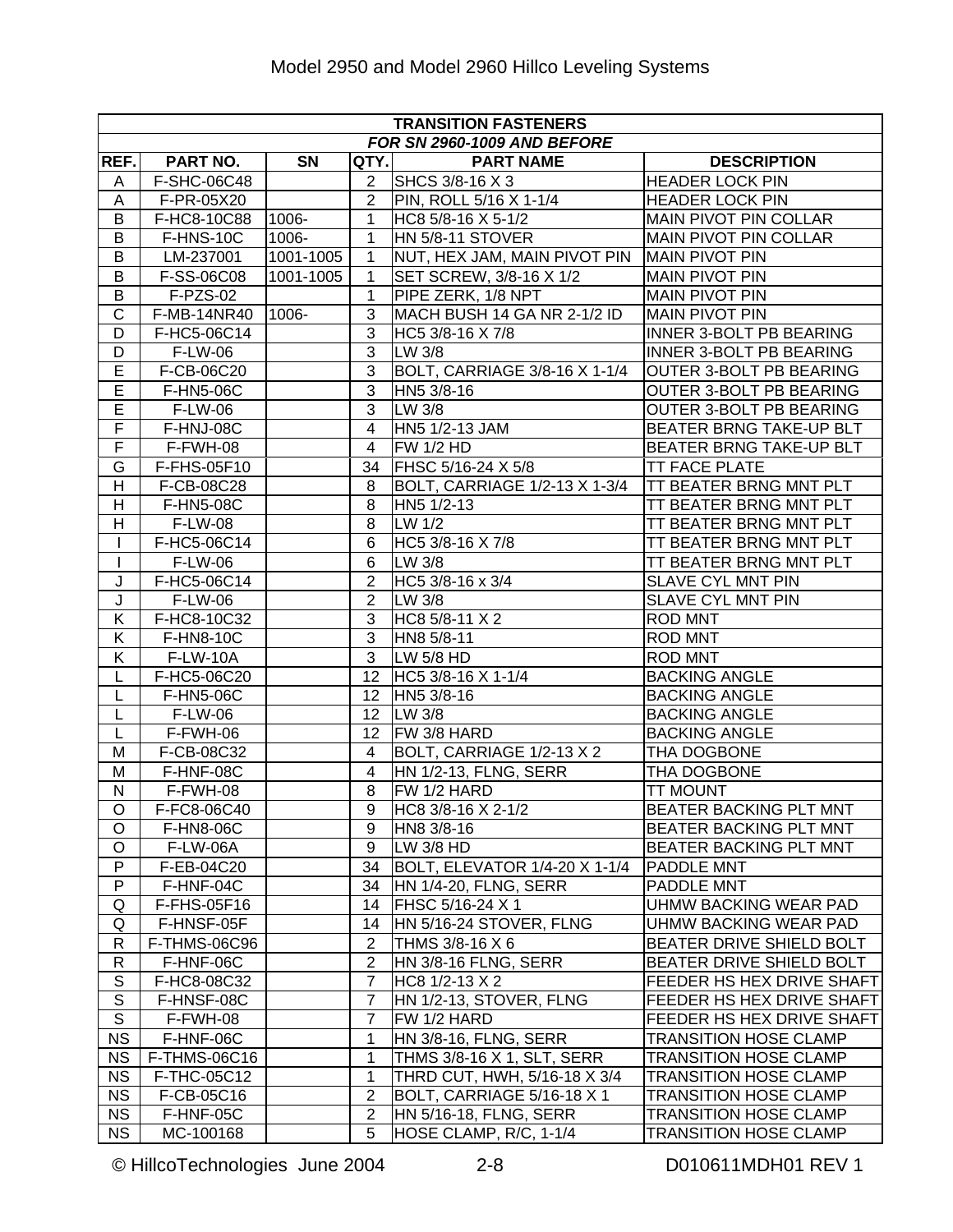|                         | <b>TRANSITION FASTENERS</b><br>FOR SN 2960-1009 AND BEFORE |           |                |                               |                                |  |  |  |  |  |
|-------------------------|------------------------------------------------------------|-----------|----------------|-------------------------------|--------------------------------|--|--|--|--|--|
|                         |                                                            |           |                |                               |                                |  |  |  |  |  |
| REF.                    | PART NO.                                                   | SN        | QTY.           | <b>PART NAME</b>              | <b>DESCRIPTION</b>             |  |  |  |  |  |
| A                       | F-SHC-06C48                                                |           | $\overline{2}$ | SHCS 3/8-16 X 3               | <b>HEADER LOCK PIN</b>         |  |  |  |  |  |
| A                       | F-PR-05X20                                                 |           | $\overline{2}$ | PIN, ROLL 5/16 X 1-1/4        | <b>HEADER LOCK PIN</b>         |  |  |  |  |  |
| В                       | F-HC8-10C88                                                | 1006-     | $\mathbf{1}$   | HC8 5/8-16 X 5-1/2            | <b>MAIN PIVOT PIN COLLAR</b>   |  |  |  |  |  |
| B                       | F-HNS-10C                                                  | 1006-     | $\mathbf{1}$   | HN 5/8-11 STOVER              | <b>MAIN PIVOT PIN COLLAR</b>   |  |  |  |  |  |
| B                       | LM-237001                                                  | 1001-1005 | 1              | NUT, HEX JAM, MAIN PIVOT PIN  | <b>MAIN PIVOT PIN</b>          |  |  |  |  |  |
| B                       | F-SS-06C08                                                 | 1001-1005 | 1              | SET SCREW, 3/8-16 X 1/2       | <b>MAIN PIVOT PIN</b>          |  |  |  |  |  |
| B                       | $F-PZS-02$                                                 |           | $\mathbf{1}$   | PIPE ZERK, 1/8 NPT            | <b>MAIN PIVOT PIN</b>          |  |  |  |  |  |
| $\overline{\text{c}}$   | F-MB-14NR40                                                | 1006-     | 3              | MACH BUSH 14 GA NR 2-1/2 ID   | <b>MAIN PIVOT PIN</b>          |  |  |  |  |  |
| D                       | F-HC5-06C14                                                |           | 3              | HC5 3/8-16 X 7/8              | <b>INNER 3-BOLT PB BEARING</b> |  |  |  |  |  |
| D                       | F-LW-06                                                    |           | $\overline{3}$ | LW 3/8                        | <b>INNER 3-BOLT PB BEARING</b> |  |  |  |  |  |
| $\overline{E}$          | F-CB-06C20                                                 |           | $\overline{3}$ | BOLT, CARRIAGE 3/8-16 X 1-1/4 | OUTER 3-BOLT PB BEARING        |  |  |  |  |  |
| E                       | F-HN5-06C                                                  |           | 3              | HN5 3/8-16                    | OUTER 3-BOLT PB BEARING        |  |  |  |  |  |
| $\overline{\mathsf{E}}$ | F-LW-06                                                    |           | 3              | LW 3/8                        | OUTER 3-BOLT PB BEARING        |  |  |  |  |  |
| F                       | F-HNJ-08C                                                  |           | 4              | HN5 1/2-13 JAM                | BEATER BRNG TAKE-UP BLT        |  |  |  |  |  |
| $\overline{F}$          | F-FWH-08                                                   |           | 4              | <b>FW 1/2 HD</b>              | BEATER BRNG TAKE-UP BLT        |  |  |  |  |  |
| G                       | F-FHS-05F10                                                |           | 34             | FHSC 5/16-24 X 5/8            | <b>TT FACE PLATE</b>           |  |  |  |  |  |
| H                       | F-CB-08C28                                                 |           | 8              | BOLT, CARRIAGE 1/2-13 X 1-3/4 | <b>TT BEATER BRNG MNT PLT</b>  |  |  |  |  |  |
| н                       | F-HN5-08C                                                  |           | 8              | HN5 1/2-13                    | TT BEATER BRNG MNT PLT         |  |  |  |  |  |
| Н                       | <b>F-LW-08</b>                                             |           | 8              | LW 1/2                        | TT BEATER BRNG MNT PLT         |  |  |  |  |  |
|                         | F-HC5-06C14                                                |           | 6              | HC5 3/8-16 X 7/8              | TT BEATER BRNG MNT PLT         |  |  |  |  |  |
| T                       | F-LW-06                                                    |           | 6              | LW 3/8                        | TT BEATER BRNG MNT PLT         |  |  |  |  |  |
| J                       | F-HC5-06C14                                                |           | $\overline{2}$ | HC5 3/8-16 x 3/4              | SLAVE CYL MNT PIN              |  |  |  |  |  |
| J                       | F-LW-06                                                    |           | $\overline{2}$ | LW 3/8                        | SLAVE CYL MNT PIN              |  |  |  |  |  |
| Κ                       | F-HC8-10C32                                                |           | 3              | HC8 5/8-11 X 2                | <b>ROD MNT</b>                 |  |  |  |  |  |
| Κ                       | F-HN8-10C                                                  |           | $\overline{3}$ | HN8 5/8-11                    | <b>ROD MNT</b>                 |  |  |  |  |  |
| Κ                       | <b>F-LW-10A</b>                                            |           | $\overline{3}$ | $LW$ 5/8 HD                   | <b>ROD MNT</b>                 |  |  |  |  |  |
| L                       | F-HC5-06C20                                                |           | 12             | HC5 3/8-16 X 1-1/4            | <b>BACKING ANGLE</b>           |  |  |  |  |  |
| L                       | F-HN5-06C                                                  |           | 12             | HN5 3/8-16                    | <b>BACKING ANGLE</b>           |  |  |  |  |  |
| L                       | F-LW-06                                                    |           | 12             | LW 3/8                        | <b>BACKING ANGLE</b>           |  |  |  |  |  |
| L                       | F-FWH-06                                                   |           | 12             | FW 3/8 HARD                   | <b>BACKING ANGLE</b>           |  |  |  |  |  |
| M                       | F-CB-08C32                                                 |           | $\overline{4}$ | BOLT, CARRIAGE 1/2-13 X 2     | THA DOGBONE                    |  |  |  |  |  |
| M                       | F-HNF-08C                                                  |           | $\overline{4}$ | HN 1/2-13, FLNG, SERR         | THA DOGBONE                    |  |  |  |  |  |
| $\mathsf{N}$            | F-FWH-08                                                   |           | 8              | FW 1/2 HARD                   | <b>TT MOUNT</b>                |  |  |  |  |  |
| $\overline{O}$          | F-FC8-06C40                                                |           | $\overline{9}$ | HC8 3/8-16 X 2-1/2            | <b>BEATER BACKING PLT MNT</b>  |  |  |  |  |  |
| $\circ$                 | F-HN8-06C                                                  |           | 9              | HN8 3/8-16                    | BEATER BACKING PLT MNT         |  |  |  |  |  |
| O                       | F-LW-06A                                                   |           | 9              | LW 3/8 HD                     | BEATER BACKING PLT MNT         |  |  |  |  |  |
| ${\sf P}$               | F-EB-04C20                                                 |           | 34             | BOLT, ELEVATOR 1/4-20 X 1-1/4 | PADDLE MNT                     |  |  |  |  |  |
| ${\sf P}$               | F-HNF-04C                                                  |           | 34             | HN 1/4-20, FLNG, SERR         | PADDLE MNT                     |  |  |  |  |  |
| Q                       | F-FHS-05F16                                                |           | 14             | FHSC 5/16-24 X 1              | UHMW BACKING WEAR PAD          |  |  |  |  |  |
| Q                       | F-HNSF-05F                                                 |           | 14             | HN 5/16-24 STOVER, FLNG       | UHMW BACKING WEAR PAD          |  |  |  |  |  |
| R                       | F-THMS-06C96                                               |           | $\overline{2}$ | THMS 3/8-16 X 6               | BEATER DRIVE SHIELD BOLT       |  |  |  |  |  |
| R                       | F-HNF-06C                                                  |           | $\overline{2}$ | HN 3/8-16 FLNG, SERR          | BEATER DRIVE SHIELD BOLT       |  |  |  |  |  |
| $\mathbb S$             | F-HC8-08C32                                                |           | $\overline{7}$ | HC8 1/2-13 X 2                | FEEDER HS HEX DRIVE SHAFT      |  |  |  |  |  |
| $\overline{s}$          | F-HNSF-08C                                                 |           | $\overline{7}$ | HN 1/2-13, STOVER, FLNG       | FEEDER HS HEX DRIVE SHAFT      |  |  |  |  |  |
| $\mathbb S$             | F-FWH-08                                                   |           | $\overline{7}$ | FW 1/2 HARD                   | FEEDER HS HEX DRIVE SHAFT      |  |  |  |  |  |
| <b>NS</b>               | F-HNF-06C                                                  |           | 1              | HN 3/8-16, FLNG, SERR         | <b>TRANSITION HOSE CLAMP</b>   |  |  |  |  |  |
| <b>NS</b>               | F-THMS-06C16                                               |           | 1              | THMS 3/8-16 X 1, SLT, SERR    | <b>TRANSITION HOSE CLAMP</b>   |  |  |  |  |  |
| <b>NS</b>               | F-THC-05C12                                                |           | 1              | THRD CUT, HWH, 5/16-18 X 3/4  | <b>TRANSITION HOSE CLAMP</b>   |  |  |  |  |  |
| <b>NS</b>               | F-CB-05C16                                                 |           | $\overline{2}$ | BOLT, CARRIAGE 5/16-18 X 1    | <b>TRANSITION HOSE CLAMP</b>   |  |  |  |  |  |
| <b>NS</b>               | F-HNF-05C                                                  |           | $\overline{2}$ | HN 5/16-18, FLNG, SERR        | <b>TRANSITION HOSE CLAMP</b>   |  |  |  |  |  |
| <b>NS</b>               | MC-100168                                                  |           | 5              | HOSE CLAMP, R/C, 1-1/4        | TRANSITION HOSE CLAMP          |  |  |  |  |  |
|                         |                                                            |           |                |                               |                                |  |  |  |  |  |

© HillcoTechnologies June 2004 2-8 D010611MDH01 REV 1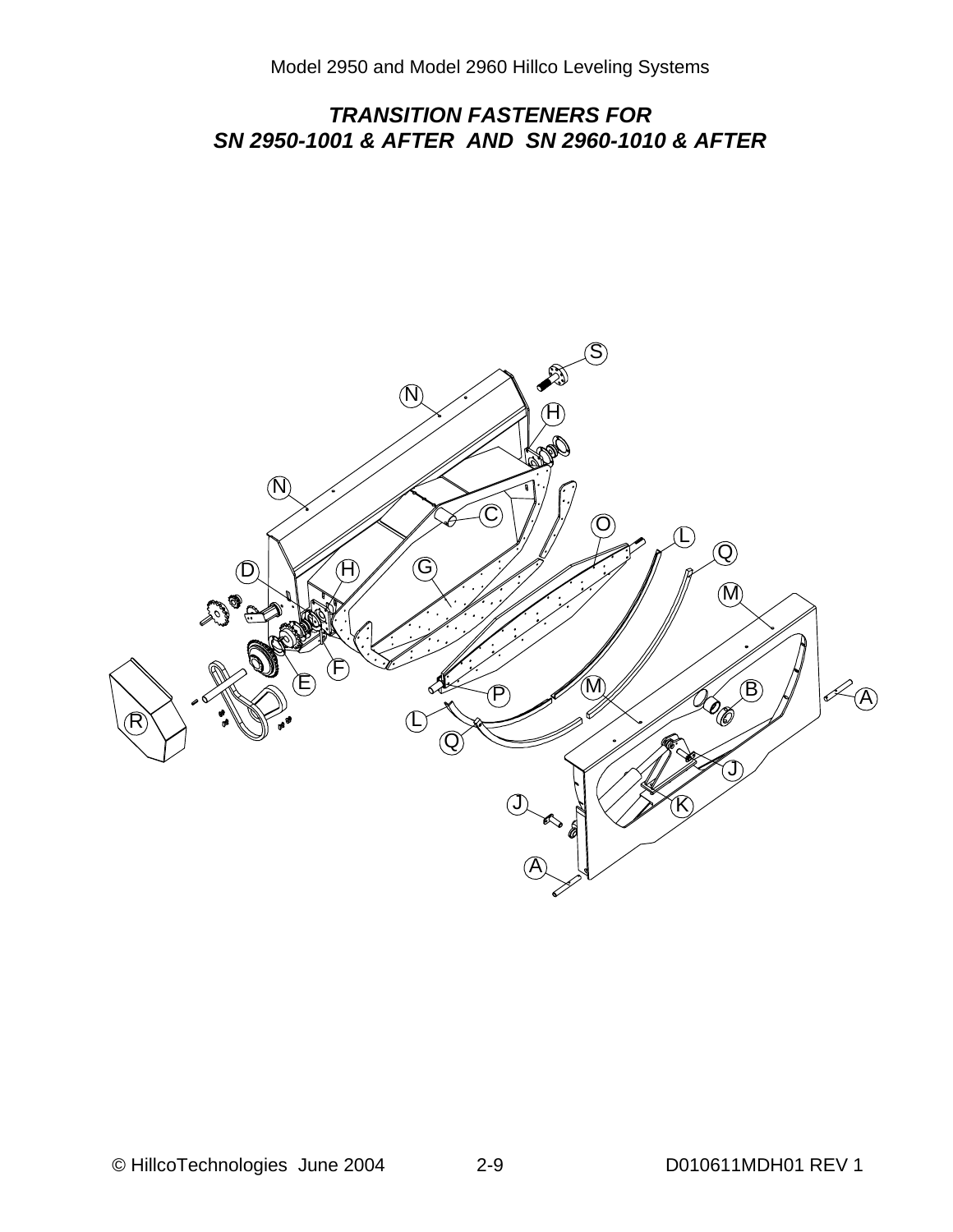#### *TRANSITION FASTENERS FOR SN 2950-1001 & AFTER AND SN 2960-1010 & AFTER*

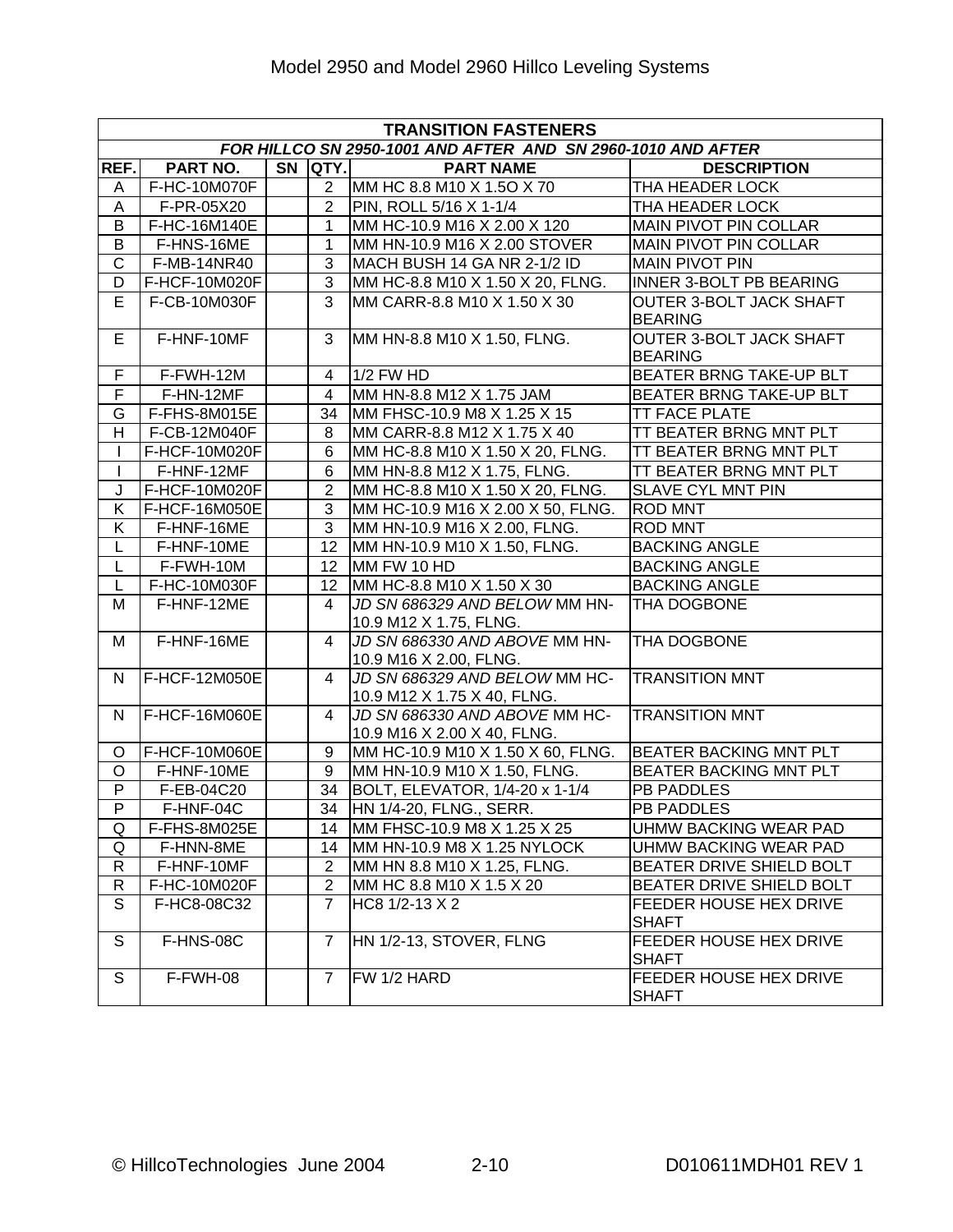|                       | <b>TRANSITION FASTENERS</b> |  |                         |                                                              |                                                  |  |  |  |  |
|-----------------------|-----------------------------|--|-------------------------|--------------------------------------------------------------|--------------------------------------------------|--|--|--|--|
|                       |                             |  |                         | FOR HILLCO SN 2950-1001 AND AFTER AND SN 2960-1010 AND AFTER |                                                  |  |  |  |  |
| REF.                  | PART NO.                    |  | SN QTY.                 | <b>PART NAME</b>                                             | <b>DESCRIPTION</b>                               |  |  |  |  |
| A                     | F-HC-10M070F                |  | 2 <sup>1</sup>          | MM HC 8.8 M10 X 1.5O X 70                                    | THA HEADER LOCK                                  |  |  |  |  |
| A                     | F-PR-05X20                  |  | 2                       | PIN, ROLL 5/16 X 1-1/4                                       | THA HEADER LOCK                                  |  |  |  |  |
| B                     | F-HC-16M140E                |  | $\mathbf{1}$            | MM HC-10.9 M16 X 2.00 X 120                                  | <b>MAIN PIVOT PIN COLLAR</b>                     |  |  |  |  |
| B                     | F-HNS-16ME                  |  | $\mathbf{1}$            | MM HN-10.9 M16 X 2.00 STOVER                                 | <b>MAIN PIVOT PIN COLLAR</b>                     |  |  |  |  |
| $\overline{\text{c}}$ | F-MB-14NR40                 |  | 3                       | MACH BUSH 14 GA NR 2-1/2 ID                                  | <b>MAIN PIVOT PIN</b>                            |  |  |  |  |
| D                     | F-HCF-10M020F               |  | 3                       | MM HC-8.8 M10 X 1.50 X 20, FLNG.                             | <b>INNER 3-BOLT PB BEARING</b>                   |  |  |  |  |
| E.                    | F-CB-10M030F                |  | 3                       | MM CARR-8.8 M10 X 1.50 X 30                                  | <b>OUTER 3-BOLT JACK SHAFT</b><br><b>BEARING</b> |  |  |  |  |
| E.                    | F-HNF-10MF                  |  | 3                       | MM HN-8.8 M10 X 1.50, FLNG.                                  | <b>OUTER 3-BOLT JACK SHAFT</b><br><b>BEARING</b> |  |  |  |  |
| F                     | F-FWH-12M                   |  | $\overline{\mathbf{4}}$ | 1/2 FW HD                                                    | BEATER BRNG TAKE-UP BLT                          |  |  |  |  |
| F                     | F-HN-12MF                   |  | $\overline{4}$          | MM HN-8.8 M12 X 1.75 JAM                                     | BEATER BRNG TAKE-UP BLT                          |  |  |  |  |
| G                     | F-FHS-8M015E                |  | 34                      | MM FHSC-10.9 M8 X 1.25 X 15                                  | TT FACE PLATE                                    |  |  |  |  |
| H                     | F-CB-12M040F                |  | 8                       | MM CARR-8.8 M12 X 1.75 X 40                                  | TT BEATER BRNG MNT PLT                           |  |  |  |  |
|                       | F-HCF-10M020F               |  | 6                       | MM HC-8.8 M10 X 1.50 X 20, FLNG.                             | TT BEATER BRNG MNT PLT                           |  |  |  |  |
|                       | F-HNF-12MF                  |  | 6                       | MM HN-8.8 M12 X 1.75, FLNG.                                  | TT BEATER BRNG MNT PLT                           |  |  |  |  |
| J                     | F-HCF-10M020F               |  | $\overline{2}$          | MM HC-8.8 M10 X 1.50 X 20, FLNG.                             | <b>SLAVE CYL MNT PIN</b>                         |  |  |  |  |
| K                     | F-HCF-16M050E               |  | 3                       | MM HC-10.9 M16 X 2.00 X 50, FLNG.                            | <b>ROD MNT</b>                                   |  |  |  |  |
| K                     | F-HNF-16ME                  |  | 3                       | MM HN-10.9 M16 X 2.00, FLNG.                                 | <b>ROD MNT</b>                                   |  |  |  |  |
| L                     | F-HNF-10ME                  |  | 12                      | MM HN-10.9 M10 X 1.50, FLNG.                                 | <b>BACKING ANGLE</b>                             |  |  |  |  |
| L                     | F-FWH-10M                   |  | 12 <sup>2</sup>         | MM FW 10 HD                                                  | <b>BACKING ANGLE</b>                             |  |  |  |  |
| L                     | F-HC-10M030F                |  | 12 <sup>°</sup>         | MM HC-8.8 M10 X 1.50 X 30                                    | <b>BACKING ANGLE</b>                             |  |  |  |  |
| M                     | F-HNF-12ME                  |  | 4                       | JD SN 686329 AND BELOW MM HN-<br>10.9 M12 X 1.75, FLNG.      | THA DOGBONE                                      |  |  |  |  |
| M                     | F-HNF-16ME                  |  | $\overline{4}$          | JD SN 686330 AND ABOVE MM HN-<br>10.9 M16 X 2.00, FLNG.      | THA DOGBONE                                      |  |  |  |  |
| N                     | F-HCF-12M050E               |  | 4                       | JD SN 686329 AND BELOW MM HC-<br>10.9 M12 X 1.75 X 40, FLNG. | <b>TRANSITION MNT</b>                            |  |  |  |  |
| N.                    | F-HCF-16M060E               |  | 4                       | JD SN 686330 AND ABOVE MM HC-<br>10.9 M16 X 2.00 X 40, FLNG. | <b>TRANSITION MNT</b>                            |  |  |  |  |
| O                     | F-HCF-10M060E               |  | 9                       | MM HC-10.9 M10 X 1.50 X 60, FLNG.                            | BEATER BACKING MNT PLT                           |  |  |  |  |
| $\circ$               | F-HNF-10ME                  |  | 9                       | MM HN-10.9 M10 X 1.50, FLNG.                                 | BEATER BACKING MNT PLT                           |  |  |  |  |
| P                     | F-EB-04C20                  |  | 34                      | BOLT, ELEVATOR, 1/4-20 x 1-1/4                               | <b>PB PADDLES</b>                                |  |  |  |  |
| $\overline{P}$        | F-HNF-04C                   |  |                         | 34 HN 1/4-20, FLNG., SERR.                                   | <b>PB PADDLES</b>                                |  |  |  |  |
| Q                     | F-FHS-8M025E                |  |                         | 14   MM FHSC-10.9 M8 X 1.25 X 25                             | UHMW BACKING WEAR PAD                            |  |  |  |  |
| Q                     | F-HNN-8ME                   |  |                         | 14 MM HN-10.9 M8 X 1.25 NYLOCK                               | UHMW BACKING WEAR PAD                            |  |  |  |  |
| $\mathsf{R}$          | F-HNF-10MF                  |  | $\overline{2}$          | MM HN 8.8 M10 X 1.25, FLNG.                                  | BEATER DRIVE SHIELD BOLT                         |  |  |  |  |
| $\mathsf{R}$          | F-HC-10M020F                |  | $\overline{2}$          | MM HC 8.8 M10 X 1.5 X 20                                     | BEATER DRIVE SHIELD BOLT                         |  |  |  |  |
| S                     | F-HC8-08C32                 |  | $\overline{7}$          | HC8 1/2-13 X 2                                               | FEEDER HOUSE HEX DRIVE<br><b>SHAFT</b>           |  |  |  |  |
| S                     | F-HNS-08C                   |  | $\overline{7}$          | HN 1/2-13, STOVER, FLNG                                      | <b>FEEDER HOUSE HEX DRIVE</b><br><b>SHAFT</b>    |  |  |  |  |
| S                     | F-FWH-08                    |  | $\overline{7}$          | FW 1/2 HARD                                                  | <b>FEEDER HOUSE HEX DRIVE</b><br><b>SHAFT</b>    |  |  |  |  |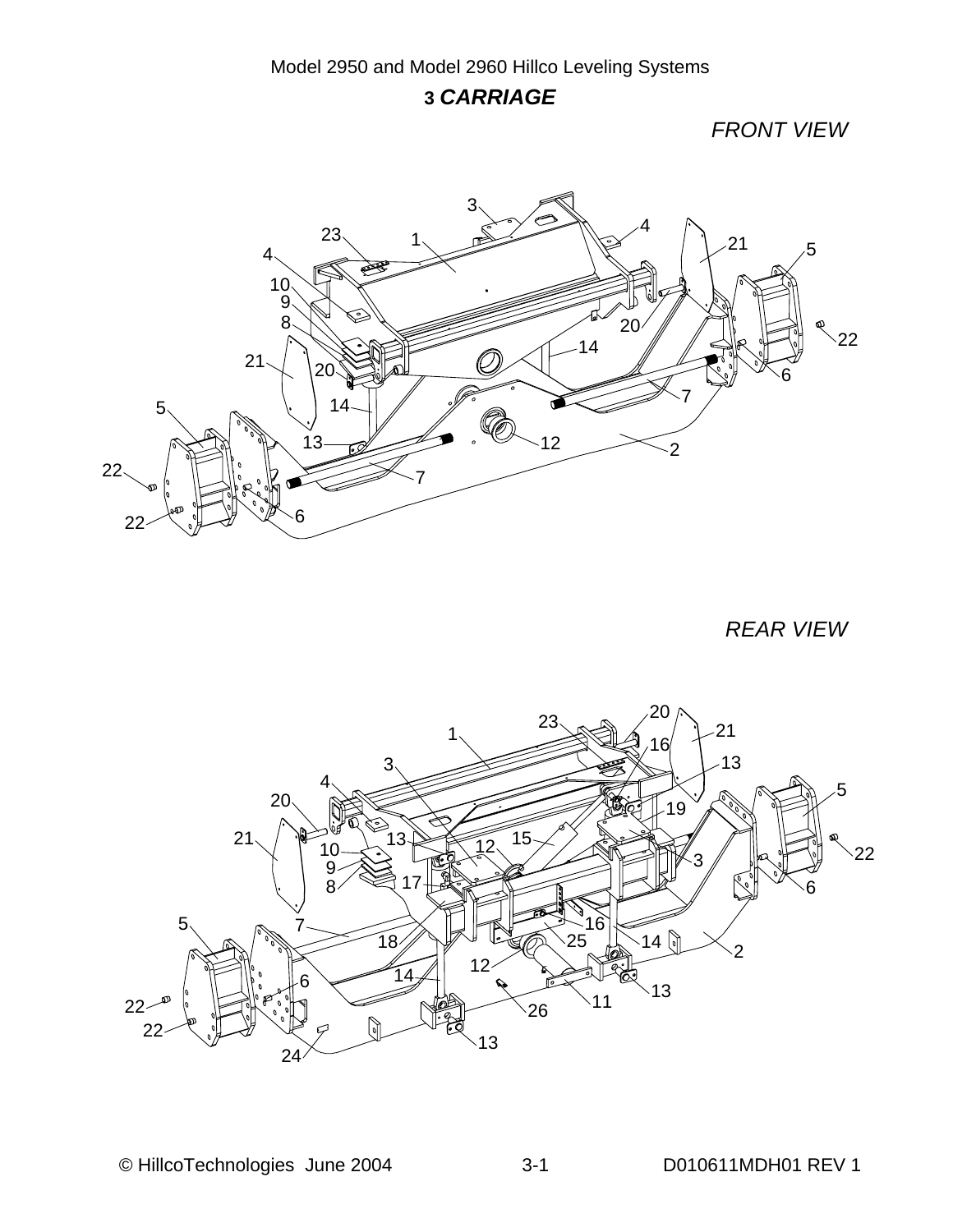#### *CARRIAGE*

*FRONT VIEW*



*REAR VIEW* 

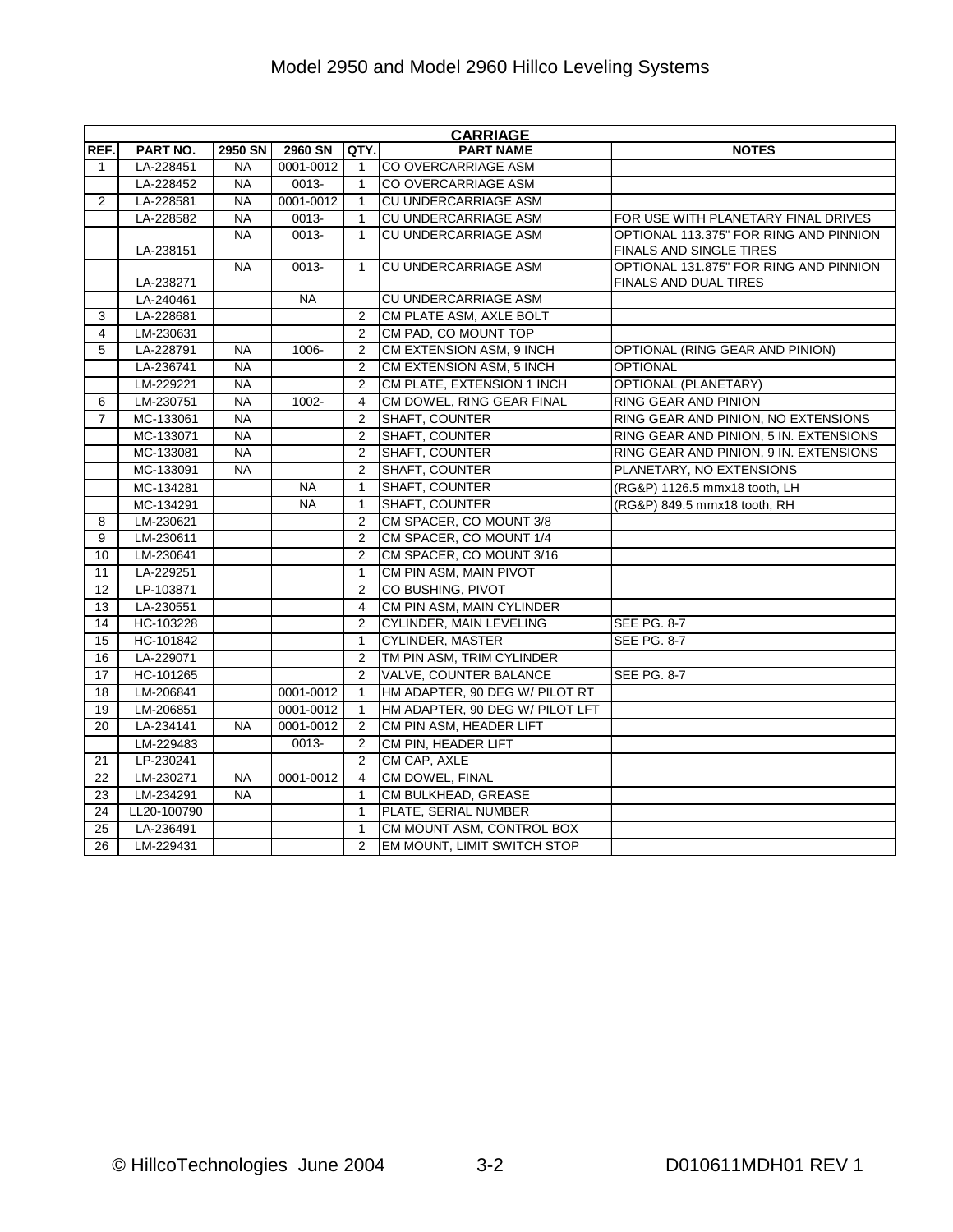|                | <b>CARRIAGE</b> |           |           |                |                                 |                                        |  |  |  |  |  |
|----------------|-----------------|-----------|-----------|----------------|---------------------------------|----------------------------------------|--|--|--|--|--|
| REF.           | PART NO.        | 2950 SN   | 2960 SN   | QTY.           | <b>PART NAME</b>                | <b>NOTES</b>                           |  |  |  |  |  |
| $\mathbf{1}$   | LA-228451       | NA        | 0001-0012 | $\mathbf 1$    | CO OVERCARRIAGE ASM             |                                        |  |  |  |  |  |
|                | LA-228452       | <b>NA</b> | 0013-     | 1              | CO OVERCARRIAGE ASM             |                                        |  |  |  |  |  |
| $\overline{2}$ | LA-228581       | <b>NA</b> | 0001-0012 | $\mathbf{1}$   | CU UNDERCARRIAGE ASM            |                                        |  |  |  |  |  |
|                | LA-228582       | <b>NA</b> | $0013 -$  | $\mathbf{1}$   | CU UNDERCARRIAGE ASM            | FOR USE WITH PLANETARY FINAL DRIVES    |  |  |  |  |  |
|                |                 | <b>NA</b> | 0013-     | $\mathbf{1}$   | CU UNDERCARRIAGE ASM            | OPTIONAL 113.375" FOR RING AND PINNION |  |  |  |  |  |
|                | LA-238151       |           |           |                |                                 | FINALS AND SINGLE TIRES                |  |  |  |  |  |
|                |                 | <b>NA</b> | 0013-     | $\mathbf{1}$   | CU UNDERCARRIAGE ASM            | OPTIONAL 131.875" FOR RING AND PINNION |  |  |  |  |  |
|                | LA-238271       |           |           |                |                                 | FINALS AND DUAL TIRES                  |  |  |  |  |  |
|                | LA-240461       |           | <b>NA</b> |                | CU UNDERCARRIAGE ASM            |                                        |  |  |  |  |  |
| 3              | LA-228681       |           |           | $\overline{2}$ | CM PLATE ASM, AXLE BOLT         |                                        |  |  |  |  |  |
| $\overline{4}$ | LM-230631       |           |           | $\overline{2}$ | CM PAD, CO MOUNT TOP            |                                        |  |  |  |  |  |
| 5              | LA-228791       | <b>NA</b> | 1006-     | $\overline{2}$ | CM EXTENSION ASM, 9 INCH        | OPTIONAL (RING GEAR AND PINION)        |  |  |  |  |  |
|                | LA-236741       | <b>NA</b> |           | $\overline{2}$ | CM EXTENSION ASM, 5 INCH        | <b>OPTIONAL</b>                        |  |  |  |  |  |
|                | LM-229221       | <b>NA</b> |           | $\overline{2}$ | CM PLATE, EXTENSION 1 INCH      | <b>OPTIONAL (PLANETARY)</b>            |  |  |  |  |  |
| 6              | LM-230751       | <b>NA</b> | 1002-     | 4              | CM DOWEL, RING GEAR FINAL       | RING GEAR AND PINION                   |  |  |  |  |  |
| $\overline{7}$ | MC-133061       | <b>NA</b> |           | $\overline{2}$ | SHAFT, COUNTER                  | RING GEAR AND PINION, NO EXTENSIONS    |  |  |  |  |  |
|                | MC-133071       | <b>NA</b> |           | $\overline{2}$ | SHAFT, COUNTER                  | RING GEAR AND PINION, 5 IN. EXTENSIONS |  |  |  |  |  |
|                | MC-133081       | <b>NA</b> |           | $\overline{2}$ | SHAFT, COUNTER                  | RING GEAR AND PINION, 9 IN. EXTENSIONS |  |  |  |  |  |
|                | MC-133091       | <b>NA</b> |           | $\overline{2}$ | SHAFT, COUNTER                  | PLANETARY, NO EXTENSIONS               |  |  |  |  |  |
|                | MC-134281       |           | <b>NA</b> | 1              | SHAFT, COUNTER                  | (RG&P) 1126.5 mmx18 tooth, LH          |  |  |  |  |  |
|                | MC-134291       |           | <b>NA</b> | 1              | SHAFT, COUNTER                  | (RG&P) 849.5 mmx18 tooth, RH           |  |  |  |  |  |
| 8              | LM-230621       |           |           | $\overline{2}$ | CM SPACER, CO MOUNT 3/8         |                                        |  |  |  |  |  |
| 9              | LM-230611       |           |           | $\overline{2}$ | CM SPACER, CO MOUNT 1/4         |                                        |  |  |  |  |  |
| 10             | LM-230641       |           |           | $\overline{2}$ | CM SPACER, CO MOUNT 3/16        |                                        |  |  |  |  |  |
| 11             | LA-229251       |           |           | 1              | CM PIN ASM, MAIN PIVOT          |                                        |  |  |  |  |  |
| 12             | LP-103871       |           |           | $\overline{2}$ | CO BUSHING, PIVOT               |                                        |  |  |  |  |  |
| 13             | LA-230551       |           |           | 4              | CM PIN ASM, MAIN CYLINDER       |                                        |  |  |  |  |  |
| 14             | HC-103228       |           |           | $\overline{2}$ | <b>CYLINDER, MAIN LEVELING</b>  | <b>SEE PG. 8-7</b>                     |  |  |  |  |  |
| 15             | HC-101842       |           |           | $\mathbf{1}$   | <b>CYLINDER, MASTER</b>         | <b>SEE PG. 8-7</b>                     |  |  |  |  |  |
| 16             | LA-229071       |           |           | 2              | TM PIN ASM, TRIM CYLINDER       |                                        |  |  |  |  |  |
| 17             | HC-101265       |           |           | $\overline{2}$ | VALVE, COUNTER BALANCE          | SEE PG. 8-7                            |  |  |  |  |  |
| 18             | LM-206841       |           | 0001-0012 | $\mathbf{1}$   | HM ADAPTER, 90 DEG W/ PILOT RT  |                                        |  |  |  |  |  |
| 19             | LM-206851       |           | 0001-0012 | $\mathbf{1}$   | HM ADAPTER, 90 DEG W/ PILOT LFT |                                        |  |  |  |  |  |
| 20             | LA-234141       | <b>NA</b> | 0001-0012 | $\overline{2}$ | CM PIN ASM, HEADER LIFT         |                                        |  |  |  |  |  |
|                | LM-229483       |           | 0013-     | $\overline{2}$ | CM PIN, HEADER LIFT             |                                        |  |  |  |  |  |
| 21             | LP-230241       |           |           | $\overline{2}$ | CM CAP, AXLE                    |                                        |  |  |  |  |  |
| 22             | LM-230271       | <b>NA</b> | 0001-0012 | 4              | CM DOWEL, FINAL                 |                                        |  |  |  |  |  |
| 23             | LM-234291       | <b>NA</b> |           | $\mathbf{1}$   | CM BULKHEAD, GREASE             |                                        |  |  |  |  |  |
| 24             | LL20-100790     |           |           | 1              | PLATE, SERIAL NUMBER            |                                        |  |  |  |  |  |
| 25             | LA-236491       |           |           | $\mathbf{1}$   | CM MOUNT ASM, CONTROL BOX       |                                        |  |  |  |  |  |
| 26             | LM-229431       |           |           | $\overline{2}$ | EM MOUNT, LIMIT SWITCH STOP     |                                        |  |  |  |  |  |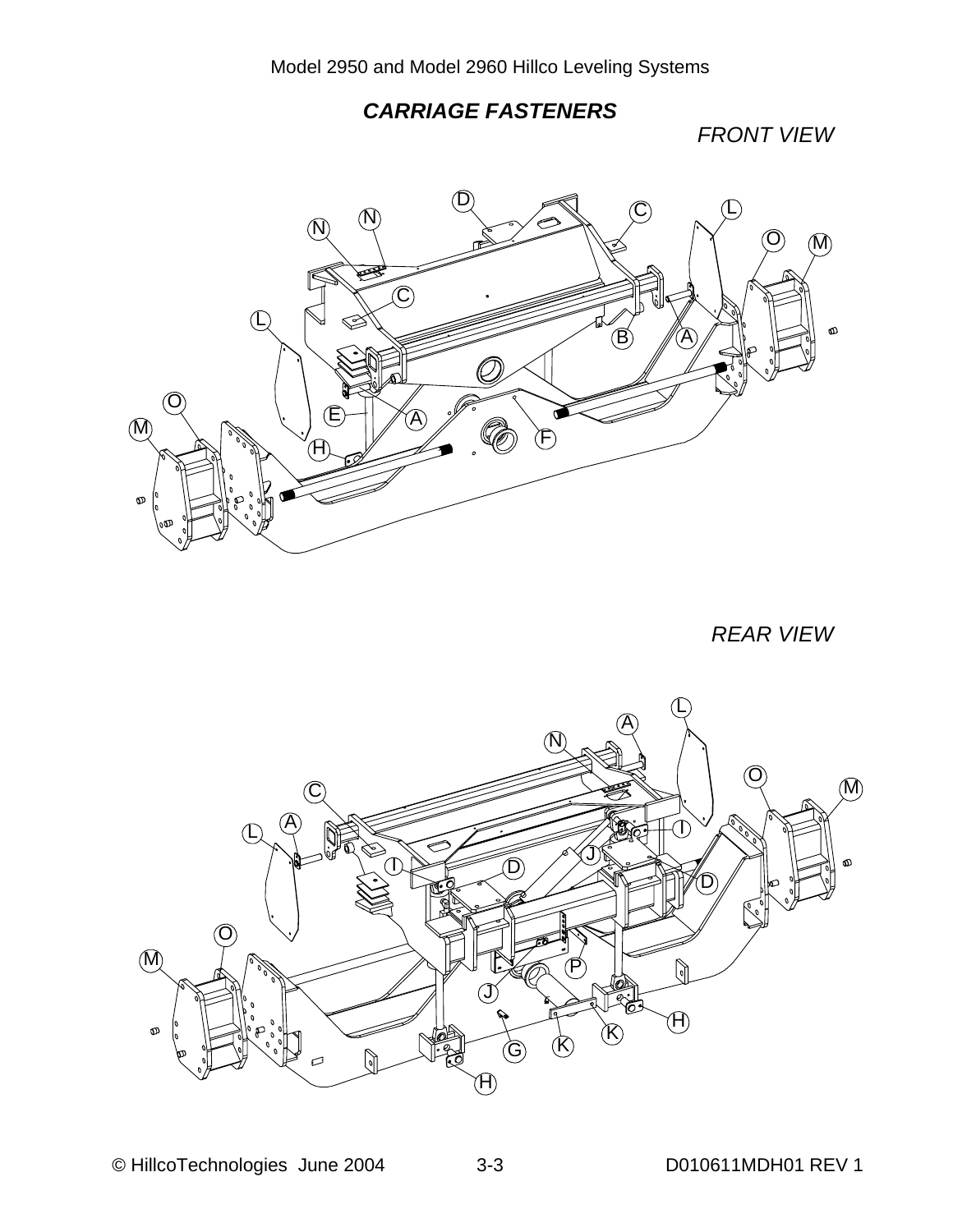#### *CARRIAGE FASTENERS*

*FRONT VIEW*



*REAR VIEW* 

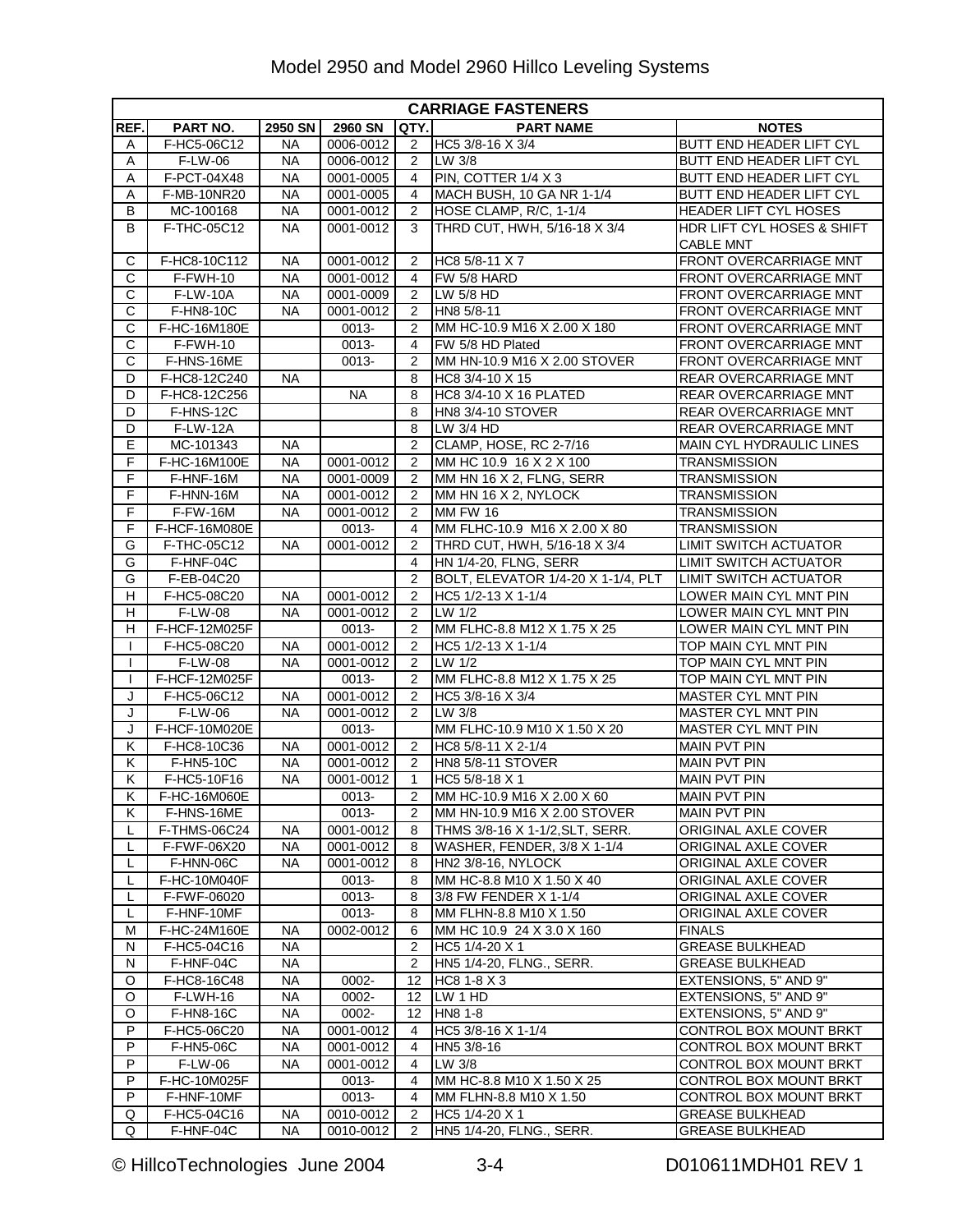|                         | <b>CARRIAGE FASTENERS</b> |           |               |                |                                    |                                 |  |  |  |
|-------------------------|---------------------------|-----------|---------------|----------------|------------------------------------|---------------------------------|--|--|--|
| REF.                    | PART NO.                  | 2950 SN   | 2960 SN       | QTY.           | <b>PART NAME</b>                   | <b>NOTES</b>                    |  |  |  |
| A                       | F-HC5-06C12               | <b>NA</b> | 0006-0012     | 2              | HC5 3/8-16 X 3/4                   | BUTT END HEADER LIFT CYL        |  |  |  |
| Α                       | F-LW-06                   | <b>NA</b> | 0006-0012     | 2              | LW 3/8                             | BUTT END HEADER LIFT CYL        |  |  |  |
| Α                       | F-PCT-04X48               | <b>NA</b> | 0001-0005     | 4              | PIN, COTTER 1/4 X 3                | <b>BUTT END HEADER LIFT CYL</b> |  |  |  |
| Α                       | F-MB-10NR20               | <b>NA</b> | 0001-0005     | 4              | MACH BUSH, 10 GA NR 1-1/4          | BUTT END HEADER LIFT CYL        |  |  |  |
| B                       | MC-100168                 | <b>NA</b> | 0001-0012     | 2              | HOSE CLAMP, R/C, 1-1/4             | HEADER LIFT CYL HOSES           |  |  |  |
| B                       | F-THC-05C12               | <b>NA</b> | 0001-0012     | 3              | THRD CUT, HWH, 5/16-18 X 3/4       | HDR LIFT CYL HOSES & SHIFT      |  |  |  |
|                         |                           |           |               |                |                                    | <b>CABLE MNT</b>                |  |  |  |
| C                       | F-HC8-10C112              | <b>NA</b> | 0001-0012     | 2              | HC8 5/8-11 X 7                     | FRONT OVERCARRIAGE MNT          |  |  |  |
| C                       | F-FWH-10                  | <b>NA</b> | 0001-0012     | 4              | FW 5/8 HARD                        | FRONT OVERCARRIAGE MNT          |  |  |  |
| C                       | <b>F-LW-10A</b>           | <b>NA</b> | 0001-0009     | 2              | LW 5/8 HD                          | FRONT OVERCARRIAGE MNT          |  |  |  |
| $\overline{\text{c}}$   | $F-HN8-10C$               | <b>NA</b> | $0001 - 0012$ | 2              | HN8 5/8-11                         | FRONT OVERCARRIAGE MNT          |  |  |  |
| C                       | F-HC-16M180E              |           | 0013-         | 2              | MM HC-10.9 M16 X 2.00 X 180        | FRONT OVERCARRIAGE MNT          |  |  |  |
| C                       | F-FWH-10                  |           | 0013-         | 4              | FW 5/8 HD Plated                   | FRONT OVERCARRIAGE MNT          |  |  |  |
| С                       | F-HNS-16ME                |           | 0013-         | 2              | MM HN-10.9 M16 X 2.00 STOVER       | FRONT OVERCARRIAGE MNT          |  |  |  |
| D                       | F-HC8-12C240              | <b>NA</b> |               | 8              | HC8 3/4-10 X 15                    | REAR OVERCARRIAGE MNT           |  |  |  |
| D                       | F-HC8-12C256              |           | <b>NA</b>     | 8              | HC8 3/4-10 X 16 PLATED             | REAR OVERCARRIAGE MNT           |  |  |  |
| D                       | F-HNS-12C                 |           |               | 8              | <b>HN8 3/4-10 STOVER</b>           | <b>REAR OVERCARRIAGE MNT</b>    |  |  |  |
| D                       | $F-LW-12A$                |           |               | 8              | LW 3/4 HD                          | REAR OVERCARRIAGE MNT           |  |  |  |
| Е                       | MC-101343                 | <b>NA</b> |               | 2              | CLAMP, HOSE, RC 2-7/16             | MAIN CYL HYDRAULIC LINES        |  |  |  |
| $\overline{F}$          | F-HC-16M100E              | <b>NA</b> | 0001-0012     | 2              | MM HC 10.9 16 X 2 X 100            | <b>TRANSMISSION</b>             |  |  |  |
| F                       | F-HNF-16M                 | <b>NA</b> | 0001-0009     | 2              | MM HN 16 X 2, FLNG, SERR           | <b>TRANSMISSION</b>             |  |  |  |
| F                       | F-HNN-16M                 | <b>NA</b> | 0001-0012     | 2              | MM HN 16 X 2, NYLOCK               | <b>TRANSMISSION</b>             |  |  |  |
| F                       | <b>F-FW-16M</b>           | <b>NA</b> | 0001-0012     | 2              | <b>MM FW 16</b>                    | <b>TRANSMISSION</b>             |  |  |  |
| F                       | F-HCF-16M080E             |           | 0013-         | 4              | MM FLHC-10.9 M16 X 2.00 X 80       | <b>TRANSMISSION</b>             |  |  |  |
| G                       | F-THC-05C12               | <b>NA</b> | 0001-0012     | $\overline{2}$ | THRD CUT, HWH, 5/16-18 X 3/4       | LIMIT SWITCH ACTUATOR           |  |  |  |
| G                       | F-HNF-04C                 |           |               | $\overline{4}$ | HN 1/4-20, FLNG, SERR              | <b>LIMIT SWITCH ACTUATOR</b>    |  |  |  |
| G                       | F-EB-04C20                |           |               | 2              | BOLT, ELEVATOR 1/4-20 X 1-1/4, PLT | <b>LIMIT SWITCH ACTUATOR</b>    |  |  |  |
| н                       | F-HC5-08C20               | <b>NA</b> | 0001-0012     | 2              | HC5 1/2-13 X 1-1/4                 | LOWER MAIN CYL MNT PIN          |  |  |  |
| н                       | F-LW-08                   | <b>NA</b> | 0001-0012     | 2              | LW 1/2                             | LOWER MAIN CYL MNT PIN          |  |  |  |
| н                       | F-HCF-12M025F             |           | 0013-         | $\overline{2}$ | MM FLHC-8.8 M12 X 1.75 X 25        | LOWER MAIN CYL MNT PIN          |  |  |  |
| L                       | F-HC5-08C20               | <b>NA</b> | 0001-0012     | 2              | HC5 1/2-13 X 1-1/4                 | TOP MAIN CYL MNT PIN            |  |  |  |
|                         | F-LW-08                   | <b>NA</b> | 0001-0012     | 2              | LW 1/2                             | TOP MAIN CYL MNT PIN            |  |  |  |
|                         | F-HCF-12M025F             |           | 0013-         | 2              | MM FLHC-8.8 M12 X 1.75 X 25        | TOP MAIN CYL MNT PIN            |  |  |  |
| J                       | F-HC5-06C12               | <b>NA</b> | 0001-0012     | 2              | HC5 3/8-16 $\times$ 3/4            | MASTER CYL MNT PIN              |  |  |  |
| J                       | F-LW-06                   | <b>NA</b> | 0001-0012     | 2              | LW 3/8                             | <b>MASTER CYL MNT PIN</b>       |  |  |  |
| J                       | F-HCF-10M020E             |           | 0013-         |                | MM FLHC-10.9 M10 X 1.50 X 20       | <b>MASTER CYL MNT PIN</b>       |  |  |  |
| Κ                       | F-HC8-10C36               | <b>NA</b> | 0001-0012     | 2              | HC8 5/8-11 X 2-1/4                 | <b>MAIN PVT PIN</b>             |  |  |  |
| Κ                       | F-HN5-10C                 | <b>NA</b> | 0001-0012     | 2              | <b>HN8 5/8-11 STOVER</b>           | <b>MAIN PVT PIN</b>             |  |  |  |
| Κ                       | F-HC5-10F16               | <b>NA</b> | 0001-0012     | $\mathbf{1}$   | HC5 5/8-18 X 1                     | <b>MAIN PVT PIN</b>             |  |  |  |
| $\overline{\mathsf{K}}$ | F-HC-16M060E              |           | $0013 -$      | $\overline{2}$ | MM HC-10.9 M16 X 2.00 X 60         | <b>MAIN PVT PIN</b>             |  |  |  |
| K.                      | F-HNS-16ME                |           | 0013-         | 2              | MM HN-10.9 M16 X 2.00 STOVER       | <b>MAIN PVT PIN</b>             |  |  |  |
| L                       | F-THMS-06C24              | NА        | 0001-0012     | 8              | THMS 3/8-16 X 1-1/2, SLT, SERR.    | ORIGINAL AXLE COVER             |  |  |  |
| L                       | F-FWF-06X20               | NA        | 0001-0012     | 8              | WASHER, FENDER, 3/8 X 1-1/4        | ORIGINAL AXLE COVER             |  |  |  |
| L                       | F-HNN-06C                 | <b>NA</b> | $0001 - 0012$ | 8              | HN2 3/8-16, NYLOCK                 | ORIGINAL AXLE COVER             |  |  |  |
| L                       | F-HC-10M040F              |           | 0013-         | 8              | MM HC-8.8 M10 X 1.50 X 40          | ORIGINAL AXLE COVER             |  |  |  |
|                         | F-FWF-06020               |           | 0013-         | 8              | 3/8 FW FENDER X 1-1/4              | ORIGINAL AXLE COVER             |  |  |  |
| L                       | F-HNF-10MF                |           | 0013-         | 8              | MM FLHN-8.8 M10 X 1.50             | ORIGINAL AXLE COVER             |  |  |  |
| м                       | F-HC-24M160E              | ΝA        | 0002-0012     | 6              | MM HC 10.9 24 X 3.0 X 160          | <b>FINALS</b>                   |  |  |  |
| N                       | F-HC5-04C16               | <b>NA</b> |               | 2              | HC5 1/4-20 X 1                     | <b>GREASE BULKHEAD</b>          |  |  |  |
| N                       | F-HNF-04C                 | <b>NA</b> |               | 2              | HN5 1/4-20, FLNG., SERR.           | <b>GREASE BULKHEAD</b>          |  |  |  |
| O                       | F-HC8-16C48               | <b>NA</b> | 0002-         | 12             | HC8 1-8 X 3                        | EXTENSIONS, 5" AND 9"           |  |  |  |
| O                       | F-LWH-16                  | <b>NA</b> | 0002-         | 12             | LW 1 HD                            | EXTENSIONS, 5" AND 9"           |  |  |  |
| O                       | F-HN8-16C                 | <b>NA</b> | 0002-         | 12             | HN8 1-8                            | EXTENSIONS, 5" AND 9"           |  |  |  |
| P                       | F-HC5-06C20               | <b>NA</b> | 0001-0012     | 4              | HC5 3/8-16 X 1-1/4                 | CONTROL BOX MOUNT BRKT          |  |  |  |
| P                       | F-HN5-06C                 | NA        | 0001-0012     | 4              | HN5 3/8-16                         | CONTROL BOX MOUNT BRKT          |  |  |  |
| P                       | F-LW-06                   | <b>NA</b> | 0001-0012     | 4              | LW 3/8                             | CONTROL BOX MOUNT BRKT          |  |  |  |
| P                       | F-HC-10M025F              |           | 0013-         | 4              | MM HC-8.8 M10 X 1.50 X 25          | CONTROL BOX MOUNT BRKT          |  |  |  |
| P                       | F-HNF-10MF                |           | 0013-         | 4              | MM FLHN-8.8 M10 X 1.50             | CONTROL BOX MOUNT BRKT          |  |  |  |
| Q                       | F-HC5-04C16               | <b>NA</b> | 0010-0012     | 2              | HC5 1/4-20 X 1                     | <b>GREASE BULKHEAD</b>          |  |  |  |
| Q                       | F-HNF-04C                 | <b>NA</b> | 0010-0012     | $\overline{2}$ | HN5 1/4-20, FLNG., SERR.           | <b>GREASE BULKHEAD</b>          |  |  |  |

© HillcoTechnologies June 2004 3-4 D010611MDH01 REV 1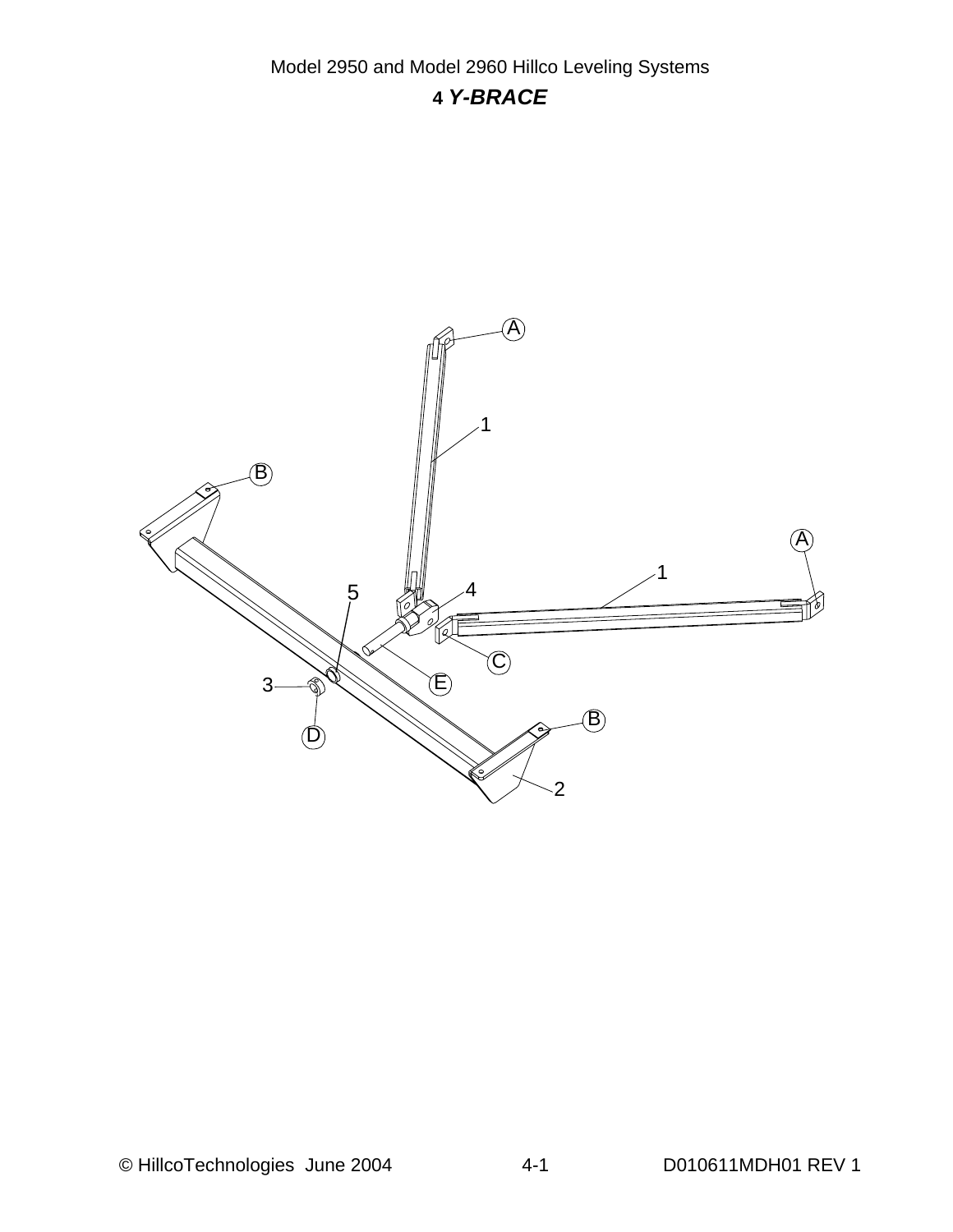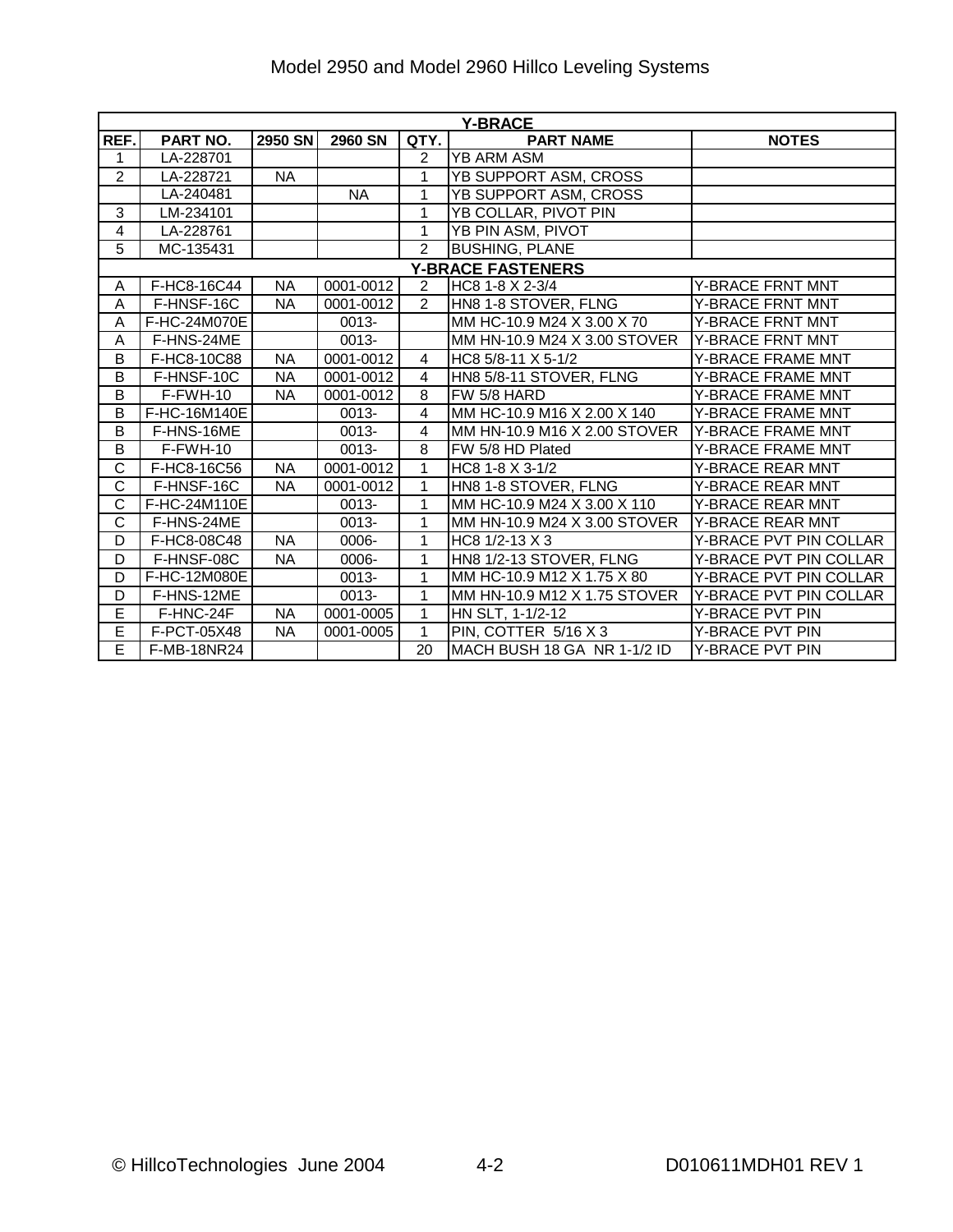| Model 2950 and Model 2960 Hillco Leveling Systems |  |
|---------------------------------------------------|--|
|---------------------------------------------------|--|

|                       | <b>Y-BRACE</b>     |           |                |                |                              |                          |  |  |  |  |
|-----------------------|--------------------|-----------|----------------|----------------|------------------------------|--------------------------|--|--|--|--|
| REF.                  | PART NO.           | 2950 SN   | <b>2960 SN</b> | QTY.           | <b>PART NAME</b>             | <b>NOTES</b>             |  |  |  |  |
| 1                     | LA-228701          |           |                | 2              | YB ARM ASM                   |                          |  |  |  |  |
| $\overline{2}$        | LA-228721          | <b>NA</b> |                | 1              | YB SUPPORT ASM, CROSS        |                          |  |  |  |  |
|                       | LA-240481          |           | <b>NA</b>      | 1              | YB SUPPORT ASM, CROSS        |                          |  |  |  |  |
| 3                     | LM-234101          |           |                | 1              | YB COLLAR, PIVOT PIN         |                          |  |  |  |  |
| 4                     | LA-228761          |           |                | 1              | YB PIN ASM, PIVOT            |                          |  |  |  |  |
| 5                     | MC-135431          |           |                | $\overline{2}$ | <b>BUSHING, PLANE</b>        |                          |  |  |  |  |
|                       |                    |           |                |                | <b>Y-BRACE FASTENERS</b>     |                          |  |  |  |  |
| A                     | F-HC8-16C44        | <b>NA</b> | 0001-0012      | $\overline{2}$ | HC8 1-8 X 2-3/4              | Y-BRACE FRNT MNT         |  |  |  |  |
| A                     | F-HNSF-16C         | <b>NA</b> | 0001-0012      | $\overline{2}$ | HN8 1-8 STOVER, FLNG         | Y-BRACE FRNT MNT         |  |  |  |  |
| A                     | F-HC-24M070E       |           | $0013 -$       |                | MM HC-10.9 M24 X 3.00 X 70   | Y-BRACE FRNT MNT         |  |  |  |  |
| Α                     | F-HNS-24ME         |           | $0013 -$       |                | MM HN-10.9 M24 X 3.00 STOVER | <b>Y-BRACE FRNT MNT</b>  |  |  |  |  |
| B                     | F-HC8-10C88        | <b>NA</b> | 0001-0012      | 4              | HC8 5/8-11 X 5-1/2           | Y-BRACE FRAME MNT        |  |  |  |  |
| B                     | F-HNSF-10C         | <b>NA</b> | 0001-0012      | 4              | HN8 5/8-11 STOVER, FLNG      | Y-BRACE FRAME MNT        |  |  |  |  |
| B                     | F-FWH-10           | <b>NA</b> | 0001-0012      | 8              | FW 5/8 HARD                  | Y-BRACE FRAME MNT        |  |  |  |  |
| B                     | F-HC-16M140E       |           | 0013-          | 4              | MM HC-10.9 M16 X 2.00 X 140  | Y-BRACE FRAME MNT        |  |  |  |  |
| B                     | F-HNS-16ME         |           | 0013-          | 4              | MM HN-10.9 M16 X 2.00 STOVER | <b>Y-BRACE FRAME MNT</b> |  |  |  |  |
| B                     | $F-FWH-10$         |           | 0013-          | 8              | FW 5/8 HD Plated             | Y-BRACE FRAME MNT        |  |  |  |  |
| $\overline{\text{c}}$ | F-HC8-16C56        | <b>NA</b> | 0001-0012      | 1              | HC8 1-8 X 3-1/2              | Y-BRACE REAR MNT         |  |  |  |  |
| C                     | F-HNSF-16C         | <b>NA</b> | 0001-0012      | $\mathbf{1}$   | HN8 1-8 STOVER, FLNG         | <b>Y-BRACE REAR MNT</b>  |  |  |  |  |
| $\overline{\text{c}}$ | F-HC-24M110E       |           | 0013-          | 1              | MM HC-10.9 M24 X 3.00 X 110  | Y-BRACE REAR MNT         |  |  |  |  |
| C                     | F-HNS-24ME         |           | 0013-          | 1              | MM HN-10.9 M24 X 3.00 STOVER | <b>Y-BRACE REAR MNT</b>  |  |  |  |  |
| D                     | F-HC8-08C48        | <b>NA</b> | 0006-          | 1              | HC8 1/2-13 X 3               | Y-BRACE PVT PIN COLLAR   |  |  |  |  |
| D                     | F-HNSF-08C         | <b>NA</b> | 0006-          | 1              | HN8 1/2-13 STOVER, FLNG      | Y-BRACE PVT PIN COLLAR   |  |  |  |  |
| D                     | F-HC-12M080E       |           | 0013-          | 1              | MM HC-10.9 M12 X 1.75 X 80   | Y-BRACE PVT PIN COLLAR   |  |  |  |  |
| D                     | F-HNS-12ME         |           | 0013-          | 1              | MM HN-10.9 M12 X 1.75 STOVER | Y-BRACE PVT PIN COLLAR   |  |  |  |  |
| E                     | F-HNC-24F          | <b>NA</b> | 0001-0005      | 1              | HN SLT, 1-1/2-12             | Y-BRACE PVT PIN          |  |  |  |  |
| Ē                     | F-PCT-05X48        | <b>NA</b> | 0001-0005      | $\mathbf{1}$   | PIN, COTTER 5/16 X 3         | Y-BRACE PVT PIN          |  |  |  |  |
| E                     | <b>F-MB-18NR24</b> |           |                | 20             | MACH BUSH 18 GA NR 1-1/2 ID  | Y-BRACE PVT PIN          |  |  |  |  |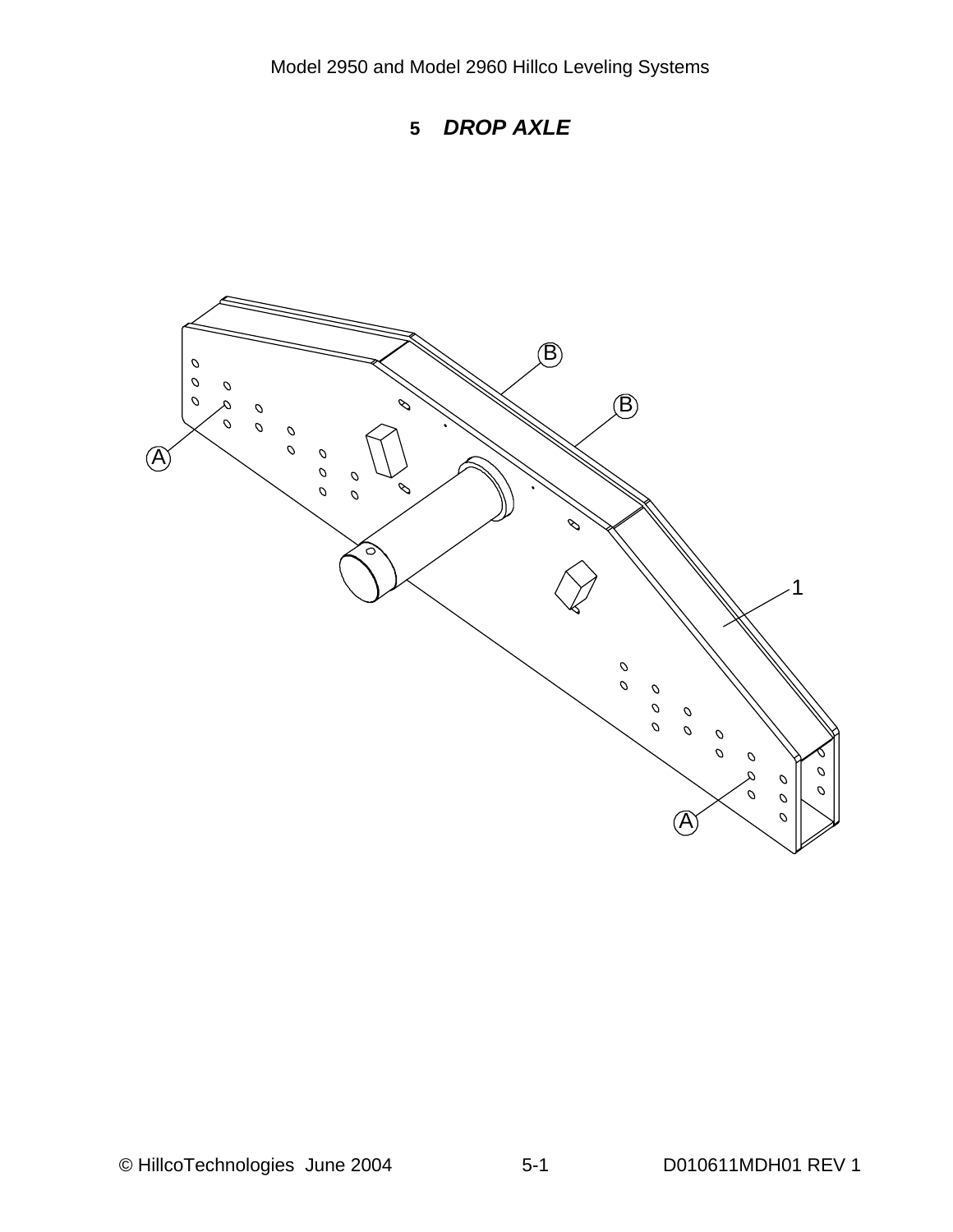

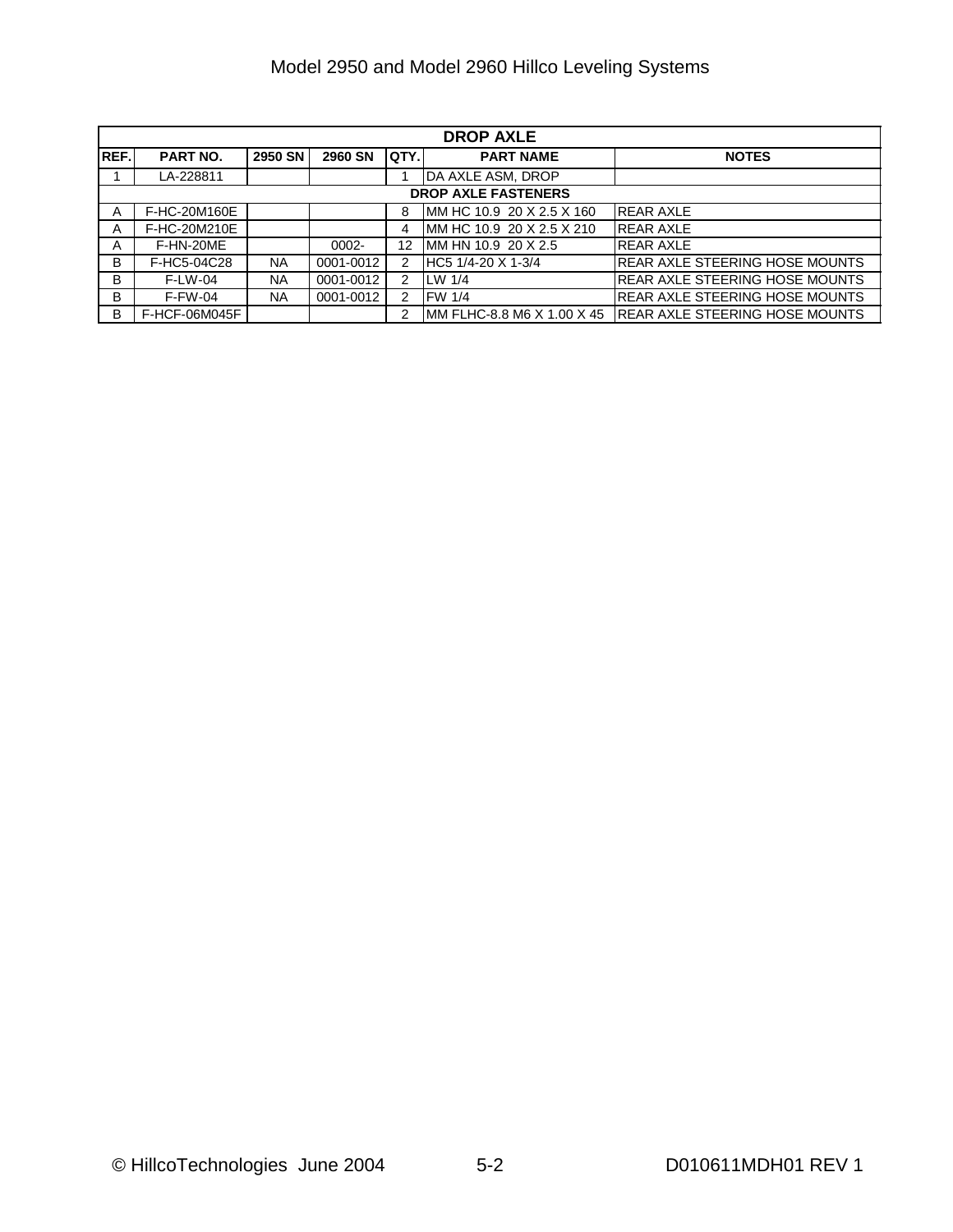|             | <b>DROP AXLE</b>           |           |                |       |                            |                                        |  |  |  |
|-------------|----------------------------|-----------|----------------|-------|----------------------------|----------------------------------------|--|--|--|
| <b>REF.</b> | <b>PART NO.</b>            | 2950 SN   | <b>2960 SN</b> | QTY.I | <b>PART NAME</b>           | <b>NOTES</b>                           |  |  |  |
|             | LA-228811                  |           |                |       | DA AXLE ASM, DROP          |                                        |  |  |  |
|             | <b>DROP AXLE FASTENERS</b> |           |                |       |                            |                                        |  |  |  |
| A           | F-HC-20M160E               |           |                | 8     | IMM HC 10.9 20 X 2.5 X 160 | <b>REAR AXLE</b>                       |  |  |  |
| A           | F-HC-20M210E               |           |                | 4     | MM HC 10.9 20 X 2.5 X 210  | <b>REAR AXLE</b>                       |  |  |  |
| A           | F-HN-20ME                  |           | $0002 -$       | 12    | MM HN 10.9 20 X 2.5        | <b>REAR AXLE</b>                       |  |  |  |
| B           | F-HC5-04C28                | NA.       | 0001-0012      | 2     | HC5 1/4-20 X 1-3/4         | <b>IREAR AXLE STEERING HOSE MOUNTS</b> |  |  |  |
| B           | $F-LW-04$                  | <b>NA</b> | 0001-0012      | 2     | LW 1/4                     | <b>IREAR AXLE STEERING HOSE MOUNTS</b> |  |  |  |
| B           | $F-FW-04$                  | NA.       | 0001-0012      | 2     | FW 1/4                     | <b>REAR AXLE STEERING HOSE MOUNTS</b>  |  |  |  |
| B           | F-HCF-06M045F              |           |                | 2     | MM FLHC-8.8 M6 X 1.00 X 45 | <b>REAR AXLE STEERING HOSE MOUNTS</b>  |  |  |  |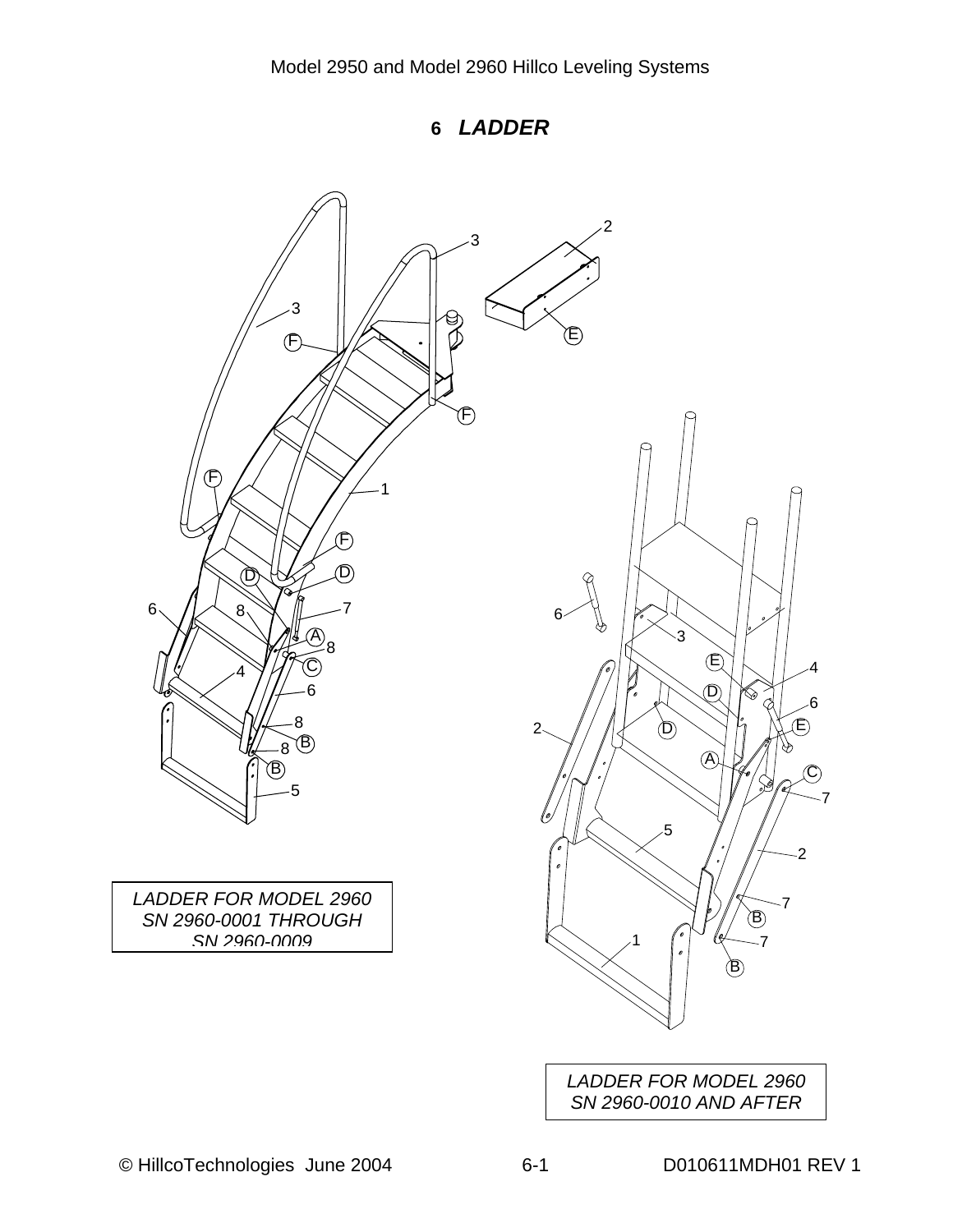**6** *LADDER* 

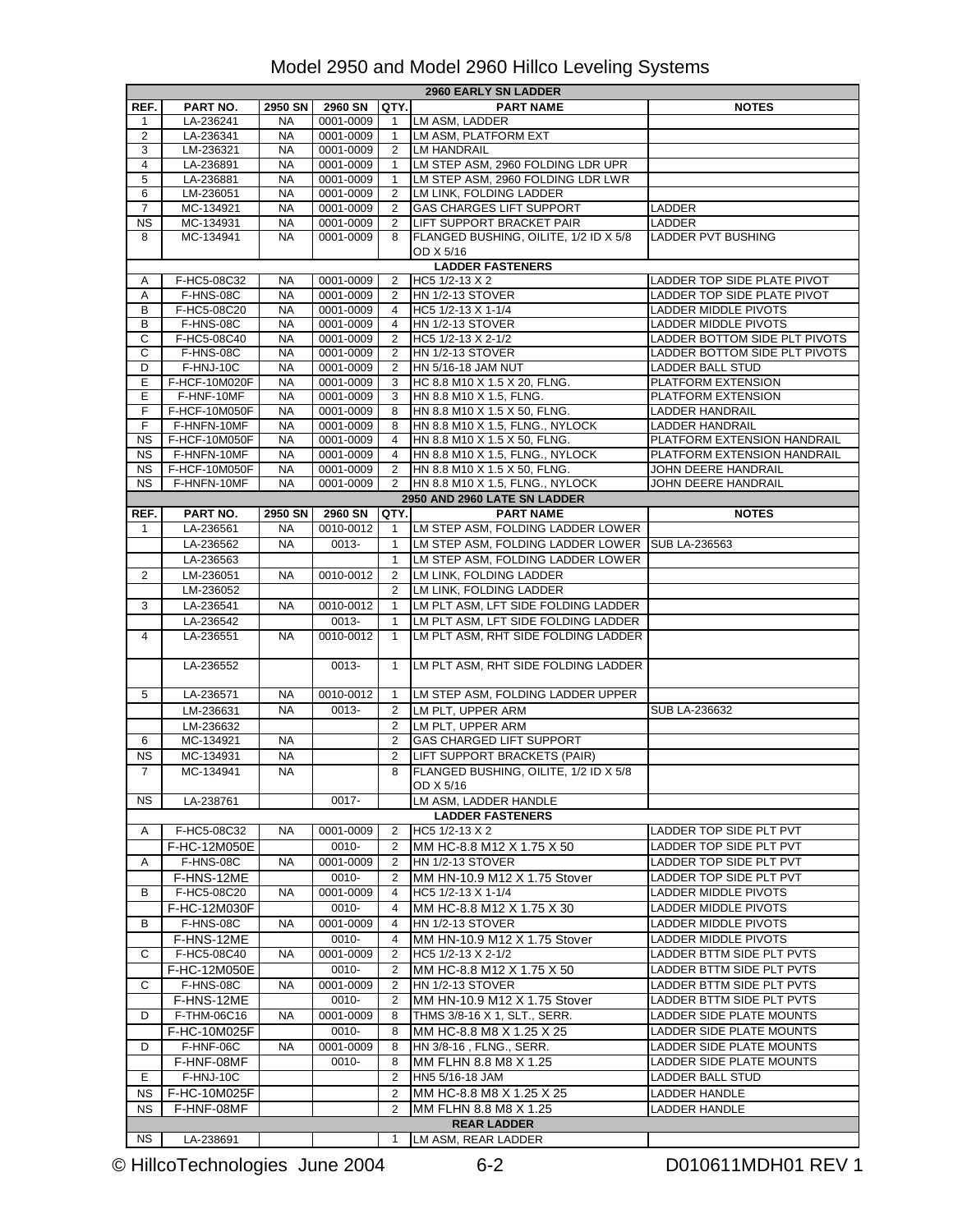|                        | <b>2960 EARLY SN LADDER</b> |           |           |                |                                                 |                                |  |  |
|------------------------|-----------------------------|-----------|-----------|----------------|-------------------------------------------------|--------------------------------|--|--|
| REF.                   | PART NO.                    | 2950 SN   | 2960 SN   | QTY.           | <b>PART NAME</b>                                | <b>NOTES</b>                   |  |  |
| 1                      | LA-236241                   | NA        | 0001-0009 | $\mathbf{1}$   | LM ASM, LADDER                                  |                                |  |  |
| $\overline{2}$         | LA-236341                   | <b>NA</b> | 0001-0009 | $\mathbf{1}$   | LM ASM, PLATFORM EXT                            |                                |  |  |
|                        |                             |           |           |                |                                                 |                                |  |  |
| 3                      | LM-236321                   | <b>NA</b> | 0001-0009 | 2              | LM HANDRAIL                                     |                                |  |  |
| $\overline{4}$         | LA-236891                   | <b>NA</b> | 0001-0009 | $\mathbf{1}$   | LM STEP ASM, 2960 FOLDING LDR UPR               |                                |  |  |
| 5                      | LA-236881                   | <b>NA</b> | 0001-0009 | 1              | LM STEP ASM, 2960 FOLDING LDR LWR               |                                |  |  |
| 6                      | LM-236051                   | <b>NA</b> | 0001-0009 | 2              | LM LINK, FOLDING LADDER                         |                                |  |  |
| $\overline{7}$         | MC-134921                   | <b>NA</b> | 0001-0009 | 2              | GAS CHARGES LIFT SUPPORT                        | LADDER                         |  |  |
| $\overline{\text{NS}}$ | MC-134931                   | <b>NA</b> | 0001-0009 | 2              | LIFT SUPPORT BRACKET PAIR                       | LADDER                         |  |  |
| 8                      | MC-134941                   | <b>NA</b> | 0001-0009 | 8              | FLANGED BUSHING, OILITE, 1/2 ID X 5/8           | <b>LADDER PVT BUSHING</b>      |  |  |
|                        |                             |           |           |                | OD X 5/16                                       |                                |  |  |
|                        |                             |           |           |                |                                                 |                                |  |  |
|                        |                             |           |           |                | <b>LADDER FASTENERS</b>                         |                                |  |  |
| A                      | F-HC5-08C32                 | <b>NA</b> | 0001-0009 | 2              | HC5 1/2-13 X 2                                  | LADDER TOP SIDE PLATE PIVOT    |  |  |
| Α                      | F-HNS-08C                   | <b>NA</b> | 0001-0009 | 2              | HN 1/2-13 STOVER                                | LADDER TOP SIDE PLATE PIVOT    |  |  |
| В                      | F-HC5-08C20                 | <b>NA</b> | 0001-0009 | 4              | HC5 1/2-13 X 1-1/4                              | LADDER MIDDLE PIVOTS           |  |  |
| в                      | F-HNS-08C                   | <b>NA</b> | 0001-0009 | 4              | <b>HN 1/2-13 STOVER</b>                         | LADDER MIDDLE PIVOTS           |  |  |
| С                      | F-HC5-08C40                 | NA        | 0001-0009 | 2              | HC5 1/2-13 X 2-1/2                              | LADDER BOTTOM SIDE PLT PIVOTS  |  |  |
| C                      | F-HNS-08C                   | <b>NA</b> | 0001-0009 | 2              | <b>HN 1/2-13 STOVER</b>                         | LADDER BOTTOM SIDE PLT PIVOTS  |  |  |
| D                      | F-HNJ-10C                   | <b>NA</b> | 0001-0009 | 2              | HN 5/16-18 JAM NUT                              | <b>LADDER BALL STUD</b>        |  |  |
| E                      | F-HCF-10M020F               | <b>NA</b> | 0001-0009 | 3              | HC 8.8 M10 X 1.5 X 20, FLNG.                    | PLATFORM EXTENSION             |  |  |
|                        |                             |           |           |                |                                                 |                                |  |  |
| E.                     | F-HNF-10MF                  | <b>NA</b> | 0001-0009 | 3              | HN 8.8 M10 X 1.5, FLNG.                         | PLATFORM EXTENSION             |  |  |
| F                      | F-HCF-10M050F               | <b>NA</b> | 0001-0009 | 8              | HN 8.8 M10 X 1.5 X 50, FLNG.                    | <b>LADDER HANDRAIL</b>         |  |  |
| F                      | F-HNFN-10MF                 | <b>NA</b> | 0001-0009 | 8              | HN 8.8 M10 X 1.5, FLNG., NYLOCK                 | <b>LADDER HANDRAIL</b>         |  |  |
| <b>NS</b>              | F-HCF-10M050F               | <b>NA</b> | 0001-0009 | 4              | HN 8.8 M10 X 1.5 X 50, FLNG.                    | PLATFORM EXTENSION HANDRAIL    |  |  |
| <b>NS</b>              | F-HNFN-10MF                 | <b>NA</b> | 0001-0009 | $\overline{4}$ | HN 8.8 M10 X 1.5, FLNG., NYLOCK                 | PLATFORM EXTENSION HANDRAIL    |  |  |
| <b>NS</b>              | F-HCF-10M050F               | NA        | 0001-0009 | 2              | HN 8.8 M10 X 1.5 X 50, FLNG.                    | JOHN DEERE HANDRAIL            |  |  |
| <b>NS</b>              | F-HNFN-10MF                 | <b>NA</b> | 0001-0009 | 2              | HN 8.8 M10 X 1.5, FLNG., NYLOCK                 | JOHN DEERE HANDRAIL            |  |  |
|                        |                             |           |           |                | 2950 AND 2960 LATE SN LADDER                    |                                |  |  |
|                        |                             |           |           |                |                                                 |                                |  |  |
| REF.                   | PART NO.                    | 2950 SN   | 2960 SN   | QTY.           | <b>PART NAME</b>                                | <b>NOTES</b>                   |  |  |
| 1                      | LA-236561                   | <b>NA</b> | 0010-0012 | $\mathbf{1}$   | LM STEP ASM, FOLDING LADDER LOWER               |                                |  |  |
|                        | LA-236562                   | <b>NA</b> | 0013-     | $\mathbf{1}$   | LM STEP ASM, FOLDING LADDER LOWER SUB LA-236563 |                                |  |  |
|                        | LA-236563                   |           |           | $\mathbf{1}$   | LM STEP ASM, FOLDING LADDER LOWER               |                                |  |  |
| $\overline{2}$         | LM-236051                   | <b>NA</b> | 0010-0012 | 2              | LM LINK, FOLDING LADDER                         |                                |  |  |
|                        |                             |           |           |                |                                                 |                                |  |  |
|                        | LM-236052                   |           |           | 2              | LM LINK, FOLDING LADDER                         |                                |  |  |
| 3                      | LA-236541                   | <b>NA</b> | 0010-0012 | $\mathbf{1}$   | LM PLT ASM, LFT SIDE FOLDING LADDER             |                                |  |  |
|                        | LA-236542                   |           | 0013-     | $\mathbf{1}$   | LM PLT ASM, LFT SIDE FOLDING LADDER             |                                |  |  |
| $\overline{4}$         | LA-236551                   | <b>NA</b> | 0010-0012 | $\mathbf{1}$   | LM PLT ASM, RHT SIDE FOLDING LADDER             |                                |  |  |
|                        |                             |           |           |                |                                                 |                                |  |  |
|                        | LA-236552                   |           | 0013-     | $\mathbf{1}$   | LM PLT ASM, RHT SIDE FOLDING LADDER             |                                |  |  |
|                        |                             |           |           |                |                                                 |                                |  |  |
|                        |                             |           |           |                |                                                 |                                |  |  |
| 5                      | LA-236571                   | <b>NA</b> | 0010-0012 | 1              | LM STEP ASM, FOLDING LADDER UPPER               |                                |  |  |
|                        | LM-236631                   | <b>NA</b> | 0013-     | 2              | LM PLT, UPPER ARM                               | <b>SUB LA-236632</b>           |  |  |
|                        | LM-236632                   |           |           | 2              | LM PLT, UPPER ARM                               |                                |  |  |
| 6                      | MC-134921                   | <b>NA</b> |           | 2              | <b>GAS CHARGED LIFT SUPPORT</b>                 |                                |  |  |
| <b>NS</b>              | MC-134931                   | <b>NA</b> |           | 2              | LIFT SUPPORT BRACKETS (PAIR)                    |                                |  |  |
| $\overline{7}$         | MC-134941                   | NA        |           | 8              | FLANGED BUSHING, OILITE, 1/2 ID X 5/8           |                                |  |  |
|                        |                             |           |           |                |                                                 |                                |  |  |
|                        |                             |           |           |                | OD X 5/16                                       |                                |  |  |
| <b>NS</b>              | LA-238761                   |           | 0017-     |                | LM ASM, LADDER HANDLE                           |                                |  |  |
|                        |                             |           |           |                | <b>LADDER FASTENERS</b>                         |                                |  |  |
| A                      | F-HC5-08C32                 | <b>NA</b> | 0001-0009 | 2              | HC5 1/2-13 X 2                                  | <b>LADDER TOP SIDE PLT PVT</b> |  |  |
|                        | F-HC-12M050E                |           | 0010-     | 2              | MM HC-8.8 M12 X 1.75 X 50                       | LADDER TOP SIDE PLT PVT        |  |  |
| Α                      | F-HNS-08C                   | <b>NA</b> | 0001-0009 | 2              | <b>HN 1/2-13 STOVER</b>                         | LADDER TOP SIDE PLT PVT        |  |  |
|                        |                             |           |           |                |                                                 |                                |  |  |
|                        | F-HNS-12ME                  |           | 0010-     | 2              | MM HN-10.9 M12 X 1.75 Stover                    | LADDER TOP SIDE PLT PVT        |  |  |
| В                      | F-HC5-08C20                 | <b>NA</b> | 0001-0009 | 4              | HC5 1/2-13 X 1-1/4                              | LADDER MIDDLE PIVOTS           |  |  |
|                        | F-HC-12M030F                |           | 0010-     | 4              | MM HC-8.8 M12 X 1.75 X 30                       | LADDER MIDDLE PIVOTS           |  |  |
| B                      | F-HNS-08C                   | NA        | 0001-0009 | 4              | <b>HN 1/2-13 STOVER</b>                         | LADDER MIDDLE PIVOTS           |  |  |
|                        | F-HNS-12ME                  |           | 0010-     | 4              | MM HN-10.9 M12 X 1.75 Stover                    | LADDER MIDDLE PIVOTS           |  |  |
|                        |                             |           |           |                |                                                 | LADDER BTTM SIDE PLT PVTS      |  |  |
| С                      | F-HC5-08C40                 | NA.       | 0001-0009 | 2              | HC5 1/2-13 X 2-1/2                              |                                |  |  |
|                        | F-HC-12M050E                |           | 0010-     | 2              | MM HC-8.8 M12 X 1.75 X 50                       | LADDER BTTM SIDE PLT PVTS      |  |  |
| С                      | F-HNS-08C                   | NA        | 0001-0009 | 2              | HN 1/2-13 STOVER                                | LADDER BTTM SIDE PLT PVTS      |  |  |
|                        | F-HNS-12ME                  |           | 0010-     | 2              | MM HN-10.9 M12 X 1.75 Stover                    | LADDER BTTM SIDE PLT PVTS      |  |  |
| D                      | F-THM-06C16                 | NA.       | 0001-0009 | 8              | THMS 3/8-16 X 1, SLT., SERR.                    | LADDER SIDE PLATE MOUNTS       |  |  |
|                        |                             |           |           |                |                                                 |                                |  |  |
|                        | F-HC-10M025F                |           | 0010-     | 8              | MM HC-8.8 M8 X 1.25 X 25                        | LADDER SIDE PLATE MOUNTS       |  |  |
| D                      | F-HNF-06C                   | NA        | 0001-0009 | 8              | HN 3/8-16, FLNG., SERR.                         | LADDER SIDE PLATE MOUNTS       |  |  |
|                        | F-HNF-08MF                  |           | 0010-     | 8              | MM FLHN 8.8 M8 X 1.25                           | LADDER SIDE PLATE MOUNTS       |  |  |
| Е                      | F-HNJ-10C                   |           |           | 2              | HN5 5/16-18 JAM                                 | LADDER BALL STUD               |  |  |
| <b>NS</b>              | F-HC-10M025F                |           |           | 2              | MM HC-8.8 M8 X 1.25 X 25                        | LADDER HANDLE                  |  |  |
| <b>NS</b>              | F-HNF-08MF                  |           |           | 2              | MM FLHN 8.8 M8 X 1.25                           |                                |  |  |
|                        |                             |           |           |                |                                                 | LADDER HANDLE                  |  |  |
|                        |                             |           |           |                | <b>REAR LADDER</b>                              |                                |  |  |
| NS                     | LA-238691                   |           |           | 1              | LM ASM, REAR LADDER                             |                                |  |  |

© HillcoTechnologies June 2004 6-2 D010611MDH01 REV 1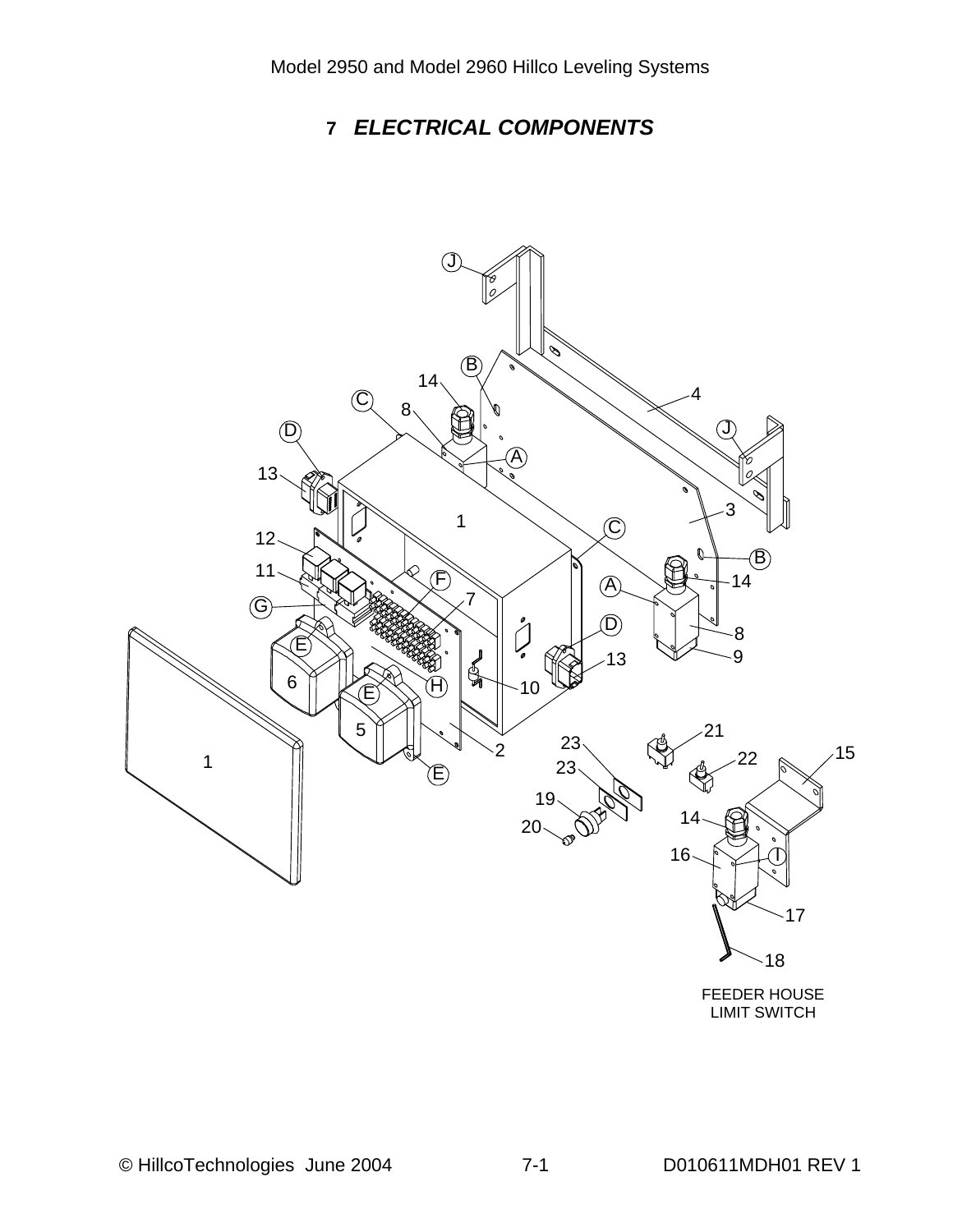# **7** *ELECTRICAL COMPONENTS*

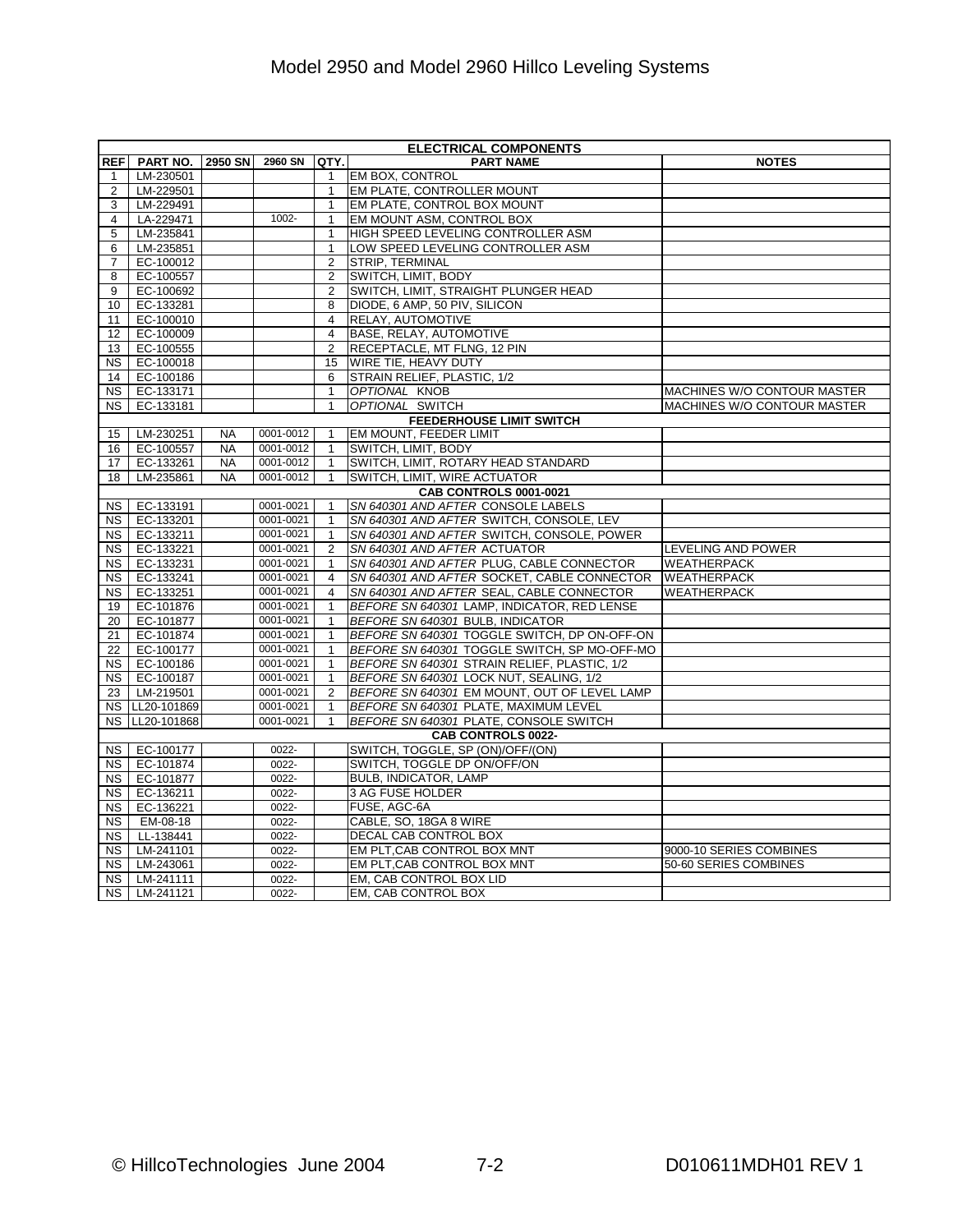|                 | <b>ELECTRICAL COMPONENTS</b>  |                |           |                                |                                                                     |                             |  |  |  |
|-----------------|-------------------------------|----------------|-----------|--------------------------------|---------------------------------------------------------------------|-----------------------------|--|--|--|
| <b>REF</b>      | PART NO.                      | <b>2950 SN</b> | 2960 SN   | QTY.                           | <b>PART NAME</b>                                                    | <b>NOTES</b>                |  |  |  |
| 1               | LM-230501                     |                |           | $\mathbf{1}$                   | EM BOX, CONTROL                                                     |                             |  |  |  |
| 2               | LM-229501                     |                |           | $\mathbf{1}$                   | EM PLATE, CONTROLLER MOUNT                                          |                             |  |  |  |
| 3               | LM-229491                     |                |           | $\mathbf{1}$                   | EM PLATE, CONTROL BOX MOUNT                                         |                             |  |  |  |
| 4               | LA-229471                     |                | 1002-     | $\mathbf{1}$                   | EM MOUNT ASM, CONTROL BOX                                           |                             |  |  |  |
| 5               | LM-235841                     |                |           | $\mathbf{1}$                   | HIGH SPEED LEVELING CONTROLLER ASM                                  |                             |  |  |  |
| 6               | LM-235851                     |                |           | $\mathbf{1}$                   | LOW SPEED LEVELING CONTROLLER ASM                                   |                             |  |  |  |
| $\overline{7}$  | EC-100012                     |                |           | $\overline{2}$                 | STRIP, TERMINAL                                                     |                             |  |  |  |
| 8               | EC-100557                     |                |           | $\overline{2}$                 | SWITCH, LIMIT, BODY                                                 |                             |  |  |  |
| 9               | EC-100692                     |                |           | $\overline{2}$                 | SWITCH, LIMIT, STRAIGHT PLUNGER HEAD                                |                             |  |  |  |
| 10              | EC-133281                     |                |           | 8                              | DIODE, 6 AMP, 50 PIV, SILICON                                       |                             |  |  |  |
| 11              | EC-100010                     |                |           | $\overline{4}$                 | RELAY, AUTOMOTIVE                                                   |                             |  |  |  |
| 12              | EC-100009                     |                |           | 4                              | BASE, RELAY, AUTOMOTIVE                                             |                             |  |  |  |
| 13              | EC-100555                     |                |           | $\overline{2}$                 | RECEPTACLE, MT FLNG, 12 PIN                                         |                             |  |  |  |
| <b>NS</b>       | EC-100018                     |                |           | 15                             | WIRE TIE, HEAVY DUTY                                                |                             |  |  |  |
| 14              | EC-100186                     |                |           | 6                              | STRAIN RELIEF, PLASTIC, 1/2                                         |                             |  |  |  |
| NS.             | EC-133171                     |                |           | $\mathbf{1}$                   | OPTIONAL KNOB                                                       | MACHINES W/O CONTOUR MASTER |  |  |  |
| <b>NS</b>       | EC-133181                     |                |           | $\mathbf{1}$                   | OPTIONAL SWITCH                                                     | MACHINES W/O CONTOUR MASTER |  |  |  |
|                 |                               |                |           |                                | <b>FEEDERHOUSE LIMIT SWITCH</b>                                     |                             |  |  |  |
| 15 <sub>1</sub> | LM-230251                     | <b>NA</b>      | 0001-0012 | $\mathbf{1}$                   | EM MOUNT, FEEDER LIMIT                                              |                             |  |  |  |
| 16              | EC-100557                     | <b>NA</b>      | 0001-0012 | $\mathbf{1}$                   | SWITCH, LIMIT, BODY                                                 |                             |  |  |  |
| 17              | EC-133261                     | <b>NA</b>      | 0001-0012 | $\mathbf{1}$                   | SWITCH, LIMIT, ROTARY HEAD STANDARD                                 |                             |  |  |  |
| 18              | LM-235861                     | <b>NA</b>      | 0001-0012 | $\mathbf{1}$                   | SWITCH, LIMIT, WIRE ACTUATOR                                        |                             |  |  |  |
|                 | <b>CAB CONTROLS 0001-0021</b> |                |           |                                |                                                                     |                             |  |  |  |
| NS              | EC-133191                     |                | 0001-0021 | $\mathbf{1}$                   | SN 640301 AND AFTER CONSOLE LABELS                                  |                             |  |  |  |
| NS              | EC-133201                     |                | 0001-0021 | $\mathbf{1}$                   | SN 640301 AND AFTER SWITCH, CONSOLE, LEV                            |                             |  |  |  |
| <b>NS</b>       | EC-133211                     |                | 0001-0021 | $\mathbf{1}$                   | SN 640301 AND AFTER SWITCH, CONSOLE, POWER                          |                             |  |  |  |
| <b>NS</b>       | EC-133221                     |                | 0001-0021 | $\overline{2}$                 | SN 640301 AND AFTER ACTUATOR                                        | LEVELING AND POWER          |  |  |  |
| NS.             | EC-133231                     |                | 0001-0021 | $\mathbf{1}$                   | SN 640301 AND AFTER PLUG, CABLE CONNECTOR                           | <b>WEATHERPACK</b>          |  |  |  |
| NS.             | EC-133241                     |                | 0001-0021 | $\overline{4}$                 | SN 640301 AND AFTER SOCKET, CABLE CONNECTOR                         | <b>WEATHERPACK</b>          |  |  |  |
| NS              | EC-133251                     |                | 0001-0021 | $\overline{4}$                 | SN 640301 AND AFTER SEAL, CABLE CONNECTOR                           | <b>WEATHERPACK</b>          |  |  |  |
| 19              | EC-101876                     |                | 0001-0021 | $\mathbf{1}$                   | BEFORE SN 640301 LAMP, INDICATOR, RED LENSE                         |                             |  |  |  |
| 20              | EC-101877                     |                | 0001-0021 | $\mathbf{1}$                   | BEFORE SN 640301 BULB, INDICATOR                                    |                             |  |  |  |
| 21              | EC-101874                     |                | 0001-0021 | $\mathbf{1}$                   | BEFORE SN 640301 TOGGLE SWITCH, DP ON-OFF-ON                        |                             |  |  |  |
| 22              | EC-100177                     |                | 0001-0021 | $\mathbf{1}$                   | BEFORE SN 640301 TOGGLE SWITCH, SP MO-OFF-MO                        |                             |  |  |  |
| NS I            | EC-100186                     |                | 0001-0021 | $\mathbf{1}$                   | BEFORE SN 640301 STRAIN RELIEF, PLASTIC, 1/2                        |                             |  |  |  |
|                 | EC-100187                     |                | 0001-0021 |                                | BEFORE SN 640301 LOCK NUT, SEALING, 1/2                             |                             |  |  |  |
| NS              |                               |                | 0001-0021 | $\mathbf{1}$<br>$\overline{2}$ |                                                                     |                             |  |  |  |
| 23              | LM-219501<br>NS LL20-101869   |                | 0001-0021 | $\mathbf{1}$                   | BEFORE SN 640301 EM MOUNT, OUT OF LEVEL LAMP                        |                             |  |  |  |
|                 |                               |                | 0001-0021 | $\mathbf{1}$                   | BEFORE SN 640301 PLATE, MAXIMUM LEVEL                               |                             |  |  |  |
|                 | NS LL20-101868                |                |           |                                | BEFORE SN 640301 PLATE, CONSOLE SWITCH<br><b>CAB CONTROLS 0022-</b> |                             |  |  |  |
|                 |                               |                |           |                                |                                                                     |                             |  |  |  |
| NS              | EC-100177                     |                | 0022-     |                                | SWITCH, TOGGLE, SP (ON)/OFF/(ON)                                    |                             |  |  |  |
| <b>NS</b>       | EC-101874                     |                | 0022-     |                                | SWITCH, TOGGLE DP ON/OFF/ON                                         |                             |  |  |  |
| <b>NS</b>       | EC-101877                     |                | 0022-     |                                | BULB, INDICATOR, LAMP                                               |                             |  |  |  |
| <b>NS</b>       | EC-136211                     |                | 0022-     |                                | 3 AG FUSE HOLDER                                                    |                             |  |  |  |
| <b>NS</b>       | EC-136221                     |                | 0022-     |                                | FUSE, AGC-6A                                                        |                             |  |  |  |
| <b>NS</b>       | EM-08-18                      |                | 0022-     |                                | CABLE, SO, 18GA 8 WIRE                                              |                             |  |  |  |
| NS.             | LL-138441                     |                | 0022-     |                                | DECAL CAB CONTROL BOX                                               |                             |  |  |  |
| NS.             | LM-241101                     |                | 0022-     |                                | EM PLT, CAB CONTROL BOX MNT                                         | 9000-10 SERIES COMBINES     |  |  |  |
| <b>NS</b>       | LM-243061                     |                | 0022-     |                                | EM PLT.CAB CONTROL BOX MNT                                          | 50-60 SERIES COMBINES       |  |  |  |
| NS.             | LM-241111                     |                | 0022-     |                                | EM. CAB CONTROL BOX LID                                             |                             |  |  |  |
| NS I            | LM-241121                     |                | 0022-     |                                | EM, CAB CONTROL BOX                                                 |                             |  |  |  |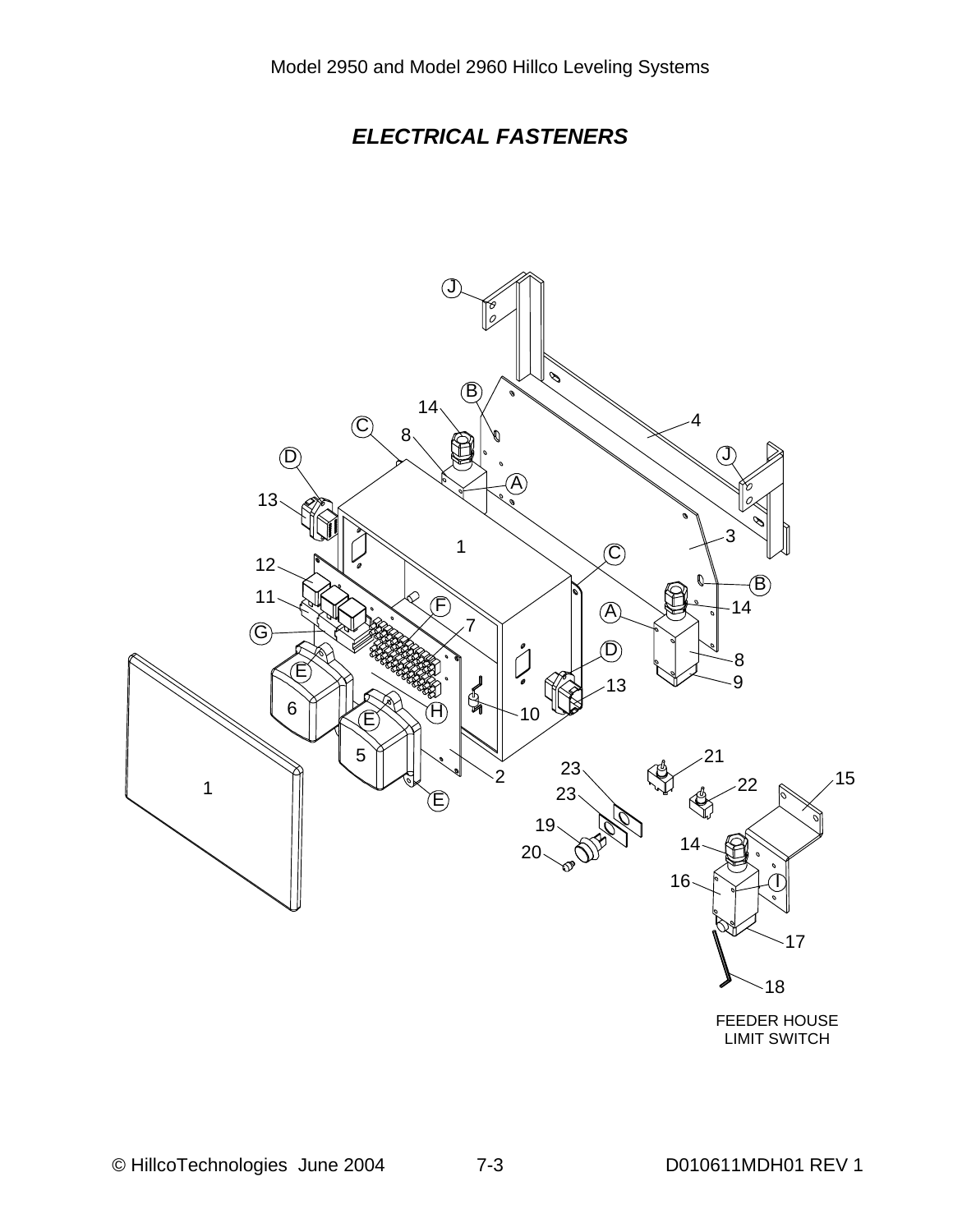# *ELECTRICAL FASTENERS*

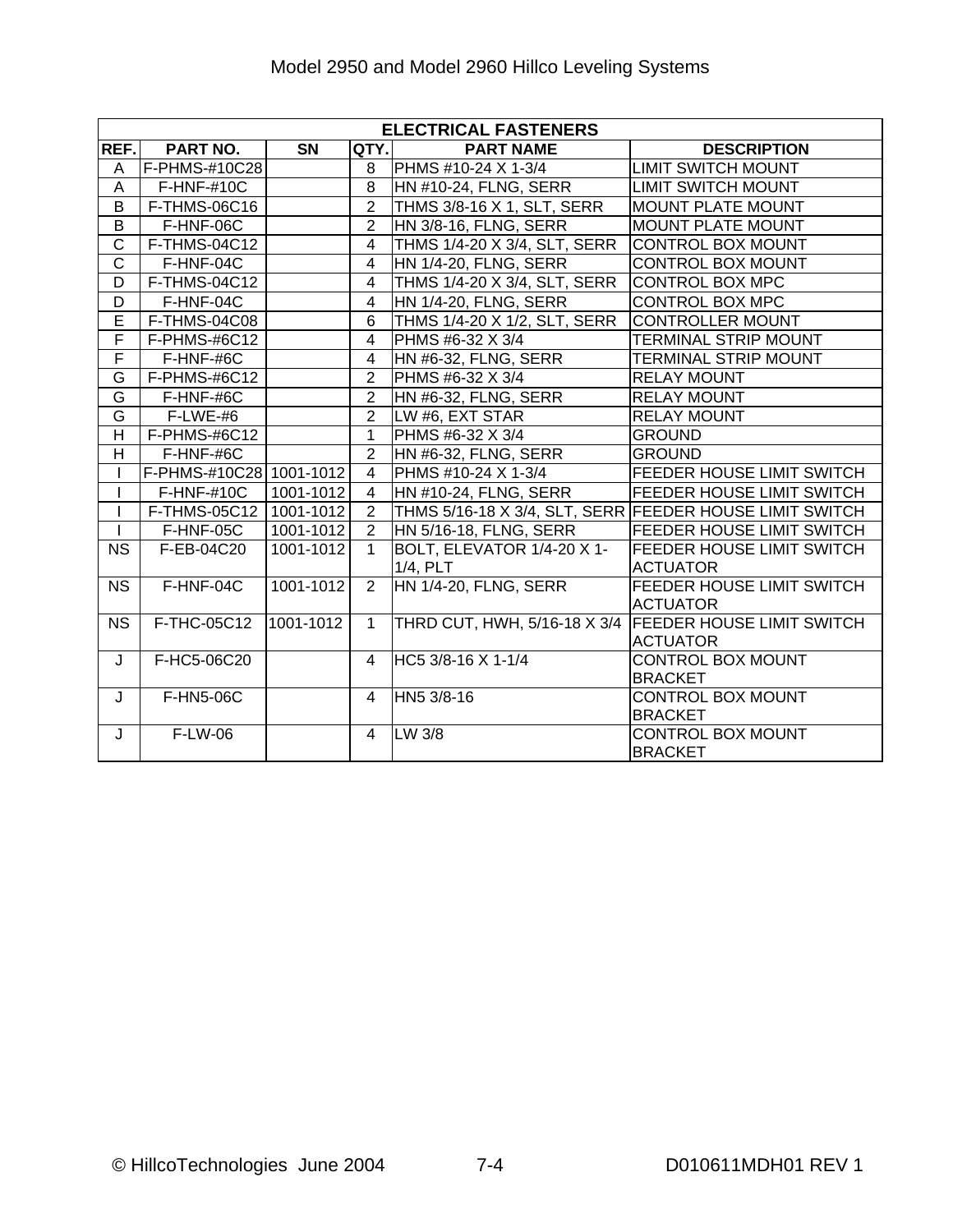|                         | <b>ELECTRICAL FASTENERS</b> |           |                         |                                   |                                                         |  |  |  |  |
|-------------------------|-----------------------------|-----------|-------------------------|-----------------------------------|---------------------------------------------------------|--|--|--|--|
| REF.                    | PART NO.                    | SN        | QTY.                    | <b>PART NAME</b>                  | <b>DESCRIPTION</b>                                      |  |  |  |  |
| Α                       | F-PHMS-#10C28               |           | 8                       | PHMS #10-24 X 1-3/4               | <b>LIMIT SWITCH MOUNT</b>                               |  |  |  |  |
| A                       | $F$ -HNF-#10C               |           | 8                       | HN #10-24, FLNG, SERR             | <b>LIMIT SWITCH MOUNT</b>                               |  |  |  |  |
| $\overline{B}$          | F-THMS-06C16                |           | $\overline{2}$          | THMS 3/8-16 X 1, SLT, SERR        | <b>MOUNT PLATE MOUNT</b>                                |  |  |  |  |
| B                       | F-HNF-06C                   |           | $\overline{2}$          | HN 3/8-16, FLNG, SERR             | <b>MOUNT PLATE MOUNT</b>                                |  |  |  |  |
| $\overline{C}$          | F-THMS-04C12                |           | $\overline{4}$          | THMS 1/4-20 X 3/4, SLT, SERR      | <b>CONTROL BOX MOUNT</b>                                |  |  |  |  |
| $\overline{\text{c}}$   | F-HNF-04C                   |           | $\overline{4}$          | <b>HN 1/4-20, FLNG, SERR</b>      | <b>CONTROL BOX MOUNT</b>                                |  |  |  |  |
| D                       | F-THMS-04C12                |           | 4                       | THMS 1/4-20 X 3/4, SLT, SERR      | <b>CONTROL BOX MPC</b>                                  |  |  |  |  |
| D                       | F-HNF-04C                   |           | $\overline{4}$          | HN 1/4-20, FLNG, SERR             | <b>CONTROL BOX MPC</b>                                  |  |  |  |  |
| Ē                       | F-THMS-04C08                |           | $\overline{6}$          | THMS 1/4-20 X 1/2, SLT, SERR      | <b>CONTROLLER MOUNT</b>                                 |  |  |  |  |
| F                       | F-PHMS-#6C12                |           | $\overline{\mathbf{4}}$ | PHMS #6-32 X 3/4                  | <b>TERMINAL STRIP MOUNT</b>                             |  |  |  |  |
| F                       | F-HNF-#6C                   |           | 4                       | HN #6-32, FLNG, SERR              | <b>TERMINAL STRIP MOUNT</b>                             |  |  |  |  |
| G                       | F-PHMS-#6C12                |           | $\overline{2}$          | PHMS #6-32 X 3/4                  | <b>RELAY MOUNT</b>                                      |  |  |  |  |
| G                       | F-HNF-#6C                   |           | $\overline{2}$          | HN #6-32, FLNG, SERR              | <b>RELAY MOUNT</b>                                      |  |  |  |  |
| G                       | F-LWE-#6                    |           | $\overline{2}$          | LW #6, EXT STAR                   | <b>RELAY MOUNT</b>                                      |  |  |  |  |
| $\overline{\mathsf{H}}$ | F-PHMS-#6C12                |           | $\mathbf{1}$            | PHMS #6-32 X 3/4                  | <b>GROUND</b>                                           |  |  |  |  |
| H.                      | F-HNF-#6C                   |           | $\overline{2}$          | HN #6-32, FLNG, SERR              | <b>GROUND</b>                                           |  |  |  |  |
| T                       | F-PHMS-#10C28 1001-1012     |           | $\overline{\mathbf{4}}$ | PHMS #10-24 X 1-3/4               | FEEDER HOUSE LIMIT SWITCH                               |  |  |  |  |
| T                       | F-HNF-#10C                  | 1001-1012 | 4                       | HN #10-24, FLNG, SERR             | FEEDER HOUSE LIMIT SWITCH                               |  |  |  |  |
| T                       | <b>F-THMS-05C12</b>         | 1001-1012 | $\overline{2}$          |                                   | THMS 5/16-18 X 3/4, SLT, SERR FEEDER HOUSE LIMIT SWITCH |  |  |  |  |
| $\overline{1}$          | F-HNF-05C                   | 1001-1012 | $\overline{2}$          | HN 5/16-18, FLNG, SERR            | <b>FEEDER HOUSE LIMIT SWITCH</b>                        |  |  |  |  |
| <b>NS</b>               | F-EB-04C20                  | 1001-1012 | $\mathbf{1}$            | BOLT, ELEVATOR 1/4-20 X 1-        | <b>FEEDER HOUSE LIMIT SWITCH</b>                        |  |  |  |  |
|                         | F-HNF-04C                   | 1001-1012 | $\overline{2}$          | 1/4, PLT<br>HN 1/4-20, FLNG, SERR | <b>ACTUATOR</b><br><b>FEEDER HOUSE LIMIT SWITCH</b>     |  |  |  |  |
| <b>NS</b>               |                             |           |                         |                                   | <b>ACTUATOR</b>                                         |  |  |  |  |
| <b>NS</b>               | F-THC-05C12                 | 1001-1012 | $\mathbf{1}$            | THRD CUT, HWH, 5/16-18 X 3/4      | <b>FEEDER HOUSE LIMIT SWITCH</b>                        |  |  |  |  |
|                         |                             |           |                         |                                   | <b>ACTUATOR</b>                                         |  |  |  |  |
| J                       | F-HC5-06C20                 |           | $\overline{4}$          | HC5 3/8-16 X 1-1/4                | CONTROL BOX MOUNT<br><b>BRACKET</b>                     |  |  |  |  |
| J                       | F-HN5-06C                   |           | $\overline{4}$          | HN5 3/8-16                        | <b>CONTROL BOX MOUNT</b>                                |  |  |  |  |
|                         |                             |           |                         |                                   | <b>BRACKET</b>                                          |  |  |  |  |
| J                       | F-LW-06                     |           | $\overline{4}$          | LW 3/8                            | <b>CONTROL BOX MOUNT</b><br><b>BRACKET</b>              |  |  |  |  |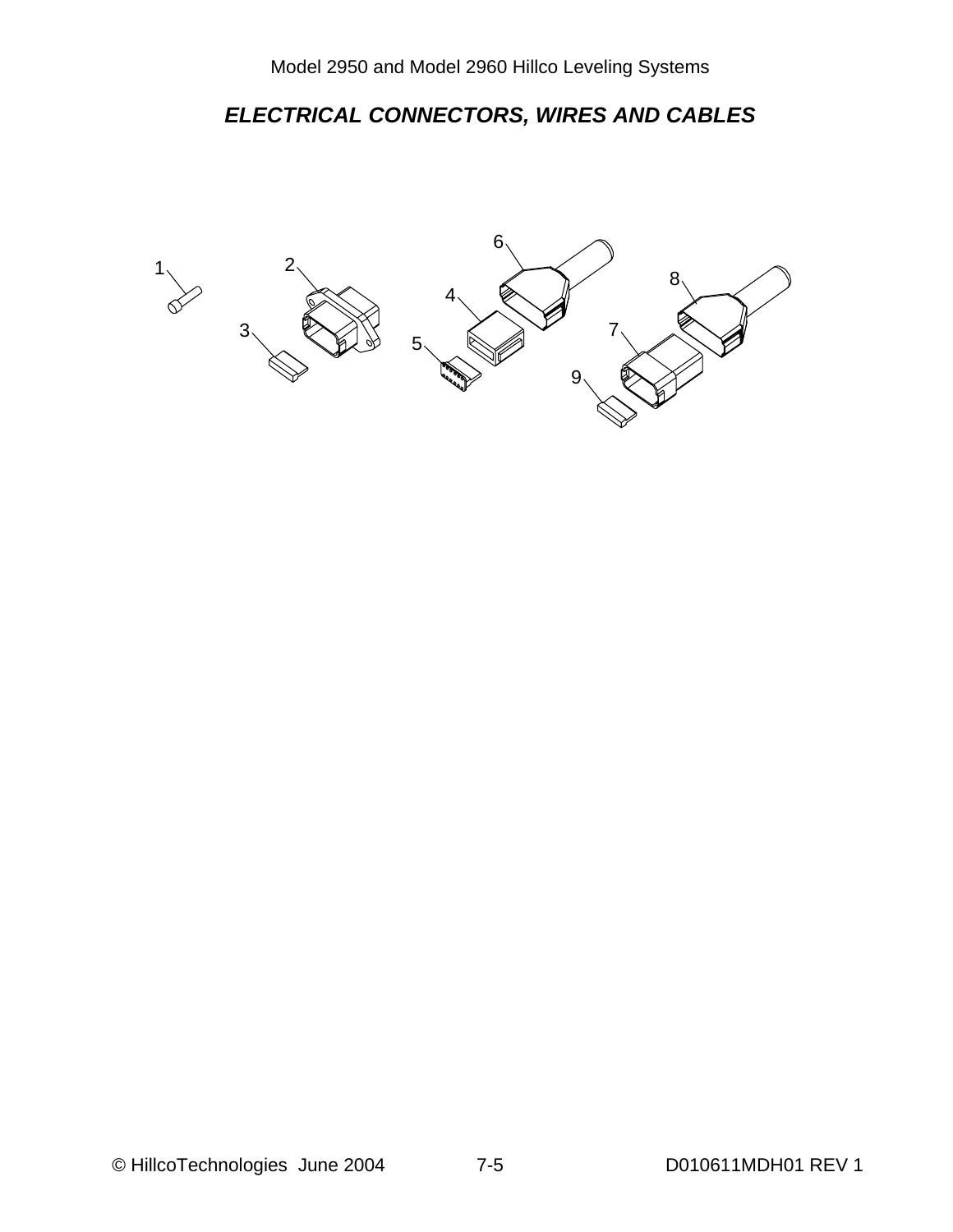# *ELECTRICAL CONNECTORS, WIRES AND CABLES*

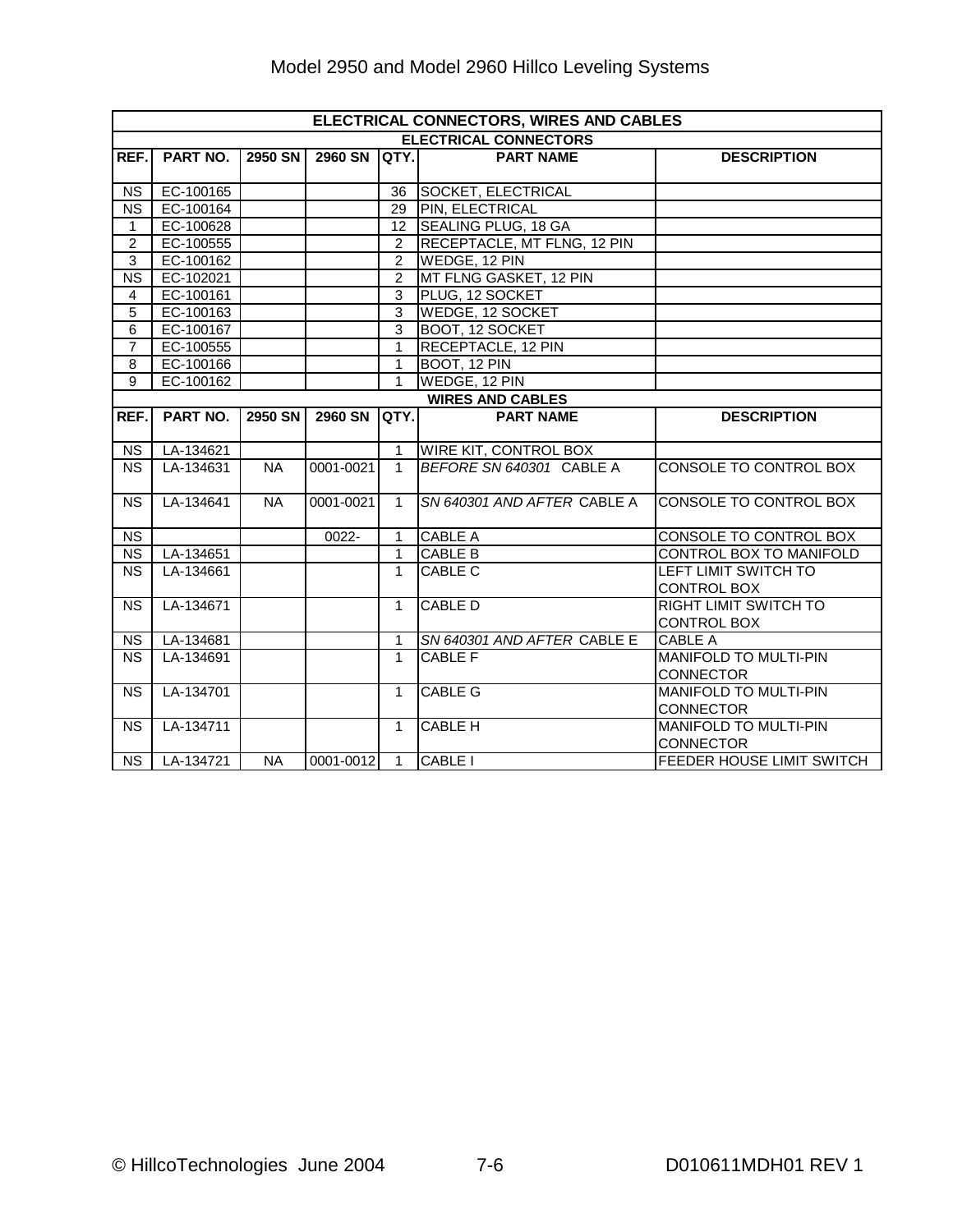|                        | ELECTRICAL CONNECTORS, WIRES AND CABLES |           |                |                 |                              |                              |  |  |  |
|------------------------|-----------------------------------------|-----------|----------------|-----------------|------------------------------|------------------------------|--|--|--|
|                        |                                         |           |                |                 | <b>ELECTRICAL CONNECTORS</b> |                              |  |  |  |
| REF.                   | PART NO.                                | 2950 SN   | <b>2960 SN</b> | <b>IQTY.I</b>   | <b>PART NAME</b>             | <b>DESCRIPTION</b>           |  |  |  |
| <b>NS</b>              | EC-100165                               |           |                | 36              | <b>SOCKET, ELECTRICAL</b>    |                              |  |  |  |
| <b>NS</b>              | EC-100164                               |           |                | 29              | <b>PIN, ELECTRICAL</b>       |                              |  |  |  |
| $\mathbf{1}$           | EC-100628                               |           |                | 12 <sup>2</sup> | SEALING PLUG, 18 GA          |                              |  |  |  |
| $\overline{2}$         | EC-100555                               |           |                | $\overline{2}$  | RECEPTACLE, MT FLNG, 12 PIN  |                              |  |  |  |
| 3                      | EC-100162                               |           |                | 2               | WEDGE, 12 PIN                |                              |  |  |  |
| <b>NS</b>              | EC-102021                               |           |                | $\overline{2}$  | MT FLNG GASKET, 12 PIN       |                              |  |  |  |
| 4                      | EC-100161                               |           |                | $\overline{3}$  | PLUG, 12 SOCKET              |                              |  |  |  |
| 5                      | EC-100163                               |           |                | 3               | <b>WEDGE, 12 SOCKET</b>      |                              |  |  |  |
| 6                      | EC-100167                               |           |                | $\overline{3}$  | BOOT, 12 SOCKET              |                              |  |  |  |
| $\overline{7}$         | EC-100555                               |           |                | $\mathbf{1}$    | <b>RECEPTACLE, 12 PIN</b>    |                              |  |  |  |
| 8                      | EC-100166                               |           |                | $\mathbf{1}$    | BOOT, 12 PIN                 |                              |  |  |  |
| $\overline{9}$         | EC-100162                               |           |                | $\mathbf{1}$    | WEDGE, 12 PIN                |                              |  |  |  |
|                        | <b>WIRES AND CABLES</b>                 |           |                |                 |                              |                              |  |  |  |
| REF.                   | PART NO.                                | 2950 SN   | <b>2960 SN</b> | QTY.            | <b>PART NAME</b>             | <b>DESCRIPTION</b>           |  |  |  |
|                        |                                         |           |                |                 |                              |                              |  |  |  |
| <b>NS</b>              | LA-134621                               |           |                | $\mathbf{1}$    | WIRE KIT, CONTROL BOX        |                              |  |  |  |
| <b>NS</b>              | LA-134631                               | <b>NA</b> | 0001-0021      | $\mathbf{1}$    | BEFORE SN 640301 CABLE A     | CONSOLE TO CONTROL BOX       |  |  |  |
| <b>NS</b>              | LA-134641                               | $N_A$     | 0001-0021      | $\mathbf{1}$    | SN 640301 AND AFTER CABLE A  | CONSOLE TO CONTROL BOX       |  |  |  |
| <b>NS</b>              |                                         |           | 0022-          | 1               | <b>CABLE A</b>               | CONSOLE TO CONTROL BOX       |  |  |  |
| $\overline{\text{NS}}$ | LA-134651                               |           |                | $\mathbf{1}$    | <b>CABLE B</b>               | CONTROL BOX TO MANIFOLD      |  |  |  |
| <b>NS</b>              | LA-134661                               |           |                | $\mathbf{1}$    | <b>CABLE C</b>               | LEFT LIMIT SWITCH TO         |  |  |  |
|                        |                                         |           |                |                 |                              | <b>CONTROL BOX</b>           |  |  |  |
| <b>NS</b>              | LA-134671                               |           |                | $\mathbf{1}$    | <b>CABLE D</b>               | <b>RIGHT LIMIT SWITCH TO</b> |  |  |  |
|                        |                                         |           |                |                 |                              | <b>CONTROL BOX</b>           |  |  |  |
| <b>NS</b>              | LA-134681                               |           |                | 1               | SN 640301 AND AFTER CABLE E  | <b>CABLE A</b>               |  |  |  |
| <b>NS</b>              | LA-134691                               |           |                | $\mathbf{1}$    | <b>CABLE F</b>               | <b>MANIFOLD TO MULTI-PIN</b> |  |  |  |
|                        |                                         |           |                |                 |                              | CONNECTOR                    |  |  |  |
| <b>NS</b>              | LA-134701                               |           |                | $\mathbf{1}$    | <b>CABLE G</b>               | <b>MANIFOLD TO MULTI-PIN</b> |  |  |  |
|                        |                                         |           |                |                 |                              | <b>CONNECTOR</b>             |  |  |  |
| <b>NS</b>              | LA-134711                               |           |                | $\mathbf{1}$    | <b>CABLE H</b>               | <b>MANIFOLD TO MULTI-PIN</b> |  |  |  |
|                        |                                         |           |                |                 |                              | <b>CONNECTOR</b>             |  |  |  |
| <b>NS</b>              | LA-134721                               | <b>NA</b> | 0001-0012      | $\overline{1}$  | CABLE I                      | FEEDER HOUSE LIMIT SWITCH    |  |  |  |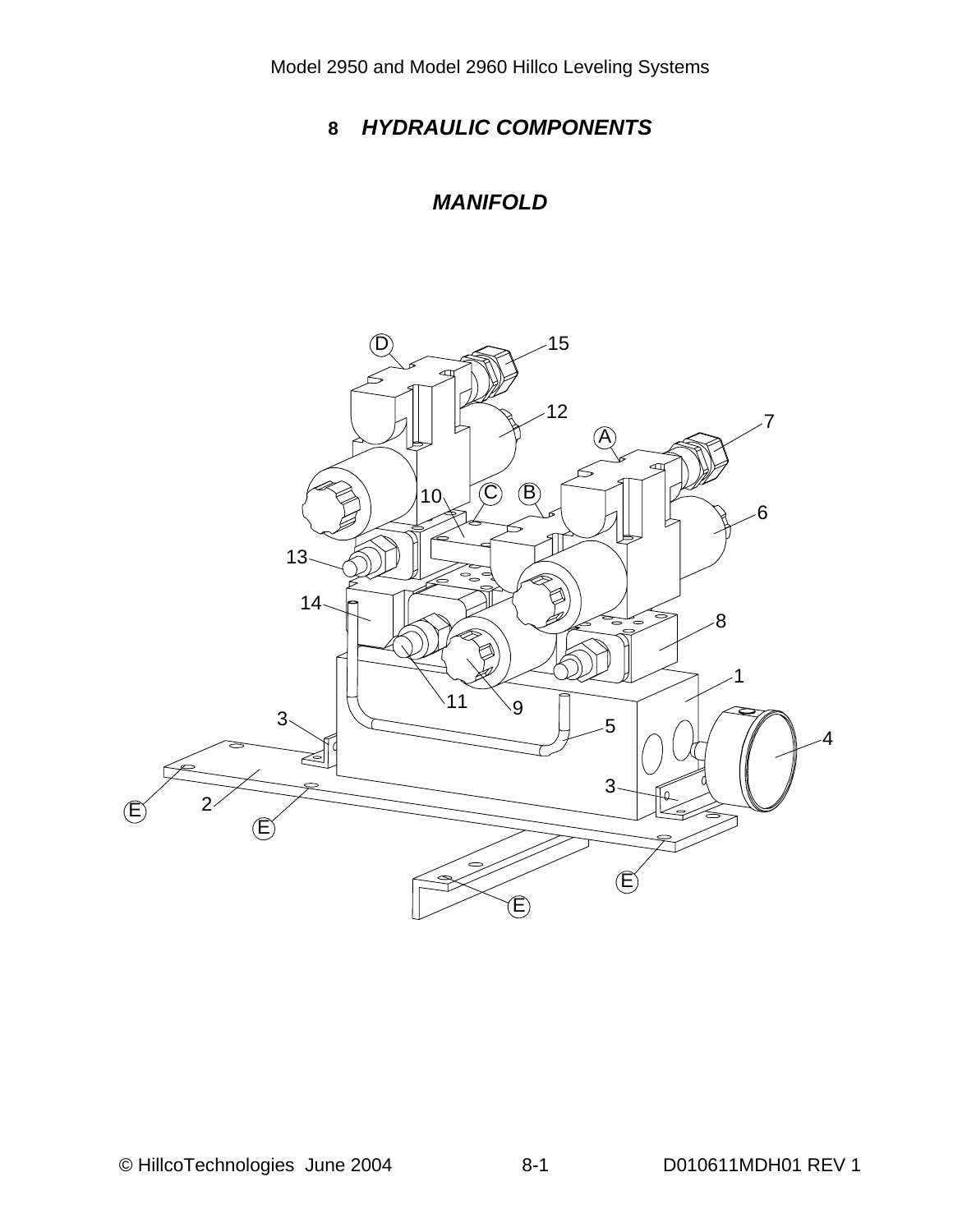# *HYDRAULIC COMPONENTS*

#### *MANIFOLD*

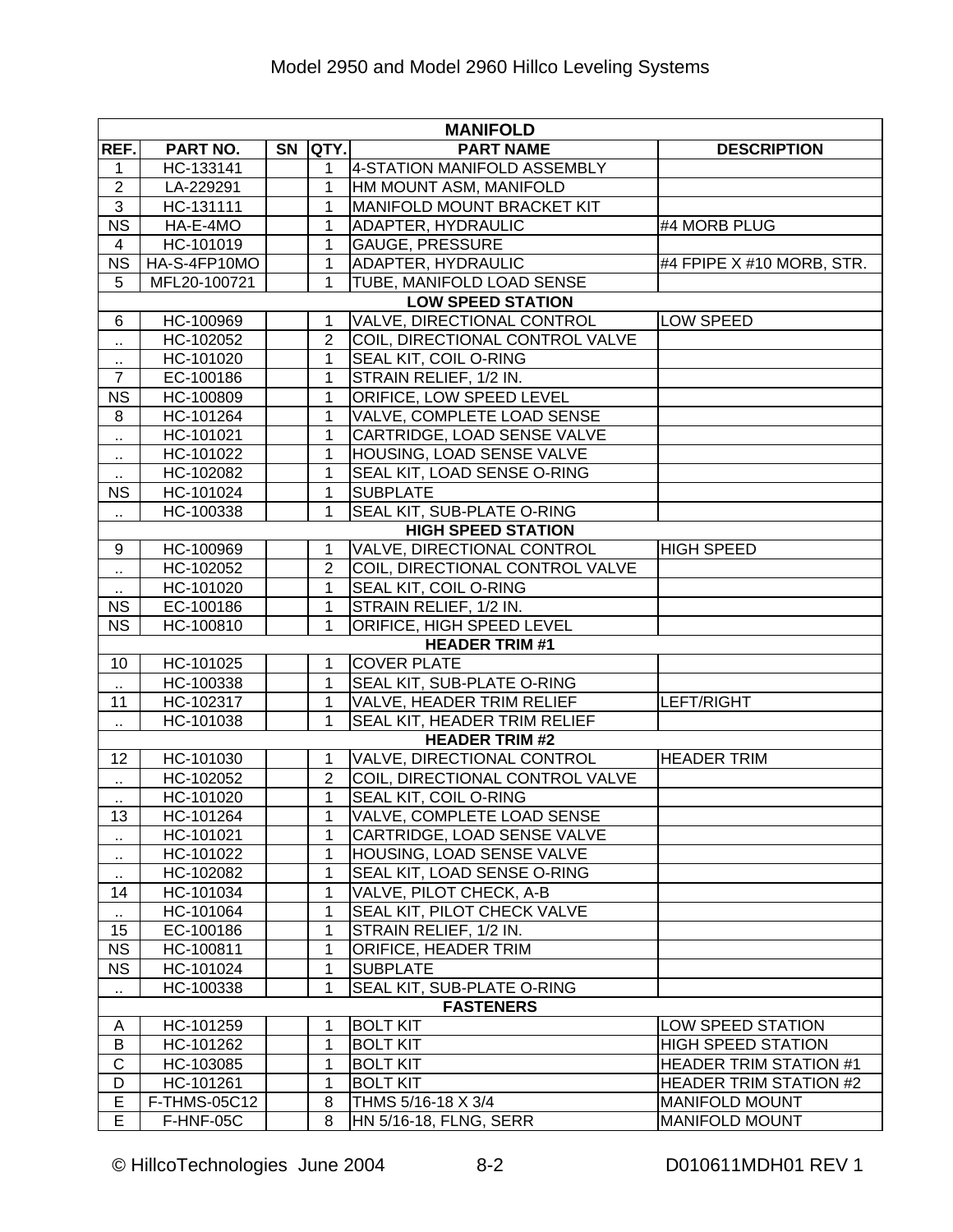| <b>MANIFOLD</b>        |              |           |                |                                    |                               |  |  |  |
|------------------------|--------------|-----------|----------------|------------------------------------|-------------------------------|--|--|--|
| REF.                   | PART NO.     | <b>SN</b> | <b>QTY.</b>    | <b>PART NAME</b>                   | <b>DESCRIPTION</b>            |  |  |  |
| 1                      | HC-133141    |           | $\mathbf 1$    | 4-STATION MANIFOLD ASSEMBLY        |                               |  |  |  |
| $\overline{2}$         | LA-229291    |           | $\mathbf{1}$   | HM MOUNT ASM, MANIFOLD             |                               |  |  |  |
| $\overline{3}$         | HC-131111    |           | $\mathbf{1}$   | MANIFOLD MOUNT BRACKET KIT         |                               |  |  |  |
| <b>NS</b>              | HA-E-4MO     |           | 1              | <b>ADAPTER, HYDRAULIC</b>          | #4 MORB PLUG                  |  |  |  |
| $\overline{4}$         | HC-101019    |           | $\mathbf{1}$   | <b>GAUGE, PRESSURE</b>             |                               |  |  |  |
| $\overline{\text{NS}}$ | HA-S-4FP10MO |           | $\mathbf{1}$   | <b>ADAPTER, HYDRAULIC</b>          | #4 FPIPE X #10 MORB, STR.     |  |  |  |
| 5                      | MFL20-100721 |           | $\mathbf{1}$   | TUBE, MANIFOLD LOAD SENSE          |                               |  |  |  |
|                        |              |           |                | <b>LOW SPEED STATION</b>           |                               |  |  |  |
| 6                      | HC-100969    |           | 1              | VALVE, DIRECTIONAL CONTROL         | LOW SPEED                     |  |  |  |
| Ω,                     | HC-102052    |           | $\overline{2}$ | COIL, DIRECTIONAL CONTROL VALVE    |                               |  |  |  |
| $\cdot$ .              | HC-101020    |           | $\mathbf{1}$   | <b>SEAL KIT, COIL O-RING</b>       |                               |  |  |  |
| $\overline{7}$         | EC-100186    |           | 1              | STRAIN RELIEF, 1/2 IN.             |                               |  |  |  |
| <b>NS</b>              | HC-100809    |           | $\mathbf{1}$   | <b>ORIFICE, LOW SPEED LEVEL</b>    |                               |  |  |  |
| 8                      | HC-101264    |           | $\mathbf{1}$   | VALVE, COMPLETE LOAD SENSE         |                               |  |  |  |
| н,                     | HC-101021    |           | 1              | CARTRIDGE, LOAD SENSE VALVE        |                               |  |  |  |
| $\cdot$ .              | HC-101022    |           | 1              | HOUSING, LOAD SENSE VALVE          |                               |  |  |  |
| $\sim$                 | HC-102082    |           | 1              | SEAL KIT, LOAD SENSE O-RING        |                               |  |  |  |
| <b>NS</b>              | HC-101024    |           | $\mathbf{1}$   | <b>SUBPLATE</b>                    |                               |  |  |  |
| $\ddotsc$              | HC-100338    |           | 1              | SEAL KIT, SUB-PLATE O-RING         |                               |  |  |  |
|                        |              |           |                | <b>HIGH SPEED STATION</b>          |                               |  |  |  |
| 9                      | HC-100969    |           | $\mathbf{1}$   | VALVE, DIRECTIONAL CONTROL         | HIGH SPEED                    |  |  |  |
| Ω,                     | HC-102052    |           | $\overline{2}$ | COIL, DIRECTIONAL CONTROL VALVE    |                               |  |  |  |
| ο.                     | HC-101020    |           | $\mathbf{1}$   | <b>SEAL KIT, COIL O-RING</b>       |                               |  |  |  |
| <b>NS</b>              | EC-100186    |           | $\mathbf{1}$   | STRAIN RELIEF, 1/2 IN.             |                               |  |  |  |
| <b>NS</b>              | HC-100810    |           | $\mathbf{1}$   | <b>ORIFICE, HIGH SPEED LEVEL</b>   |                               |  |  |  |
|                        |              |           |                | <b>HEADER TRIM #1</b>              |                               |  |  |  |
| 10                     | HC-101025    |           | $\mathbf{1}$   | <b>COVER PLATE</b>                 |                               |  |  |  |
| $\ddot{\phantom{1}}$   | HC-100338    |           | $\mathbf{1}$   | SEAL KIT, SUB-PLATE O-RING         |                               |  |  |  |
| 11                     | HC-102317    |           | $\mathbf{1}$   | VALVE, HEADER TRIM RELIEF          | LEFT/RIGHT                    |  |  |  |
| $\sim$                 | HC-101038    |           | 1              | SEAL KIT, HEADER TRIM RELIEF       |                               |  |  |  |
|                        |              |           |                | <b>HEADER TRIM #2</b>              |                               |  |  |  |
| 12 <sup>2</sup>        | HC-101030    |           | $\mathbf{1}$   | VALVE, DIRECTIONAL CONTROL         | <b>HEADER TRIM</b>            |  |  |  |
| $\ddotsc$              | HC-102052    |           | $\overline{2}$ | COIL, DIRECTIONAL CONTROL VALVE    |                               |  |  |  |
|                        | HC-101020    |           | $\mathbf{1}$   | <b>SEAL KIT, COIL O-RING</b>       |                               |  |  |  |
| 13                     | HC-101264    |           | 1 <sup>1</sup> | VALVE, COMPLETE LOAD SENSE         |                               |  |  |  |
| $\ddot{\phantom{1}}$   | HC-101021    |           | 1              | CARTRIDGE, LOAD SENSE VALVE        |                               |  |  |  |
| $\cdot$ .              | HC-101022    |           | 1              | HOUSING, LOAD SENSE VALVE          |                               |  |  |  |
| $\sim$                 | HC-102082    |           | 1              | SEAL KIT, LOAD SENSE O-RING        |                               |  |  |  |
| 14                     | HC-101034    |           | 1              | VALVE, PILOT CHECK, A-B            |                               |  |  |  |
| $\cdot$ .              | HC-101064    |           | 1              | <b>SEAL KIT, PILOT CHECK VALVE</b> |                               |  |  |  |
| 15                     | EC-100186    |           | 1              | STRAIN RELIEF, 1/2 IN.             |                               |  |  |  |
| <b>NS</b>              | HC-100811    |           | 1              | <b>ORIFICE, HEADER TRIM</b>        |                               |  |  |  |
| <b>NS</b>              | HC-101024    |           | 1              | <b>SUBPLATE</b>                    |                               |  |  |  |
|                        | HC-100338    |           | 1              | <b>SEAL KIT, SUB-PLATE O-RING</b>  |                               |  |  |  |
|                        |              |           |                | <b>FASTENERS</b>                   |                               |  |  |  |
| A                      | HC-101259    |           | 1              | <b>BOLT KIT</b>                    | LOW SPEED STATION             |  |  |  |
| B                      | HC-101262    |           | 1              | <b>BOLT KIT</b>                    | <b>HIGH SPEED STATION</b>     |  |  |  |
| C                      | HC-103085    |           | 1              | <b>BOLT KIT</b>                    | <b>HEADER TRIM STATION #1</b> |  |  |  |
| D                      | HC-101261    |           | 1              | <b>BOLT KIT</b>                    | <b>HEADER TRIM STATION #2</b> |  |  |  |
| E                      | F-THMS-05C12 |           | 8              | THMS 5/16-18 X 3/4                 | <b>MANIFOLD MOUNT</b>         |  |  |  |
| E                      | F-HNF-05C    |           | 8              | HN 5/16-18, FLNG, SERR             | <b>MANIFOLD MOUNT</b>         |  |  |  |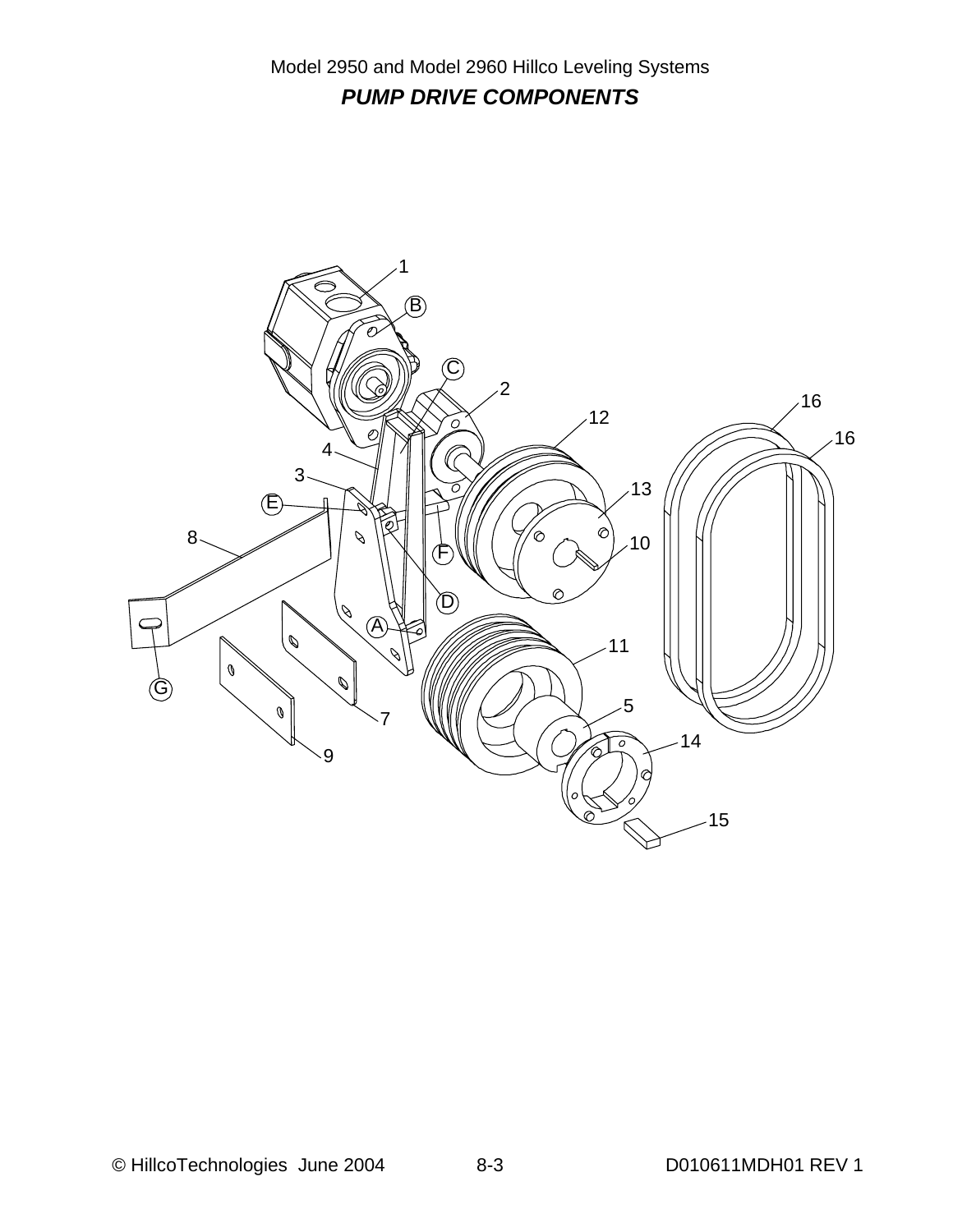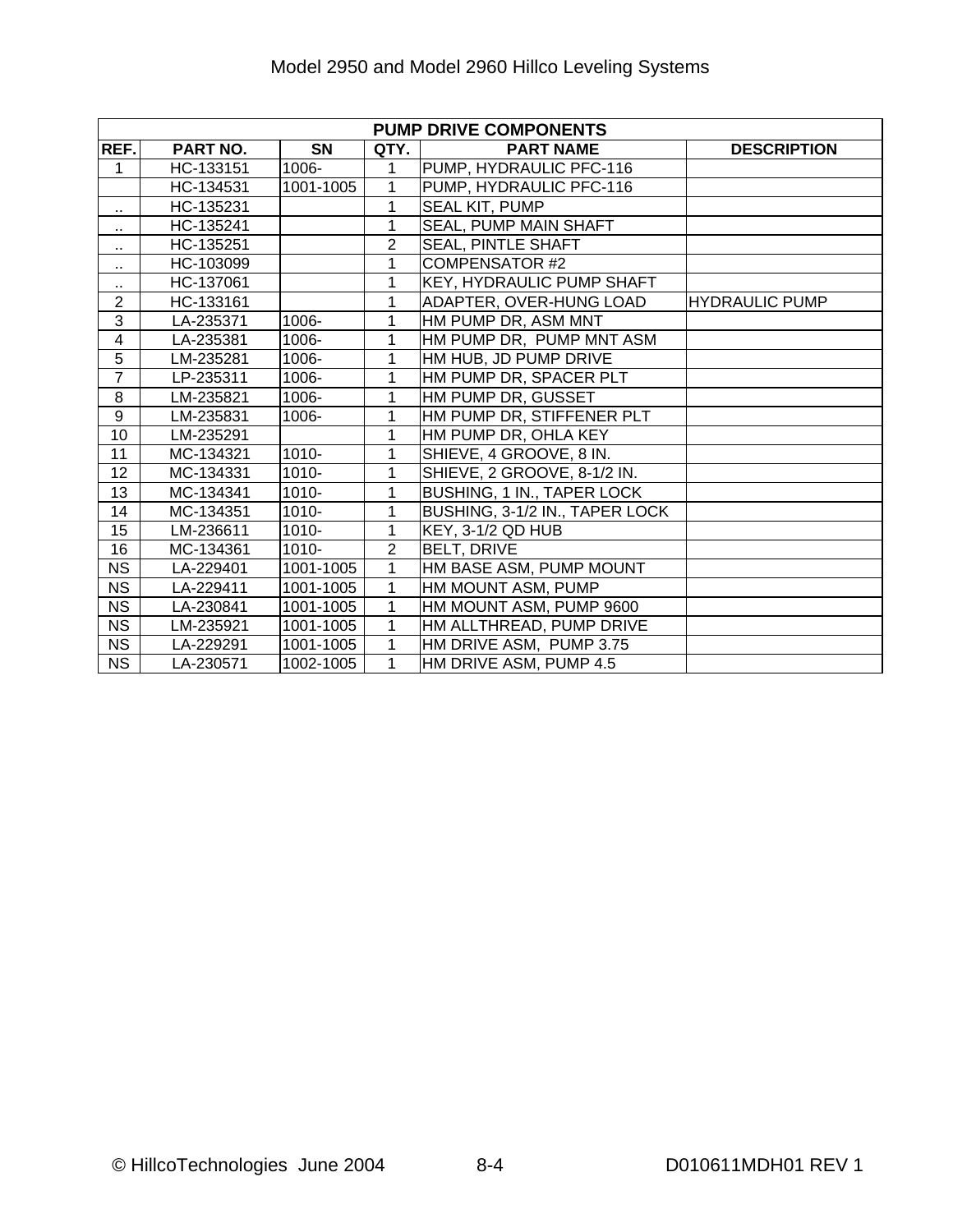|                         | <b>PUMP DRIVE COMPONENTS</b> |           |                |                                  |                       |  |  |  |  |  |
|-------------------------|------------------------------|-----------|----------------|----------------------------------|-----------------------|--|--|--|--|--|
| REF.                    | PART NO.                     | <b>SN</b> | QTY.           | <b>PART NAME</b>                 | <b>DESCRIPTION</b>    |  |  |  |  |  |
| 1                       | HC-133151                    | 1006-     | 1              | PUMP, HYDRAULIC PFC-116          |                       |  |  |  |  |  |
|                         | HC-134531                    | 1001-1005 | 1              | PUMP, HYDRAULIC PFC-116          |                       |  |  |  |  |  |
| $\sim$                  | HC-135231                    |           | $\mathbf 1$    | <b>SEAL KIT, PUMP</b>            |                       |  |  |  |  |  |
| ٠.                      | HC-135241                    |           | 1              | SEAL, PUMP MAIN SHAFT            |                       |  |  |  |  |  |
| ٠.                      | HC-135251                    |           | $\overline{2}$ | <b>SEAL, PINTLE SHAFT</b>        |                       |  |  |  |  |  |
| $\cdot$ .               | HC-103099                    |           | 1              | <b>COMPENSATOR #2</b>            |                       |  |  |  |  |  |
| $\ddot{\phantom{1}}$    | HC-137061                    |           | 1              | <b>KEY, HYDRAULIC PUMP SHAFT</b> |                       |  |  |  |  |  |
| $\overline{2}$          | HC-133161                    |           | 1              | ADAPTER, OVER-HUNG LOAD          | <b>HYDRAULIC PUMP</b> |  |  |  |  |  |
| 3                       | LA-235371                    | 1006-     | 1              | HM PUMP DR, ASM MNT              |                       |  |  |  |  |  |
| $\overline{\mathbf{4}}$ | LA-235381                    | 1006-     | 1              | HM PUMP DR, PUMP MNT ASM         |                       |  |  |  |  |  |
| 5                       | LM-235281                    | 1006-     | $\mathbf{1}$   | HM HUB, JD PUMP DRIVE            |                       |  |  |  |  |  |
| $\overline{7}$          | LP-235311                    | 1006-     | 1              | HM PUMP DR, SPACER PLT           |                       |  |  |  |  |  |
| 8                       | LM-235821                    | 1006-     | 1              | HM PUMP DR, GUSSET               |                       |  |  |  |  |  |
| 9                       | LM-235831                    | 1006-     | 1              | HM PUMP DR, STIFFENER PLT        |                       |  |  |  |  |  |
| 10                      | LM-235291                    |           | $\mathbf{1}$   | HM PUMP DR, OHLA KEY             |                       |  |  |  |  |  |
| 11                      | MC-134321                    | $1010 -$  | 1              | SHIEVE, 4 GROOVE, 8 IN.          |                       |  |  |  |  |  |
| 12                      | MC-134331                    | 1010-     | 1              | SHIEVE, 2 GROOVE, 8-1/2 IN.      |                       |  |  |  |  |  |
| 13                      | MC-134341                    | 1010-     | 1              | BUSHING, 1 IN., TAPER LOCK       |                       |  |  |  |  |  |
| 14                      | MC-134351                    | 1010-     | 1              | BUSHING, 3-1/2 IN., TAPER LOCK   |                       |  |  |  |  |  |
| 15                      | LM-236611                    | $1010 -$  | $\mathbf{1}$   | KEY, 3-1/2 QD HUB                |                       |  |  |  |  |  |
| 16                      | MC-134361                    | $1010 -$  | $\overline{2}$ | <b>BELT, DRIVE</b>               |                       |  |  |  |  |  |
| <b>NS</b>               | LA-229401                    | 1001-1005 | 1              | HM BASE ASM, PUMP MOUNT          |                       |  |  |  |  |  |
| <b>NS</b>               | LA-229411                    | 1001-1005 | $\mathbf{1}$   | HM MOUNT ASM, PUMP               |                       |  |  |  |  |  |
| <b>NS</b>               | LA-230841                    | 1001-1005 | $\mathbf{1}$   | HM MOUNT ASM, PUMP 9600          |                       |  |  |  |  |  |
| <b>NS</b>               | LM-235921                    | 1001-1005 | 1              | HM ALLTHREAD, PUMP DRIVE         |                       |  |  |  |  |  |
| <b>NS</b>               | LA-229291                    | 1001-1005 | 1              | HM DRIVE ASM, PUMP 3.75          |                       |  |  |  |  |  |
| <b>NS</b>               | LA-230571                    | 1002-1005 | $\overline{1}$ | HM DRIVE ASM, PUMP 4.5           |                       |  |  |  |  |  |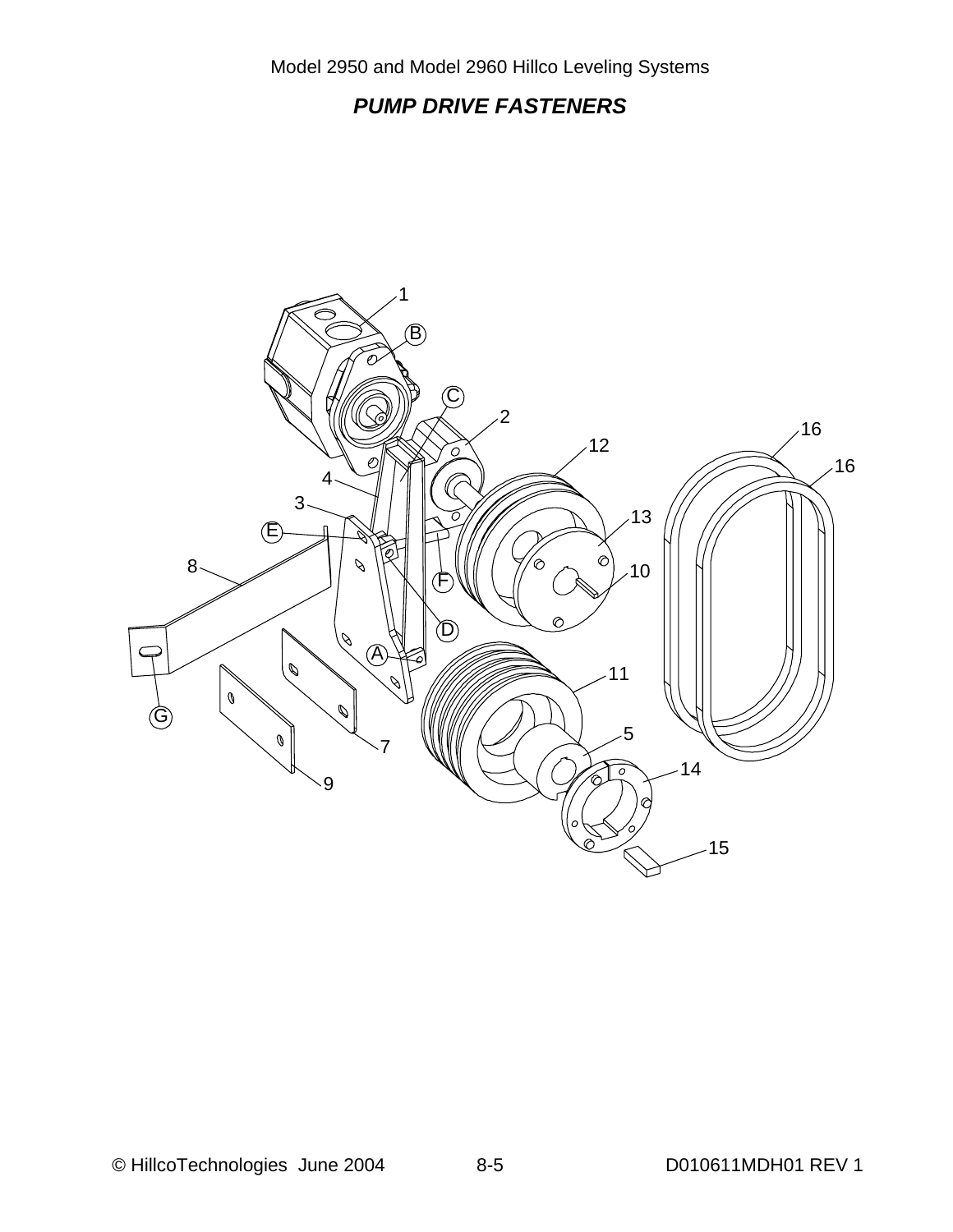# *PUMP DRIVE FASTENERS*

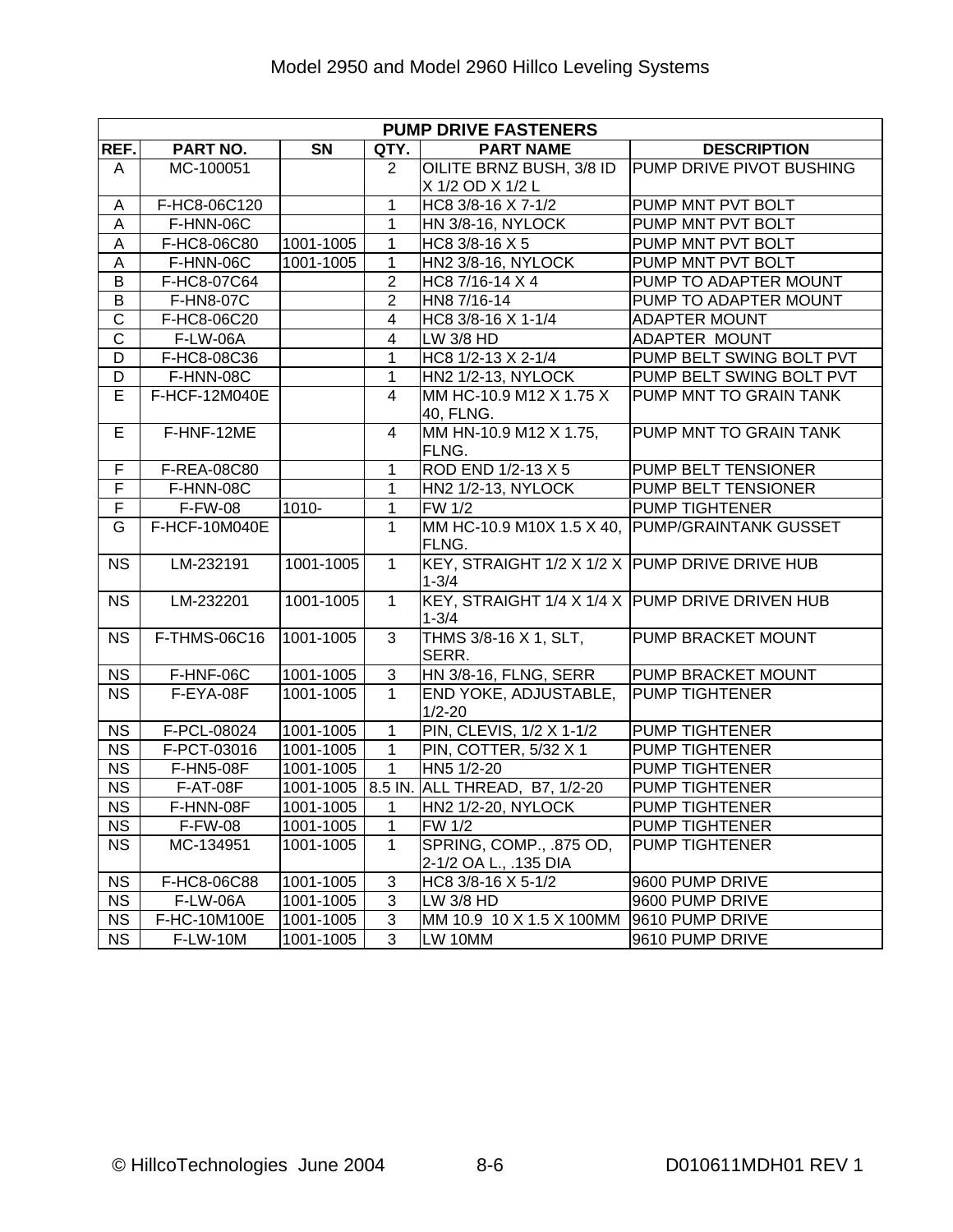|                       | <b>PUMP DRIVE FASTENERS</b> |                        |                |                                                 |                              |  |  |  |  |
|-----------------------|-----------------------------|------------------------|----------------|-------------------------------------------------|------------------------------|--|--|--|--|
| REF.                  | PART NO.                    | $\overline{\text{SN}}$ | QTY.           | <b>PART NAME</b>                                | <b>DESCRIPTION</b>           |  |  |  |  |
| A                     | MC-100051                   |                        | $\overline{2}$ | OILITE BRNZ BUSH, 3/8 ID                        | PUMP DRIVE PIVOT BUSHING     |  |  |  |  |
|                       |                             |                        |                | X 1/2 OD X 1/2 L                                |                              |  |  |  |  |
| Α                     | F-HC8-06C120                |                        | $\overline{1}$ | HC8 3/8-16 X 7-1/2                              | PUMP MNT PVT BOLT            |  |  |  |  |
| A                     | F-HNN-06C                   |                        | $\mathbf{1}$   | HN 3/8-16, NYLOCK                               | PUMP MNT PVT BOLT            |  |  |  |  |
| $\mathsf A$           | F-HC8-06C80                 | 1001-1005              | $\mathbf{1}$   | HC8 3/8-16 X 5                                  | PUMP MNT PVT BOLT            |  |  |  |  |
| $\overline{A}$        | F-HNN-06C                   | 1001-1005              | $\mathbf{1}$   | HN2 3/8-16, NYLOCK                              | PUMP MNT PVT BOLT            |  |  |  |  |
| $\overline{B}$        | F-HC8-07C64                 |                        | $\overline{2}$ | HC8 7/16-14 X 4                                 | PUMP TO ADAPTER MOUNT        |  |  |  |  |
| B                     | F-HN8-07C                   |                        | $\overline{2}$ | HN8 7/16-14                                     | PUMP TO ADAPTER MOUNT        |  |  |  |  |
| $\overline{\text{C}}$ | F-HC8-06C20                 |                        | $\overline{4}$ | HC8 3/8-16 X 1-1/4                              | <b>ADAPTER MOUNT</b>         |  |  |  |  |
| $\overline{\text{c}}$ | <b>F-LW-06A</b>             |                        | $\overline{4}$ | LW 3/8 HD                                       | ADAPTER MOUNT                |  |  |  |  |
| D                     | F-HC8-08C36                 |                        | 1              | HC8 1/2-13 X 2-1/4                              | PUMP BELT SWING BOLT PVT     |  |  |  |  |
| $\overline{D}$        | F-HNN-08C                   |                        | $\mathbf{1}$   | HN2 1/2-13, NYLOCK                              | PUMP BELT SWING BOLT PVT     |  |  |  |  |
| E                     | F-HCF-12M040E               |                        | $\overline{4}$ | MM HC-10.9 M12 X 1.75 X                         | PUMP MNT TO GRAIN TANK       |  |  |  |  |
|                       |                             |                        |                | 40, FLNG.                                       |                              |  |  |  |  |
| $\overline{E}$        | F-HNF-12ME                  |                        | $\overline{4}$ | MM HN-10.9 M12 X 1.75,                          | PUMP MNT TO GRAIN TANK       |  |  |  |  |
|                       |                             |                        |                | FLNG.                                           |                              |  |  |  |  |
| F                     | F-REA-08C80                 |                        | $\mathbf{1}$   | ROD END 1/2-13 X 5                              | PUMP BELT TENSIONER          |  |  |  |  |
| F                     | F-HNN-08C                   |                        | $\overline{1}$ | HN2 1/2-13, NYLOCK                              | PUMP BELT TENSIONER          |  |  |  |  |
| $\overline{F}$        | <b>F-FW-08</b>              | 1010-                  | $\mathbf 1$    | <b>FW 1/2</b>                                   | <b>PUMP TIGHTENER</b>        |  |  |  |  |
| G                     | F-HCF-10M040E               |                        | $\mathbf{1}$   | MM HC-10.9 M10X 1.5 X 40,                       | <b>PUMP/GRAINTANK GUSSET</b> |  |  |  |  |
|                       |                             |                        |                | FLNG.                                           |                              |  |  |  |  |
| <b>NS</b>             | LM-232191                   | 1001-1005              | $\mathbf{1}$   | KEY, STRAIGHT 1/2 X 1/2 X PUMP DRIVE DRIVE HUB  |                              |  |  |  |  |
|                       |                             |                        |                | $1 - 3/4$                                       |                              |  |  |  |  |
| <b>NS</b>             | LM-232201                   | 1001-1005              | $\overline{1}$ | KEY, STRAIGHT 1/4 X 1/4 X PUMP DRIVE DRIVEN HUB |                              |  |  |  |  |
|                       |                             |                        |                | $1 - 3/4$                                       |                              |  |  |  |  |
| <b>NS</b>             | F-THMS-06C16                | 1001-1005              | $\overline{3}$ | THMS 3/8-16 X 1, SLT,                           | PUMP BRACKET MOUNT           |  |  |  |  |
|                       |                             |                        |                | SERR.                                           |                              |  |  |  |  |
| <b>NS</b>             | F-HNF-06C                   | 1001-1005              | 3              | HN 3/8-16, FLNG, SERR                           | PUMP BRACKET MOUNT           |  |  |  |  |
| <b>NS</b>             | F-EYA-08F                   | 1001-1005              | $\mathbf{1}$   | END YOKE, ADJUSTABLE,                           | <b>PUMP TIGHTENER</b>        |  |  |  |  |
|                       |                             |                        |                | $1/2 - 20$                                      |                              |  |  |  |  |
| <b>NS</b>             | F-PCL-08024                 | 1001-1005              | $\overline{1}$ | PIN, CLEVIS, 1/2 X 1-1/2                        | <b>PUMP TIGHTENER</b>        |  |  |  |  |
| <b>NS</b>             | F-PCT-03016                 | 1001-1005              | $\mathbf{1}$   | PIN, COTTER, 5/32 X 1                           | PUMP TIGHTENER               |  |  |  |  |
| <b>NS</b>             | <b>F-HN5-08F</b>            | 1001-1005              | $\overline{1}$ | HN5 1/2-20                                      | <b>PUMP TIGHTENER</b>        |  |  |  |  |
| <b>NS</b>             | F-AT-08F                    |                        |                | 1001-1005 8.5 IN. ALL THREAD, B7, 1/2-20        | PUMP TIGHTENER               |  |  |  |  |
| NS                    | F-HNN-08F                   | 1001-1005              | $\mathbf{1}$   | HN2 1/2-20, NYLOCK                              | <b>PUMP TIGHTENER</b>        |  |  |  |  |
| <b>NS</b>             | <b>F-FW-08</b>              | 1001-1005              | 1              | <b>FW 1/2</b>                                   | <b>PUMP TIGHTENER</b>        |  |  |  |  |
| <b>NS</b>             | MC-134951                   | 1001-1005              | 1              | SPRING, COMP., .875 OD,                         | PUMP TIGHTENER               |  |  |  |  |
|                       |                             |                        |                | 2-1/2 OA L., .135 DIA                           |                              |  |  |  |  |
| <b>NS</b>             | F-HC8-06C88                 | 1001-1005              | 3              | HC8 3/8-16 X 5-1/2                              | 9600 PUMP DRIVE              |  |  |  |  |
| <b>NS</b>             | <b>F-LW-06A</b>             | 1001-1005              | 3              | LW 3/8 HD                                       | 9600 PUMP DRIVE              |  |  |  |  |
| <b>NS</b>             | F-HC-10M100E                | 1001-1005              | 3              | MM 10.9 10 X 1.5 X 100MM                        | 9610 PUMP DRIVE              |  |  |  |  |
| <b>NS</b>             | <b>F-LW-10M</b>             | 1001-1005              | 3              | LW 10MM                                         | 9610 PUMP DRIVE              |  |  |  |  |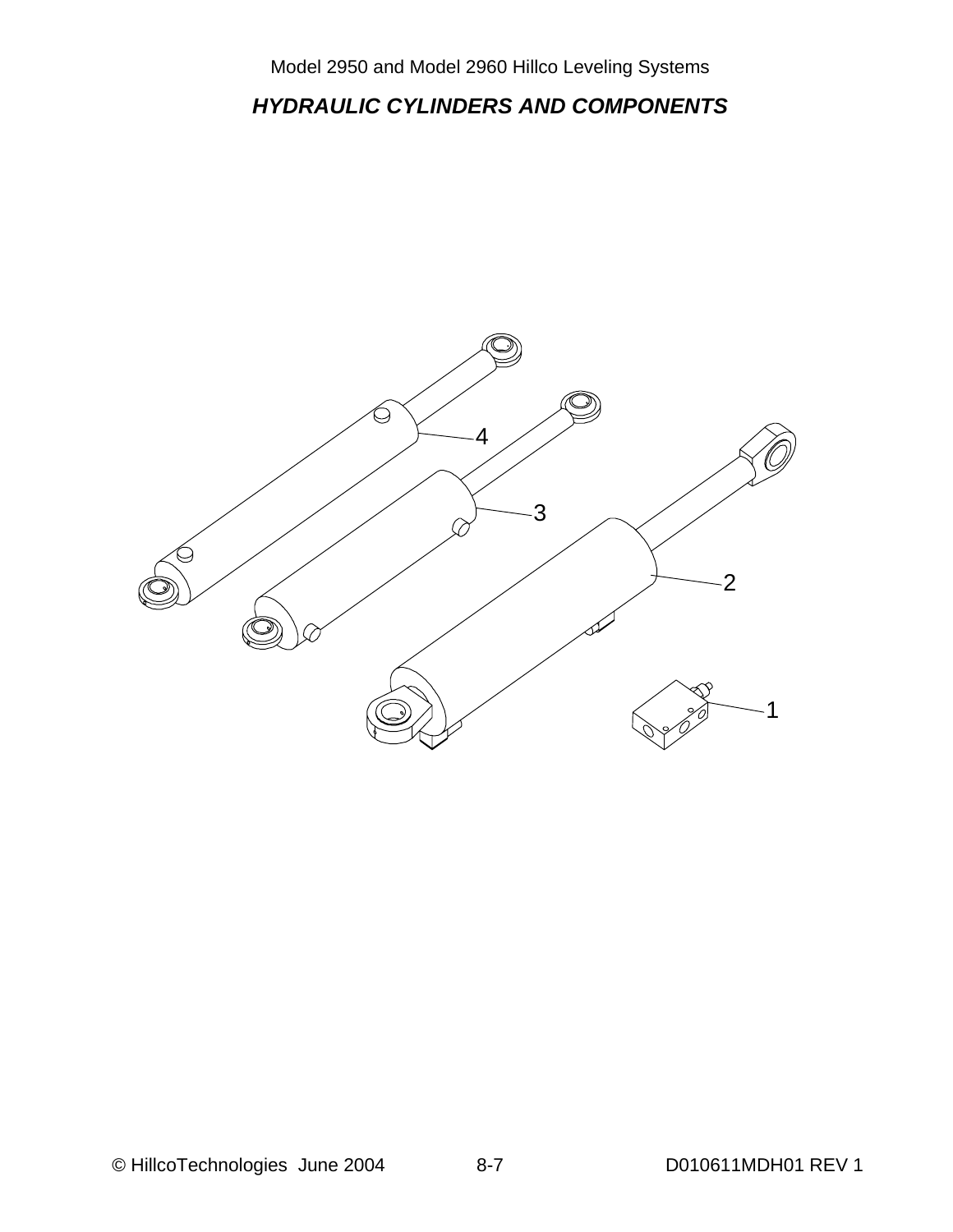*HYDRAULIC CYLINDERS AND COMPONENTS* 

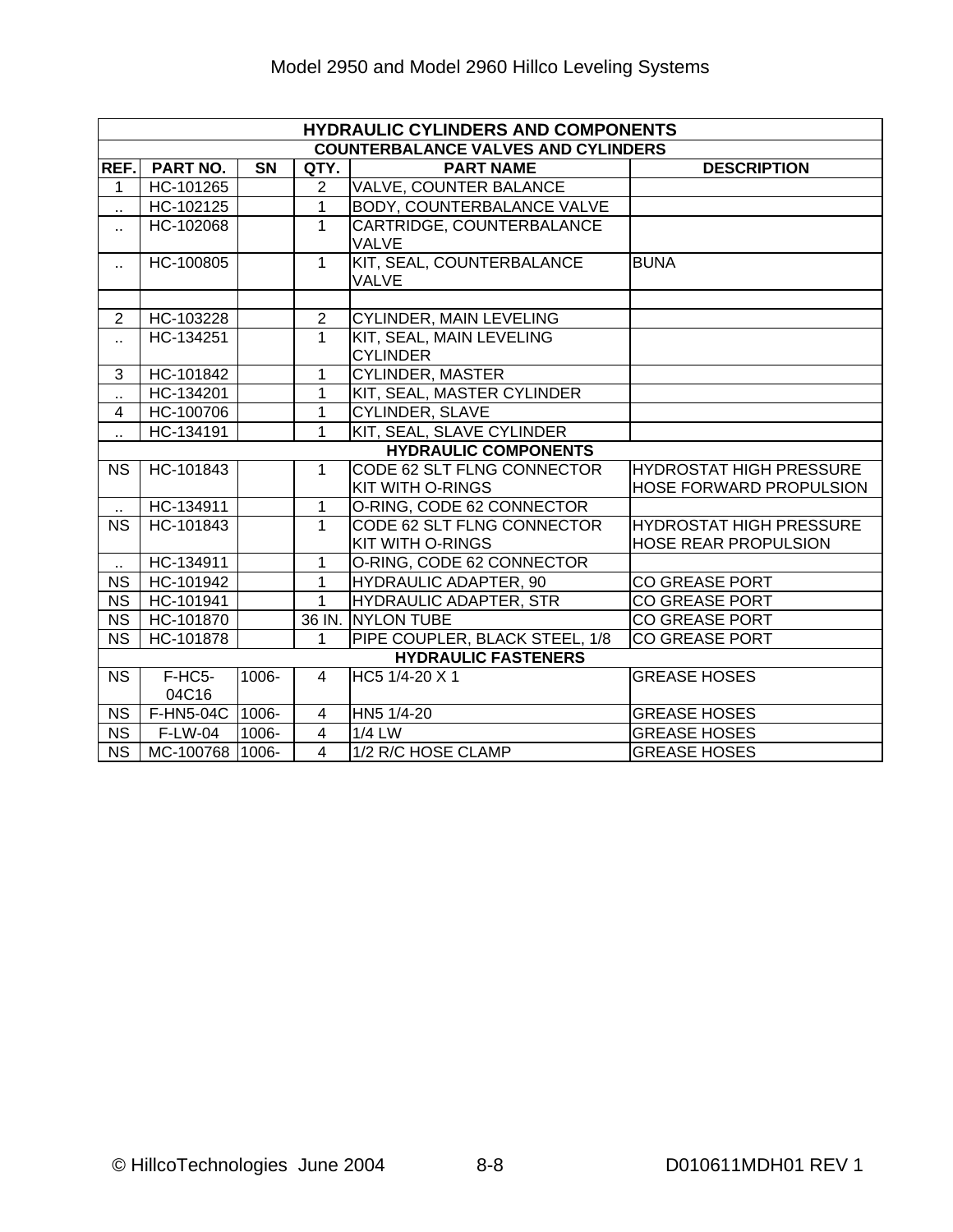| <b>HYDRAULIC CYLINDERS AND COMPONENTS</b> |                                            |           |                |                                                       |                                                                  |  |  |  |  |  |
|-------------------------------------------|--------------------------------------------|-----------|----------------|-------------------------------------------------------|------------------------------------------------------------------|--|--|--|--|--|
|                                           | <b>COUNTERBALANCE VALVES AND CYLINDERS</b> |           |                |                                                       |                                                                  |  |  |  |  |  |
| REF.                                      | <b>PART NO.</b>                            | <b>SN</b> | QTY.           | <b>PART NAME</b>                                      | <b>DESCRIPTION</b>                                               |  |  |  |  |  |
| 1                                         | HC-101265                                  |           | $\overline{2}$ | <b>VALVE, COUNTER BALANCE</b>                         |                                                                  |  |  |  |  |  |
| à.                                        | HC-102125                                  |           | $\overline{1}$ | <b>BODY, COUNTERBALANCE VALVE</b>                     |                                                                  |  |  |  |  |  |
| н.                                        | HC-102068                                  |           | $\mathbf 1$    | CARTRIDGE, COUNTERBALANCE<br><b>VALVE</b>             |                                                                  |  |  |  |  |  |
| $\ddotsc$                                 | HC-100805                                  |           | $\overline{1}$ | KIT, SEAL, COUNTERBALANCE<br><b>VALVE</b>             | <b>BUNA</b>                                                      |  |  |  |  |  |
|                                           |                                            |           |                |                                                       |                                                                  |  |  |  |  |  |
| $\overline{2}$                            | HC-103228                                  |           | $\overline{2}$ | <b>CYLINDER, MAIN LEVELING</b>                        |                                                                  |  |  |  |  |  |
| н.                                        | HC-134251                                  |           | $\mathbf{1}$   | KIT, SEAL, MAIN LEVELING<br><b>CYLINDER</b>           |                                                                  |  |  |  |  |  |
| 3                                         | HC-101842                                  |           | 1              | <b>CYLINDER, MASTER</b>                               |                                                                  |  |  |  |  |  |
| $\ddot{\phantom{a}}$                      | HC-134201                                  |           | 1              | KIT, SEAL, MASTER CYLINDER                            |                                                                  |  |  |  |  |  |
| $\overline{4}$                            | HC-100706                                  |           | 1              | CYLINDER, SLAVE                                       |                                                                  |  |  |  |  |  |
| ò.                                        | HC-134191                                  |           | 1              | KIT, SEAL, SLAVE CYLINDER                             |                                                                  |  |  |  |  |  |
|                                           |                                            |           |                | <b>HYDRAULIC COMPONENTS</b>                           |                                                                  |  |  |  |  |  |
| <b>NS</b>                                 | HC-101843                                  |           | 1              | CODE 62 SLT FLNG CONNECTOR<br>KIT WITH O-RINGS        | <b>HYDROSTAT HIGH PRESSURE</b><br><b>HOSE FORWARD PROPULSION</b> |  |  |  |  |  |
| $\ddot{\phantom{1}}$                      | HC-134911                                  |           | 1              | O-RING, CODE 62 CONNECTOR                             |                                                                  |  |  |  |  |  |
| $\overline{\text{NS}}$                    | HC-101843                                  |           | 1              | CODE 62 SLT FLNG CONNECTOR<br><b>KIT WITH O-RINGS</b> | <b>HYDROSTAT HIGH PRESSURE</b><br><b>HOSE REAR PROPULSION</b>    |  |  |  |  |  |
| $\ddot{\phantom{a}}$                      | HC-134911                                  |           | 1              | O-RING, CODE 62 CONNECTOR                             |                                                                  |  |  |  |  |  |
| <b>NS</b>                                 | HC-101942                                  |           | 1              | HYDRAULIC ADAPTER, 90                                 | <b>CO GREASE PORT</b>                                            |  |  |  |  |  |
| <b>NS</b>                                 | HC-101941                                  |           | 1              | <b>HYDRAULIC ADAPTER, STR</b>                         | <b>CO GREASE PORT</b>                                            |  |  |  |  |  |
| <b>NS</b>                                 | HC-101870                                  |           |                | 36 IN. NYLON TUBE                                     | <b>CO GREASE PORT</b>                                            |  |  |  |  |  |
| <b>NS</b>                                 | HC-101878                                  |           | 1              | PIPE COUPLER, BLACK STEEL, 1/8                        | <b>CO GREASE PORT</b>                                            |  |  |  |  |  |
|                                           |                                            |           |                | <b>HYDRAULIC FASTENERS</b>                            |                                                                  |  |  |  |  |  |
| <b>NS</b>                                 | F-HC5-<br>04C16                            | 1006-     | $\overline{4}$ | HC5 1/4-20 X 1                                        | <b>GREASE HOSES</b>                                              |  |  |  |  |  |
| <b>NS</b>                                 | F-HN5-04C 1006-                            |           | 4              | $\overline{H}$ N <sub>5</sub> 1/4-20                  | <b>GREASE HOSES</b>                                              |  |  |  |  |  |
| <b>NS</b>                                 | <b>F-LW-04</b>                             | 1006-     | $\overline{4}$ | 1/4 LW                                                | <b>GREASE HOSES</b>                                              |  |  |  |  |  |
| <b>NS</b>                                 | MC-100768 1006-                            |           | $\overline{4}$ | 1/2 R/C HOSE CLAMP                                    | <b>GREASE HOSES</b>                                              |  |  |  |  |  |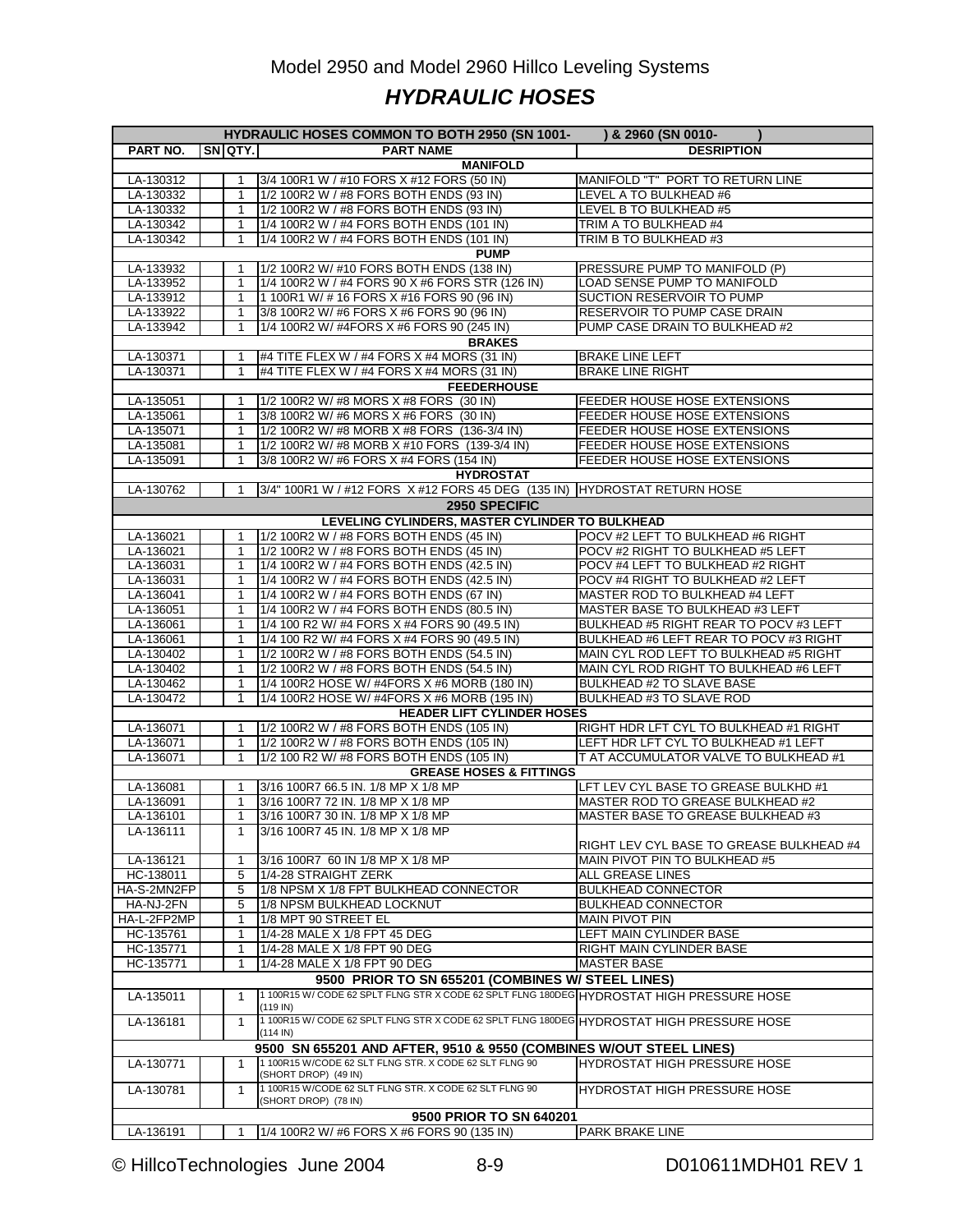### Model 2950 and Model 2960 Hillco Leveling Systems *HYDRAULIC HOSES*

| HYDRAULIC HOSES COMMON TO BOTH 2950 (SN 1001-<br>) & 2960 (SN 0010- |  |                   |                                                                                          |                                          |  |  |  |  |
|---------------------------------------------------------------------|--|-------------------|------------------------------------------------------------------------------------------|------------------------------------------|--|--|--|--|
| PART NO.                                                            |  | SNOTY.            | <b>PART NAME</b>                                                                         | <b>DESRIPTION</b>                        |  |  |  |  |
|                                                                     |  |                   | <b>MANIFOLD</b>                                                                          |                                          |  |  |  |  |
| LA-130312                                                           |  |                   | 3/4 100R1 W / #10 FORS X #12 FORS (50 IN)                                                | MANIFOLD "T" PORT TO RETURN LINE         |  |  |  |  |
| LA-130332                                                           |  | 1                 | 1/2 100R2 W / #8 FORS BOTH ENDS (93 IN)                                                  | LEVEL A TO BULKHEAD #6                   |  |  |  |  |
| LA-130332                                                           |  | $\mathbf 1$       | 1/2 100R2 W / #8 FORS BOTH ENDS (93 IN)                                                  | LEVEL B TO BULKHEAD #5                   |  |  |  |  |
| LA-130342                                                           |  | $\mathbf{1}$      | 1/4 100R2 W / #4 FORS BOTH ENDS (101 IN)                                                 | TRIM A TO BULKHEAD #4                    |  |  |  |  |
| LA-130342                                                           |  | $\mathbf{1}$      | 1/4 100R2 W / #4 FORS BOTH ENDS (101 IN)                                                 | TRIM B TO BULKHEAD #3                    |  |  |  |  |
|                                                                     |  |                   | <b>PUMP</b>                                                                              |                                          |  |  |  |  |
| LA-133932                                                           |  |                   | 1/2 100R2 W/ #10 FORS BOTH ENDS (138 IN)                                                 | PRESSURE PUMP TO MANIFOLD (P)            |  |  |  |  |
| LA-133952                                                           |  | $\mathbf{1}$      | 1/4 100R2 W / #4 FORS 90 X #6 FORS STR (126 IN)                                          | <b>LOAD SENSE PUMP TO MANIFOLD</b>       |  |  |  |  |
| LA-133912                                                           |  | $\mathbf{1}$      | 1 100R1 W/ # 16 FORS X #16 FORS 90 (96 IN)                                               | SUCTION RESERVOIR TO PUMP                |  |  |  |  |
| LA-133922                                                           |  | 1                 | 3/8 100R2 W/ #6 FORS X #6 FORS 90 (96 IN)                                                | RESERVOIR TO PUMP CASE DRAIN             |  |  |  |  |
| LA-133942                                                           |  | $\mathbf{1}$      | 1/4 100R2 W/ #4FORS X #6 FORS 90 (245 IN)                                                | PUMP CASE DRAIN TO BULKHEAD #2           |  |  |  |  |
|                                                                     |  |                   | <b>BRAKES</b>                                                                            |                                          |  |  |  |  |
| LA-130371                                                           |  |                   | #4 TITE FLEX W / #4 FORS X #4 MORS (31 IN)                                               | <b>BRAKE LINE LEFT</b>                   |  |  |  |  |
| LA-130371                                                           |  | $\mathbf{1}$      | #4 TITE FLEX W / #4 FORS X #4 MORS (31 IN)                                               | <b>BRAKE LINE RIGHT</b>                  |  |  |  |  |
|                                                                     |  |                   | <b>FEEDERHOUSE</b>                                                                       |                                          |  |  |  |  |
| LA-135051                                                           |  |                   | 1/2 100R2 W/ #8 MORS X #8 FORS (30 IN)                                                   | FEEDER HOUSE HOSE EXTENSIONS             |  |  |  |  |
| LA-135061                                                           |  | 1                 | 3/8 100R2 W/ #6 MORS X #6 FORS (30 IN)                                                   | FEEDER HOUSE HOSE EXTENSIONS             |  |  |  |  |
| LA-135071                                                           |  | $\mathbf{1}$      | 1/2 100R2 W/ #8 MORB X #8 FORS (136-3/4 IN)                                              | FEEDER HOUSE HOSE EXTENSIONS             |  |  |  |  |
| LA-135081                                                           |  | $\mathbf{1}$      | 1/2 100R2 W/ #8 MORB X #10 FORS (139-3/4 IN)                                             | FEEDER HOUSE HOSE EXTENSIONS             |  |  |  |  |
| LA-135091                                                           |  | 1                 | 3/8 100R2 W/ #6 FORS X #4 FORS (154 IN)                                                  | FEEDER HOUSE HOSE EXTENSIONS             |  |  |  |  |
|                                                                     |  |                   | <b>HYDROSTAT</b>                                                                         |                                          |  |  |  |  |
| LA-130762                                                           |  | 1                 | 3/4" 100R1 W / #12 FORS X #12 FORS 45 DEG (135 IN) HYDROSTAT RETURN HOSE                 |                                          |  |  |  |  |
|                                                                     |  |                   | 2950 SPECIFIC                                                                            |                                          |  |  |  |  |
|                                                                     |  |                   | LEVELING CYLINDERS, MASTER CYLINDER TO BULKHEAD                                          |                                          |  |  |  |  |
| LA-136021                                                           |  |                   | 1/2 100R2 W / #8 FORS BOTH ENDS (45 IN)                                                  | POCV #2 LEFT TO BULKHEAD #6 RIGHT        |  |  |  |  |
| LA-136021                                                           |  | $\mathbf{1}$      | 1/2 100R2 W / #8 FORS BOTH ENDS (45 IN)                                                  | POCV #2 RIGHT TO BULKHEAD #5 LEFT        |  |  |  |  |
| LA-136031                                                           |  | $\mathbf{1}$      | 1/4 100R2 W / #4 FORS BOTH ENDS (42.5 IN)                                                | POCV #4 LEFT TO BULKHEAD #2 RIGHT        |  |  |  |  |
| LA-136031                                                           |  | 1                 | 1/4 100R2 W / #4 FORS BOTH ENDS (42.5 IN)                                                | POCV #4 RIGHT TO BULKHEAD #2 LEFT        |  |  |  |  |
| LA-136041                                                           |  | $\mathbf{1}$      | 1/4 100R2 W / #4 FORS BOTH ENDS (67 IN)                                                  | MASTER ROD TO BULKHEAD #4 LEFT           |  |  |  |  |
| LA-136051                                                           |  | 1                 | 1/4 100R2 W / #4 FORS BOTH ENDS (80.5 IN)                                                | MASTER BASE TO BULKHEAD #3 LEFT          |  |  |  |  |
| LA-136061                                                           |  | $\mathbf{1}$      | 1/4 100 R2 W/ #4 FORS X #4 FORS 90 (49.5 IN)                                             | BULKHEAD #5 RIGHT REAR TO POCV #3 LEFT   |  |  |  |  |
| LA-136061                                                           |  | $\mathbf{1}$      | 1/4 100 R2 W/ #4 FORS X #4 FORS 90 (49.5 IN)                                             | BULKHEAD #6 LEFT REAR TO POCV #3 RIGHT   |  |  |  |  |
| LA-130402                                                           |  | $\mathbf{1}$      | 1/2 100R2 W / #8 FORS BOTH ENDS (54.5 IN)                                                | MAIN CYL ROD LEFT TO BULKHEAD #5 RIGHT   |  |  |  |  |
| LA-130402                                                           |  | $\mathbf{1}$      | 1/2 100R2 W / #8 FORS BOTH ENDS (54.5 IN)                                                | MAIN CYL ROD RIGHT TO BULKHEAD #6 LEFT   |  |  |  |  |
| LA-130462                                                           |  | $\mathbf{1}$<br>1 | 1/4 100R2 HOSE W/ #4FORS X #6 MORB (180 IN)                                              | BULKHEAD #2 TO SLAVE BASE                |  |  |  |  |
| LA-130472                                                           |  |                   | 1/4 100R2 HOSE W/ #4FORS X #6 MORB (195 IN)                                              | <b>BULKHEAD #3 TO SLAVE ROD</b>          |  |  |  |  |
| LA-136071                                                           |  |                   | <b>HEADER LIFT CYLINDER HOSES</b><br>1/2 100R2 W / #8 FORS BOTH ENDS (105 IN)            | RIGHT HDR LFT CYL TO BULKHEAD #1 RIGHT   |  |  |  |  |
| LA-136071                                                           |  | $\mathbf{1}$      | 1/2 100R2 W / #8 FORS BOTH ENDS (105 IN)                                                 | LEFT HDR LFT CYL TO BULKHEAD #1 LEFT     |  |  |  |  |
| LA-136071                                                           |  | $\mathbf{1}$      | 1/2 100 R2 W/ #8 FORS BOTH ENDS (105 IN)                                                 | T AT ACCUMULATOR VALVE TO BULKHEAD #1    |  |  |  |  |
|                                                                     |  |                   | <b>GREASE HOSES &amp; FITTINGS</b>                                                       |                                          |  |  |  |  |
| LA-136081                                                           |  |                   | 3/16 100R7 66.5 IN. 1/8 MP X 1/8 MP                                                      | LFT LEV CYL BASE TO GREASE BULKHD #1     |  |  |  |  |
| LA-136091                                                           |  | $\mathbf{1}$      | 3/16 100R7 72 IN, 1/8 MP X 1/8 MP                                                        | MASTER ROD TO GREASE BULKHEAD #2         |  |  |  |  |
| LA-136101                                                           |  | $\mathbf{1}$      | 3/16 100R7 30 IN. 1/8 MP X 1/8 MP                                                        | MASTER BASE TO GREASE BULKHEAD #3        |  |  |  |  |
| LA-136111                                                           |  | 1                 | 3/16 100R7 45 IN. 1/8 MP X 1/8 MP                                                        |                                          |  |  |  |  |
|                                                                     |  |                   |                                                                                          | RIGHT LEV CYL BASE TO GREASE BULKHEAD #4 |  |  |  |  |
| LA-136121                                                           |  | 1                 | 3/16 100R7 60 IN 1/8 MP X 1/8 MP                                                         | MAIN PIVOT PIN TO BULKHEAD #5            |  |  |  |  |
| HC-138011                                                           |  | 5                 | 1/4-28 STRAIGHT ZERK                                                                     | ALL GREASE LINES                         |  |  |  |  |
| HA-S-2MN2FP                                                         |  | 5                 | 1/8 NPSM X 1/8 FPT BULKHEAD CONNECTOR                                                    | <b>BULKHEAD CONNECTOR</b>                |  |  |  |  |
| HA-NJ-2FN                                                           |  | 5                 | 1/8 NPSM BULKHEAD LOCKNUT                                                                | <b>BULKHEAD CONNECTOR</b>                |  |  |  |  |
| HA-L-2FP2MP                                                         |  | 1                 | 1/8 MPT 90 STREET EL                                                                     | <b>MAIN PIVOT PIN</b>                    |  |  |  |  |
| HC-135761                                                           |  | 1                 | 1/4-28 MALE X 1/8 FPT 45 DEG                                                             | LEFT MAIN CYLINDER BASE                  |  |  |  |  |
| HC-135771                                                           |  | 1                 | 1/4-28 MALE X 1/8 FPT 90 DEG                                                             | RIGHT MAIN CYLINDER BASE                 |  |  |  |  |
| HC-135771                                                           |  |                   | 1/4-28 MALE X 1/8 FPT 90 DEG                                                             | <b>MASTER BASE</b>                       |  |  |  |  |
|                                                                     |  |                   | 9500 PRIOR TO SN 655201 (COMBINES W/ STEEL LINES)                                        |                                          |  |  |  |  |
| LA-135011                                                           |  | 1                 | 1 100R15 W/CODE 62 SPLT FLNG STR X CODE 62 SPLT FLNG 180DEG HYDROSTAT HIGH PRESSURE HOSE |                                          |  |  |  |  |
|                                                                     |  |                   | $(119 \text{ IN})$                                                                       |                                          |  |  |  |  |
| LA-136181                                                           |  | $\mathbf{1}$      | 1100R15W/CODE 62 SPLT FLNG STR X CODE 62 SPLT FLNG 180DEG HYDROSTAT HIGH PRESSURE HOSE   |                                          |  |  |  |  |
|                                                                     |  |                   | $(114 \text{ IN})$                                                                       |                                          |  |  |  |  |
|                                                                     |  |                   | 9500 SN 655201 AND AFTER, 9510 & 9550 (COMBINES W/OUT STEEL LINES)                       |                                          |  |  |  |  |
| LA-130771                                                           |  | $\mathbf{1}$      | 1 100R15 W/CODE 62 SLT FLNG STR. X CODE 62 SLT FLNG 90                                   | HYDROSTAT HIGH PRESSURE HOSE             |  |  |  |  |
|                                                                     |  |                   | (SHORT DROP) (49 IN)                                                                     |                                          |  |  |  |  |
| LA-130781                                                           |  | $\mathbf{1}$      | 1 100R15 W/CODE 62 SLT FLNG STR. X CODE 62 SLT FLNG 90                                   | HYDROSTAT HIGH PRESSURE HOSE             |  |  |  |  |
|                                                                     |  |                   | (SHORT DROP) (78 IN)                                                                     |                                          |  |  |  |  |
|                                                                     |  |                   | 9500 PRIOR TO SN 640201                                                                  |                                          |  |  |  |  |
| LA-136191                                                           |  | 1                 | 1/4 100R2 W/ #6 FORS X #6 FORS 90 (135 IN)                                               | <b>PARK BRAKE LINE</b>                   |  |  |  |  |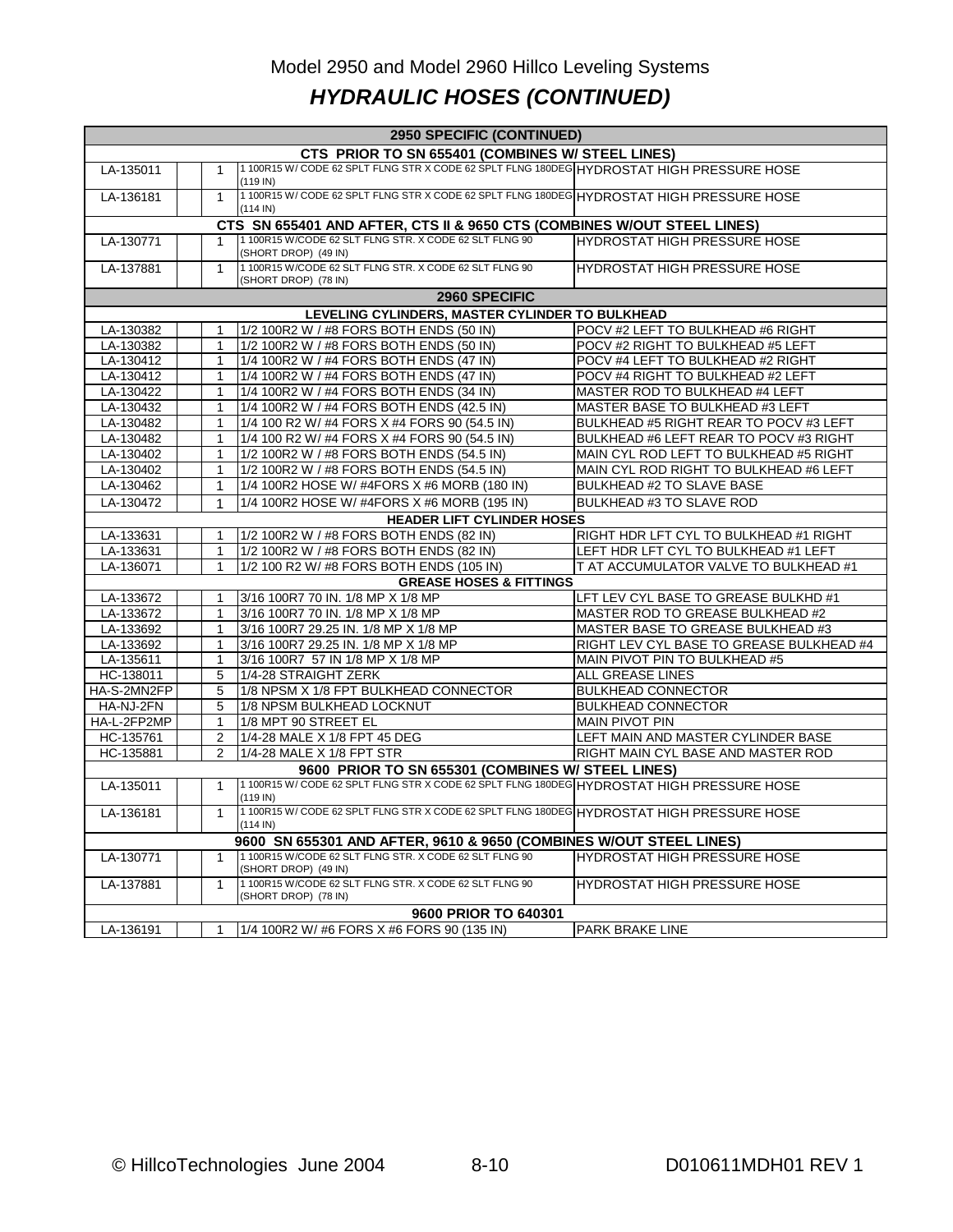# Model 2950 and Model 2960 Hillco Leveling Systems *HYDRAULIC HOSES (CONTINUED)*

| CTS PRIOR TO SN 655401 (COMBINES W/ STEEL LINES)<br>1 100R15 W/ CODE 62 SPLT FLNG STR X CODE 62 SPLT FLNG 180DEG HYDROSTAT HIGH PRESSURE HOSE<br>LA-135011<br>1<br>(119 IN)<br>1100R15 W/CODE 62 SPLT FLNG STR X CODE 62 SPLT FLNG 180DEG HYDROSTAT HIGH PRESSURE HOSE<br>LA-136181<br>1<br>$(114 \text{ IN})$<br>CTS SN 655401 AND AFTER, CTS II & 9650 CTS (COMBINES W/OUT STEEL LINES)<br>1 100R15 W/CODE 62 SLT FLNG STR. X CODE 62 SLT FLNG 90<br><b>HYDROSTAT HIGH PRESSURE HOSE</b><br>LA-130771<br>(SHORT DROP) (49 IN)<br>1 100R15 W/CODE 62 SLT FLNG STR. X CODE 62 SLT FLNG 90<br><b>HYDROSTAT HIGH PRESSURE HOSE</b><br>LA-137881<br>$\mathbf{1}$<br>(SHORT DROP) (78 IN)<br>2960 SPECIFIC<br>LEVELING CYLINDERS, MASTER CYLINDER TO BULKHEAD<br>1/2 100R2 W / #8 FORS BOTH ENDS (50 IN)<br>POCV #2 LEFT TO BULKHEAD #6 RIGHT<br>LA-130382<br>LA-130382<br>1/2 100R2 W / #8 FORS BOTH ENDS (50 IN)<br>POCV #2 RIGHT TO BULKHEAD #5 LEFT<br>1<br>1/4 100R2 W / #4 FORS BOTH ENDS (47 IN)<br>POCV #4 LEFT TO BULKHEAD #2 RIGHT<br>LA-130412<br>$\mathbf{1}$<br>LA-130412<br>1/4 100R2 W / #4 FORS BOTH ENDS (47 IN)<br>POCV #4 RIGHT TO BULKHEAD #2 LEFT<br>1<br>LA-130422<br>1/4 100R2 W / #4 FORS BOTH ENDS (34 IN)<br>MASTER ROD TO BULKHEAD #4 LEFT<br>1<br>1/4 100R2 W / #4 FORS BOTH ENDS (42.5 IN)<br>MASTER BASE TO BULKHEAD #3 LEFT<br>LA-130432<br>$\mathbf{1}$<br>LA-130482<br>1/4 100 R2 W/ #4 FORS X #4 FORS 90 (54.5 IN)<br>BULKHEAD #5 RIGHT REAR TO POCV #3 LEFT<br>1<br>LA-130482<br>1/4 100 R2 W/ #4 FORS X #4 FORS 90 (54.5 IN)<br>BULKHEAD #6 LEFT REAR TO POCV #3 RIGHT<br>1<br>1/2 100R2 W / #8 FORS BOTH ENDS (54.5 IN)<br>MAIN CYL ROD LEFT TO BULKHEAD #5 RIGHT<br>LA-130402<br>$\mathbf{1}$<br>LA-130402<br>1/2 100R2 W / #8 FORS BOTH ENDS (54.5 IN)<br>MAIN CYL ROD RIGHT TO BULKHEAD #6 LEFT<br>1<br>LA-130462<br>1/4 100R2 HOSE W/ #4FORS X #6 MORB (180 IN)<br><b>BULKHEAD #2 TO SLAVE BASE</b><br>1<br>1/4 100R2 HOSE W/#4FORS X #6 MORB (195 IN)<br>LA-130472<br><b>BULKHEAD #3 TO SLAVE ROD</b><br>1<br><b>HEADER LIFT CYLINDER HOSES</b><br>1/2 100R2 W / #8 FORS BOTH ENDS (82 IN)<br>LA-133631<br>RIGHT HDR LFT CYL TO BULKHEAD #1 RIGHT<br>1/2 100R2 W / #8 FORS BOTH ENDS (82 IN)<br>LEFT HDR LFT CYL TO BULKHEAD #1 LEFT<br>LA-133631<br>1<br>LA-136071<br>$\mathbf{1}$<br>1/2 100 R2 W/ #8 FORS BOTH ENDS (105 IN)<br>T AT ACCUMULATOR VALVE TO BULKHEAD #1<br><b>GREASE HOSES &amp; FITTINGS</b><br>3/16 100R7 70 IN. 1/8 MP X 1/8 MP<br>LFT LEV CYL BASE TO GREASE BULKHD #1<br>LA-133672<br>1<br>3/16 100R7 70 IN. 1/8 MP X 1/8 MP<br>MASTER ROD TO GREASE BULKHEAD #2<br>LA-133672<br>$\mathbf{1}$<br>3/16 100R7 29.25 IN. 1/8 MP X 1/8 MP<br>MASTER BASE TO GREASE BULKHEAD #3<br>LA-133692<br>1<br>RIGHT LEV CYL BASE TO GREASE BULKHEAD #4<br>LA-133692<br>3/16 100R7 29.25 IN. 1/8 MP X 1/8 MP<br>1<br>LA-135611<br>3/16 100R7 57 IN 1/8 MP X 1/8 MP<br>MAIN PIVOT PIN TO BULKHEAD #5<br>$\mathbf{1}$<br>5<br>1/4-28 STRAIGHT ZERK<br><b>ALL GREASE LINES</b><br>HC-138011<br>HA-S-2MN2FP<br>5<br>1/8 NPSM X 1/8 FPT BULKHEAD CONNECTOR<br><b>BULKHEAD CONNECTOR</b><br>HA-NJ-2FN<br>5<br>1/8 NPSM BULKHEAD LOCKNUT<br><b>BULKHEAD CONNECTOR</b><br>HA-L-2FP2MP<br>1/8 MPT 90 STREET EL<br><b>MAIN PIVOT PIN</b><br>$\mathbf{1}$<br>1/4-28 MALE X 1/8 FPT 45 DEG<br>LEFT MAIN AND MASTER CYLINDER BASE<br>HC-135761<br>2<br>HC-135881<br>$\overline{2}$<br>1/4-28 MALE X 1/8 FPT STR<br>RIGHT MAIN CYL BASE AND MASTER ROD<br>9600 PRIOR TO SN 655301 (COMBINES W/ STEEL LINES)<br>1 100R15 W/ CODE 62 SPLT FLNG STR X CODE 62 SPLT FLNG 180DEG HYDROSTAT HIGH PRESSURE HOSE<br>LA-135011<br>1<br>$(119 \text{ IN})$<br>1100R15 W/CODE 62 SPLT FLNG STR X CODE 62 SPLT FLNG 180DEG HYDROSTAT HIGH PRESSURE HOSE<br>LA-136181<br>$\mathbf{1}$<br>$(114 \text{ IN})$<br>9600 SN 655301 AND AFTER, 9610 & 9650 (COMBINES W/OUT STEEL LINES)<br>1 100R15 W/CODE 62 SLT FLNG STR. X CODE 62 SLT FLNG 90<br><b>HYDROSTAT HIGH PRESSURE HOSE</b><br>LA-130771<br>$\mathbf 1$<br>(SHORT DROP) (49 IN)<br>1 100R15 W/CODE 62 SLT FLNG STR. X CODE 62 SLT FLNG 90<br>HYDROSTAT HIGH PRESSURE HOSE<br>LA-137881<br>$\mathbf{1}$<br>(SHORT DROP) (78 IN)<br>9600 PRIOR TO 640301<br>1/4 100R2 W/ #6 FORS X #6 FORS 90 (135 IN)<br>PARK BRAKE LINE<br>LA-136191 |  | 2950 SPECIFIC (CONTINUED) |  |  |  |  |  |  |  |  |  |  |
|---------------------------------------------------------------------------------------------------------------------------------------------------------------------------------------------------------------------------------------------------------------------------------------------------------------------------------------------------------------------------------------------------------------------------------------------------------------------------------------------------------------------------------------------------------------------------------------------------------------------------------------------------------------------------------------------------------------------------------------------------------------------------------------------------------------------------------------------------------------------------------------------------------------------------------------------------------------------------------------------------------------------------------------------------------------------------------------------------------------------------------------------------------------------------------------------------------------------------------------------------------------------------------------------------------------------------------------------------------------------------------------------------------------------------------------------------------------------------------------------------------------------------------------------------------------------------------------------------------------------------------------------------------------------------------------------------------------------------------------------------------------------------------------------------------------------------------------------------------------------------------------------------------------------------------------------------------------------------------------------------------------------------------------------------------------------------------------------------------------------------------------------------------------------------------------------------------------------------------------------------------------------------------------------------------------------------------------------------------------------------------------------------------------------------------------------------------------------------------------------------------------------------------------------------------------------------------------------------------------------------------------------------------------------------------------------------------------------------------------------------------------------------------------------------------------------------------------------------------------------------------------------------------------------------------------------------------------------------------------------------------------------------------------------------------------------------------------------------------------------------------------------------------------------------------------------------------------------------------------------------------------------------------------------------------------------------------------------------------------------------------------------------------------------------------------------------------------------------------------------------------------------------------------------------------------------------------------------------------------------------------------------------------------------------------------------------------------------------------------------------------------------------------------------------------------------------------------------------------------------------------------------------------------------------------------------------------------------------------------------------------------------------------------------------------------------------------------------------------------------------------------------------------------------------------------------------------------------------------------------------------------------------------------------------------------|--|---------------------------|--|--|--|--|--|--|--|--|--|--|
|                                                                                                                                                                                                                                                                                                                                                                                                                                                                                                                                                                                                                                                                                                                                                                                                                                                                                                                                                                                                                                                                                                                                                                                                                                                                                                                                                                                                                                                                                                                                                                                                                                                                                                                                                                                                                                                                                                                                                                                                                                                                                                                                                                                                                                                                                                                                                                                                                                                                                                                                                                                                                                                                                                                                                                                                                                                                                                                                                                                                                                                                                                                                                                                                                                                                                                                                                                                                                                                                                                                                                                                                                                                                                                                                                                                                                                                                                                                                                                                                                                                                                                                                                                                                                                                                                                               |  |                           |  |  |  |  |  |  |  |  |  |  |
|                                                                                                                                                                                                                                                                                                                                                                                                                                                                                                                                                                                                                                                                                                                                                                                                                                                                                                                                                                                                                                                                                                                                                                                                                                                                                                                                                                                                                                                                                                                                                                                                                                                                                                                                                                                                                                                                                                                                                                                                                                                                                                                                                                                                                                                                                                                                                                                                                                                                                                                                                                                                                                                                                                                                                                                                                                                                                                                                                                                                                                                                                                                                                                                                                                                                                                                                                                                                                                                                                                                                                                                                                                                                                                                                                                                                                                                                                                                                                                                                                                                                                                                                                                                                                                                                                                               |  |                           |  |  |  |  |  |  |  |  |  |  |
|                                                                                                                                                                                                                                                                                                                                                                                                                                                                                                                                                                                                                                                                                                                                                                                                                                                                                                                                                                                                                                                                                                                                                                                                                                                                                                                                                                                                                                                                                                                                                                                                                                                                                                                                                                                                                                                                                                                                                                                                                                                                                                                                                                                                                                                                                                                                                                                                                                                                                                                                                                                                                                                                                                                                                                                                                                                                                                                                                                                                                                                                                                                                                                                                                                                                                                                                                                                                                                                                                                                                                                                                                                                                                                                                                                                                                                                                                                                                                                                                                                                                                                                                                                                                                                                                                                               |  |                           |  |  |  |  |  |  |  |  |  |  |
|                                                                                                                                                                                                                                                                                                                                                                                                                                                                                                                                                                                                                                                                                                                                                                                                                                                                                                                                                                                                                                                                                                                                                                                                                                                                                                                                                                                                                                                                                                                                                                                                                                                                                                                                                                                                                                                                                                                                                                                                                                                                                                                                                                                                                                                                                                                                                                                                                                                                                                                                                                                                                                                                                                                                                                                                                                                                                                                                                                                                                                                                                                                                                                                                                                                                                                                                                                                                                                                                                                                                                                                                                                                                                                                                                                                                                                                                                                                                                                                                                                                                                                                                                                                                                                                                                                               |  |                           |  |  |  |  |  |  |  |  |  |  |
|                                                                                                                                                                                                                                                                                                                                                                                                                                                                                                                                                                                                                                                                                                                                                                                                                                                                                                                                                                                                                                                                                                                                                                                                                                                                                                                                                                                                                                                                                                                                                                                                                                                                                                                                                                                                                                                                                                                                                                                                                                                                                                                                                                                                                                                                                                                                                                                                                                                                                                                                                                                                                                                                                                                                                                                                                                                                                                                                                                                                                                                                                                                                                                                                                                                                                                                                                                                                                                                                                                                                                                                                                                                                                                                                                                                                                                                                                                                                                                                                                                                                                                                                                                                                                                                                                                               |  |                           |  |  |  |  |  |  |  |  |  |  |
|                                                                                                                                                                                                                                                                                                                                                                                                                                                                                                                                                                                                                                                                                                                                                                                                                                                                                                                                                                                                                                                                                                                                                                                                                                                                                                                                                                                                                                                                                                                                                                                                                                                                                                                                                                                                                                                                                                                                                                                                                                                                                                                                                                                                                                                                                                                                                                                                                                                                                                                                                                                                                                                                                                                                                                                                                                                                                                                                                                                                                                                                                                                                                                                                                                                                                                                                                                                                                                                                                                                                                                                                                                                                                                                                                                                                                                                                                                                                                                                                                                                                                                                                                                                                                                                                                                               |  |                           |  |  |  |  |  |  |  |  |  |  |
|                                                                                                                                                                                                                                                                                                                                                                                                                                                                                                                                                                                                                                                                                                                                                                                                                                                                                                                                                                                                                                                                                                                                                                                                                                                                                                                                                                                                                                                                                                                                                                                                                                                                                                                                                                                                                                                                                                                                                                                                                                                                                                                                                                                                                                                                                                                                                                                                                                                                                                                                                                                                                                                                                                                                                                                                                                                                                                                                                                                                                                                                                                                                                                                                                                                                                                                                                                                                                                                                                                                                                                                                                                                                                                                                                                                                                                                                                                                                                                                                                                                                                                                                                                                                                                                                                                               |  |                           |  |  |  |  |  |  |  |  |  |  |
|                                                                                                                                                                                                                                                                                                                                                                                                                                                                                                                                                                                                                                                                                                                                                                                                                                                                                                                                                                                                                                                                                                                                                                                                                                                                                                                                                                                                                                                                                                                                                                                                                                                                                                                                                                                                                                                                                                                                                                                                                                                                                                                                                                                                                                                                                                                                                                                                                                                                                                                                                                                                                                                                                                                                                                                                                                                                                                                                                                                                                                                                                                                                                                                                                                                                                                                                                                                                                                                                                                                                                                                                                                                                                                                                                                                                                                                                                                                                                                                                                                                                                                                                                                                                                                                                                                               |  |                           |  |  |  |  |  |  |  |  |  |  |
|                                                                                                                                                                                                                                                                                                                                                                                                                                                                                                                                                                                                                                                                                                                                                                                                                                                                                                                                                                                                                                                                                                                                                                                                                                                                                                                                                                                                                                                                                                                                                                                                                                                                                                                                                                                                                                                                                                                                                                                                                                                                                                                                                                                                                                                                                                                                                                                                                                                                                                                                                                                                                                                                                                                                                                                                                                                                                                                                                                                                                                                                                                                                                                                                                                                                                                                                                                                                                                                                                                                                                                                                                                                                                                                                                                                                                                                                                                                                                                                                                                                                                                                                                                                                                                                                                                               |  |                           |  |  |  |  |  |  |  |  |  |  |
|                                                                                                                                                                                                                                                                                                                                                                                                                                                                                                                                                                                                                                                                                                                                                                                                                                                                                                                                                                                                                                                                                                                                                                                                                                                                                                                                                                                                                                                                                                                                                                                                                                                                                                                                                                                                                                                                                                                                                                                                                                                                                                                                                                                                                                                                                                                                                                                                                                                                                                                                                                                                                                                                                                                                                                                                                                                                                                                                                                                                                                                                                                                                                                                                                                                                                                                                                                                                                                                                                                                                                                                                                                                                                                                                                                                                                                                                                                                                                                                                                                                                                                                                                                                                                                                                                                               |  |                           |  |  |  |  |  |  |  |  |  |  |
|                                                                                                                                                                                                                                                                                                                                                                                                                                                                                                                                                                                                                                                                                                                                                                                                                                                                                                                                                                                                                                                                                                                                                                                                                                                                                                                                                                                                                                                                                                                                                                                                                                                                                                                                                                                                                                                                                                                                                                                                                                                                                                                                                                                                                                                                                                                                                                                                                                                                                                                                                                                                                                                                                                                                                                                                                                                                                                                                                                                                                                                                                                                                                                                                                                                                                                                                                                                                                                                                                                                                                                                                                                                                                                                                                                                                                                                                                                                                                                                                                                                                                                                                                                                                                                                                                                               |  |                           |  |  |  |  |  |  |  |  |  |  |
|                                                                                                                                                                                                                                                                                                                                                                                                                                                                                                                                                                                                                                                                                                                                                                                                                                                                                                                                                                                                                                                                                                                                                                                                                                                                                                                                                                                                                                                                                                                                                                                                                                                                                                                                                                                                                                                                                                                                                                                                                                                                                                                                                                                                                                                                                                                                                                                                                                                                                                                                                                                                                                                                                                                                                                                                                                                                                                                                                                                                                                                                                                                                                                                                                                                                                                                                                                                                                                                                                                                                                                                                                                                                                                                                                                                                                                                                                                                                                                                                                                                                                                                                                                                                                                                                                                               |  |                           |  |  |  |  |  |  |  |  |  |  |
|                                                                                                                                                                                                                                                                                                                                                                                                                                                                                                                                                                                                                                                                                                                                                                                                                                                                                                                                                                                                                                                                                                                                                                                                                                                                                                                                                                                                                                                                                                                                                                                                                                                                                                                                                                                                                                                                                                                                                                                                                                                                                                                                                                                                                                                                                                                                                                                                                                                                                                                                                                                                                                                                                                                                                                                                                                                                                                                                                                                                                                                                                                                                                                                                                                                                                                                                                                                                                                                                                                                                                                                                                                                                                                                                                                                                                                                                                                                                                                                                                                                                                                                                                                                                                                                                                                               |  |                           |  |  |  |  |  |  |  |  |  |  |
|                                                                                                                                                                                                                                                                                                                                                                                                                                                                                                                                                                                                                                                                                                                                                                                                                                                                                                                                                                                                                                                                                                                                                                                                                                                                                                                                                                                                                                                                                                                                                                                                                                                                                                                                                                                                                                                                                                                                                                                                                                                                                                                                                                                                                                                                                                                                                                                                                                                                                                                                                                                                                                                                                                                                                                                                                                                                                                                                                                                                                                                                                                                                                                                                                                                                                                                                                                                                                                                                                                                                                                                                                                                                                                                                                                                                                                                                                                                                                                                                                                                                                                                                                                                                                                                                                                               |  |                           |  |  |  |  |  |  |  |  |  |  |
|                                                                                                                                                                                                                                                                                                                                                                                                                                                                                                                                                                                                                                                                                                                                                                                                                                                                                                                                                                                                                                                                                                                                                                                                                                                                                                                                                                                                                                                                                                                                                                                                                                                                                                                                                                                                                                                                                                                                                                                                                                                                                                                                                                                                                                                                                                                                                                                                                                                                                                                                                                                                                                                                                                                                                                                                                                                                                                                                                                                                                                                                                                                                                                                                                                                                                                                                                                                                                                                                                                                                                                                                                                                                                                                                                                                                                                                                                                                                                                                                                                                                                                                                                                                                                                                                                                               |  |                           |  |  |  |  |  |  |  |  |  |  |
|                                                                                                                                                                                                                                                                                                                                                                                                                                                                                                                                                                                                                                                                                                                                                                                                                                                                                                                                                                                                                                                                                                                                                                                                                                                                                                                                                                                                                                                                                                                                                                                                                                                                                                                                                                                                                                                                                                                                                                                                                                                                                                                                                                                                                                                                                                                                                                                                                                                                                                                                                                                                                                                                                                                                                                                                                                                                                                                                                                                                                                                                                                                                                                                                                                                                                                                                                                                                                                                                                                                                                                                                                                                                                                                                                                                                                                                                                                                                                                                                                                                                                                                                                                                                                                                                                                               |  |                           |  |  |  |  |  |  |  |  |  |  |
|                                                                                                                                                                                                                                                                                                                                                                                                                                                                                                                                                                                                                                                                                                                                                                                                                                                                                                                                                                                                                                                                                                                                                                                                                                                                                                                                                                                                                                                                                                                                                                                                                                                                                                                                                                                                                                                                                                                                                                                                                                                                                                                                                                                                                                                                                                                                                                                                                                                                                                                                                                                                                                                                                                                                                                                                                                                                                                                                                                                                                                                                                                                                                                                                                                                                                                                                                                                                                                                                                                                                                                                                                                                                                                                                                                                                                                                                                                                                                                                                                                                                                                                                                                                                                                                                                                               |  |                           |  |  |  |  |  |  |  |  |  |  |
|                                                                                                                                                                                                                                                                                                                                                                                                                                                                                                                                                                                                                                                                                                                                                                                                                                                                                                                                                                                                                                                                                                                                                                                                                                                                                                                                                                                                                                                                                                                                                                                                                                                                                                                                                                                                                                                                                                                                                                                                                                                                                                                                                                                                                                                                                                                                                                                                                                                                                                                                                                                                                                                                                                                                                                                                                                                                                                                                                                                                                                                                                                                                                                                                                                                                                                                                                                                                                                                                                                                                                                                                                                                                                                                                                                                                                                                                                                                                                                                                                                                                                                                                                                                                                                                                                                               |  |                           |  |  |  |  |  |  |  |  |  |  |
|                                                                                                                                                                                                                                                                                                                                                                                                                                                                                                                                                                                                                                                                                                                                                                                                                                                                                                                                                                                                                                                                                                                                                                                                                                                                                                                                                                                                                                                                                                                                                                                                                                                                                                                                                                                                                                                                                                                                                                                                                                                                                                                                                                                                                                                                                                                                                                                                                                                                                                                                                                                                                                                                                                                                                                                                                                                                                                                                                                                                                                                                                                                                                                                                                                                                                                                                                                                                                                                                                                                                                                                                                                                                                                                                                                                                                                                                                                                                                                                                                                                                                                                                                                                                                                                                                                               |  |                           |  |  |  |  |  |  |  |  |  |  |
|                                                                                                                                                                                                                                                                                                                                                                                                                                                                                                                                                                                                                                                                                                                                                                                                                                                                                                                                                                                                                                                                                                                                                                                                                                                                                                                                                                                                                                                                                                                                                                                                                                                                                                                                                                                                                                                                                                                                                                                                                                                                                                                                                                                                                                                                                                                                                                                                                                                                                                                                                                                                                                                                                                                                                                                                                                                                                                                                                                                                                                                                                                                                                                                                                                                                                                                                                                                                                                                                                                                                                                                                                                                                                                                                                                                                                                                                                                                                                                                                                                                                                                                                                                                                                                                                                                               |  |                           |  |  |  |  |  |  |  |  |  |  |
|                                                                                                                                                                                                                                                                                                                                                                                                                                                                                                                                                                                                                                                                                                                                                                                                                                                                                                                                                                                                                                                                                                                                                                                                                                                                                                                                                                                                                                                                                                                                                                                                                                                                                                                                                                                                                                                                                                                                                                                                                                                                                                                                                                                                                                                                                                                                                                                                                                                                                                                                                                                                                                                                                                                                                                                                                                                                                                                                                                                                                                                                                                                                                                                                                                                                                                                                                                                                                                                                                                                                                                                                                                                                                                                                                                                                                                                                                                                                                                                                                                                                                                                                                                                                                                                                                                               |  |                           |  |  |  |  |  |  |  |  |  |  |
|                                                                                                                                                                                                                                                                                                                                                                                                                                                                                                                                                                                                                                                                                                                                                                                                                                                                                                                                                                                                                                                                                                                                                                                                                                                                                                                                                                                                                                                                                                                                                                                                                                                                                                                                                                                                                                                                                                                                                                                                                                                                                                                                                                                                                                                                                                                                                                                                                                                                                                                                                                                                                                                                                                                                                                                                                                                                                                                                                                                                                                                                                                                                                                                                                                                                                                                                                                                                                                                                                                                                                                                                                                                                                                                                                                                                                                                                                                                                                                                                                                                                                                                                                                                                                                                                                                               |  |                           |  |  |  |  |  |  |  |  |  |  |
|                                                                                                                                                                                                                                                                                                                                                                                                                                                                                                                                                                                                                                                                                                                                                                                                                                                                                                                                                                                                                                                                                                                                                                                                                                                                                                                                                                                                                                                                                                                                                                                                                                                                                                                                                                                                                                                                                                                                                                                                                                                                                                                                                                                                                                                                                                                                                                                                                                                                                                                                                                                                                                                                                                                                                                                                                                                                                                                                                                                                                                                                                                                                                                                                                                                                                                                                                                                                                                                                                                                                                                                                                                                                                                                                                                                                                                                                                                                                                                                                                                                                                                                                                                                                                                                                                                               |  |                           |  |  |  |  |  |  |  |  |  |  |
|                                                                                                                                                                                                                                                                                                                                                                                                                                                                                                                                                                                                                                                                                                                                                                                                                                                                                                                                                                                                                                                                                                                                                                                                                                                                                                                                                                                                                                                                                                                                                                                                                                                                                                                                                                                                                                                                                                                                                                                                                                                                                                                                                                                                                                                                                                                                                                                                                                                                                                                                                                                                                                                                                                                                                                                                                                                                                                                                                                                                                                                                                                                                                                                                                                                                                                                                                                                                                                                                                                                                                                                                                                                                                                                                                                                                                                                                                                                                                                                                                                                                                                                                                                                                                                                                                                               |  |                           |  |  |  |  |  |  |  |  |  |  |
|                                                                                                                                                                                                                                                                                                                                                                                                                                                                                                                                                                                                                                                                                                                                                                                                                                                                                                                                                                                                                                                                                                                                                                                                                                                                                                                                                                                                                                                                                                                                                                                                                                                                                                                                                                                                                                                                                                                                                                                                                                                                                                                                                                                                                                                                                                                                                                                                                                                                                                                                                                                                                                                                                                                                                                                                                                                                                                                                                                                                                                                                                                                                                                                                                                                                                                                                                                                                                                                                                                                                                                                                                                                                                                                                                                                                                                                                                                                                                                                                                                                                                                                                                                                                                                                                                                               |  |                           |  |  |  |  |  |  |  |  |  |  |
|                                                                                                                                                                                                                                                                                                                                                                                                                                                                                                                                                                                                                                                                                                                                                                                                                                                                                                                                                                                                                                                                                                                                                                                                                                                                                                                                                                                                                                                                                                                                                                                                                                                                                                                                                                                                                                                                                                                                                                                                                                                                                                                                                                                                                                                                                                                                                                                                                                                                                                                                                                                                                                                                                                                                                                                                                                                                                                                                                                                                                                                                                                                                                                                                                                                                                                                                                                                                                                                                                                                                                                                                                                                                                                                                                                                                                                                                                                                                                                                                                                                                                                                                                                                                                                                                                                               |  |                           |  |  |  |  |  |  |  |  |  |  |
|                                                                                                                                                                                                                                                                                                                                                                                                                                                                                                                                                                                                                                                                                                                                                                                                                                                                                                                                                                                                                                                                                                                                                                                                                                                                                                                                                                                                                                                                                                                                                                                                                                                                                                                                                                                                                                                                                                                                                                                                                                                                                                                                                                                                                                                                                                                                                                                                                                                                                                                                                                                                                                                                                                                                                                                                                                                                                                                                                                                                                                                                                                                                                                                                                                                                                                                                                                                                                                                                                                                                                                                                                                                                                                                                                                                                                                                                                                                                                                                                                                                                                                                                                                                                                                                                                                               |  |                           |  |  |  |  |  |  |  |  |  |  |
|                                                                                                                                                                                                                                                                                                                                                                                                                                                                                                                                                                                                                                                                                                                                                                                                                                                                                                                                                                                                                                                                                                                                                                                                                                                                                                                                                                                                                                                                                                                                                                                                                                                                                                                                                                                                                                                                                                                                                                                                                                                                                                                                                                                                                                                                                                                                                                                                                                                                                                                                                                                                                                                                                                                                                                                                                                                                                                                                                                                                                                                                                                                                                                                                                                                                                                                                                                                                                                                                                                                                                                                                                                                                                                                                                                                                                                                                                                                                                                                                                                                                                                                                                                                                                                                                                                               |  |                           |  |  |  |  |  |  |  |  |  |  |
|                                                                                                                                                                                                                                                                                                                                                                                                                                                                                                                                                                                                                                                                                                                                                                                                                                                                                                                                                                                                                                                                                                                                                                                                                                                                                                                                                                                                                                                                                                                                                                                                                                                                                                                                                                                                                                                                                                                                                                                                                                                                                                                                                                                                                                                                                                                                                                                                                                                                                                                                                                                                                                                                                                                                                                                                                                                                                                                                                                                                                                                                                                                                                                                                                                                                                                                                                                                                                                                                                                                                                                                                                                                                                                                                                                                                                                                                                                                                                                                                                                                                                                                                                                                                                                                                                                               |  |                           |  |  |  |  |  |  |  |  |  |  |
|                                                                                                                                                                                                                                                                                                                                                                                                                                                                                                                                                                                                                                                                                                                                                                                                                                                                                                                                                                                                                                                                                                                                                                                                                                                                                                                                                                                                                                                                                                                                                                                                                                                                                                                                                                                                                                                                                                                                                                                                                                                                                                                                                                                                                                                                                                                                                                                                                                                                                                                                                                                                                                                                                                                                                                                                                                                                                                                                                                                                                                                                                                                                                                                                                                                                                                                                                                                                                                                                                                                                                                                                                                                                                                                                                                                                                                                                                                                                                                                                                                                                                                                                                                                                                                                                                                               |  |                           |  |  |  |  |  |  |  |  |  |  |
|                                                                                                                                                                                                                                                                                                                                                                                                                                                                                                                                                                                                                                                                                                                                                                                                                                                                                                                                                                                                                                                                                                                                                                                                                                                                                                                                                                                                                                                                                                                                                                                                                                                                                                                                                                                                                                                                                                                                                                                                                                                                                                                                                                                                                                                                                                                                                                                                                                                                                                                                                                                                                                                                                                                                                                                                                                                                                                                                                                                                                                                                                                                                                                                                                                                                                                                                                                                                                                                                                                                                                                                                                                                                                                                                                                                                                                                                                                                                                                                                                                                                                                                                                                                                                                                                                                               |  |                           |  |  |  |  |  |  |  |  |  |  |
|                                                                                                                                                                                                                                                                                                                                                                                                                                                                                                                                                                                                                                                                                                                                                                                                                                                                                                                                                                                                                                                                                                                                                                                                                                                                                                                                                                                                                                                                                                                                                                                                                                                                                                                                                                                                                                                                                                                                                                                                                                                                                                                                                                                                                                                                                                                                                                                                                                                                                                                                                                                                                                                                                                                                                                                                                                                                                                                                                                                                                                                                                                                                                                                                                                                                                                                                                                                                                                                                                                                                                                                                                                                                                                                                                                                                                                                                                                                                                                                                                                                                                                                                                                                                                                                                                                               |  |                           |  |  |  |  |  |  |  |  |  |  |
|                                                                                                                                                                                                                                                                                                                                                                                                                                                                                                                                                                                                                                                                                                                                                                                                                                                                                                                                                                                                                                                                                                                                                                                                                                                                                                                                                                                                                                                                                                                                                                                                                                                                                                                                                                                                                                                                                                                                                                                                                                                                                                                                                                                                                                                                                                                                                                                                                                                                                                                                                                                                                                                                                                                                                                                                                                                                                                                                                                                                                                                                                                                                                                                                                                                                                                                                                                                                                                                                                                                                                                                                                                                                                                                                                                                                                                                                                                                                                                                                                                                                                                                                                                                                                                                                                                               |  |                           |  |  |  |  |  |  |  |  |  |  |
|                                                                                                                                                                                                                                                                                                                                                                                                                                                                                                                                                                                                                                                                                                                                                                                                                                                                                                                                                                                                                                                                                                                                                                                                                                                                                                                                                                                                                                                                                                                                                                                                                                                                                                                                                                                                                                                                                                                                                                                                                                                                                                                                                                                                                                                                                                                                                                                                                                                                                                                                                                                                                                                                                                                                                                                                                                                                                                                                                                                                                                                                                                                                                                                                                                                                                                                                                                                                                                                                                                                                                                                                                                                                                                                                                                                                                                                                                                                                                                                                                                                                                                                                                                                                                                                                                                               |  |                           |  |  |  |  |  |  |  |  |  |  |
|                                                                                                                                                                                                                                                                                                                                                                                                                                                                                                                                                                                                                                                                                                                                                                                                                                                                                                                                                                                                                                                                                                                                                                                                                                                                                                                                                                                                                                                                                                                                                                                                                                                                                                                                                                                                                                                                                                                                                                                                                                                                                                                                                                                                                                                                                                                                                                                                                                                                                                                                                                                                                                                                                                                                                                                                                                                                                                                                                                                                                                                                                                                                                                                                                                                                                                                                                                                                                                                                                                                                                                                                                                                                                                                                                                                                                                                                                                                                                                                                                                                                                                                                                                                                                                                                                                               |  |                           |  |  |  |  |  |  |  |  |  |  |
|                                                                                                                                                                                                                                                                                                                                                                                                                                                                                                                                                                                                                                                                                                                                                                                                                                                                                                                                                                                                                                                                                                                                                                                                                                                                                                                                                                                                                                                                                                                                                                                                                                                                                                                                                                                                                                                                                                                                                                                                                                                                                                                                                                                                                                                                                                                                                                                                                                                                                                                                                                                                                                                                                                                                                                                                                                                                                                                                                                                                                                                                                                                                                                                                                                                                                                                                                                                                                                                                                                                                                                                                                                                                                                                                                                                                                                                                                                                                                                                                                                                                                                                                                                                                                                                                                                               |  |                           |  |  |  |  |  |  |  |  |  |  |
|                                                                                                                                                                                                                                                                                                                                                                                                                                                                                                                                                                                                                                                                                                                                                                                                                                                                                                                                                                                                                                                                                                                                                                                                                                                                                                                                                                                                                                                                                                                                                                                                                                                                                                                                                                                                                                                                                                                                                                                                                                                                                                                                                                                                                                                                                                                                                                                                                                                                                                                                                                                                                                                                                                                                                                                                                                                                                                                                                                                                                                                                                                                                                                                                                                                                                                                                                                                                                                                                                                                                                                                                                                                                                                                                                                                                                                                                                                                                                                                                                                                                                                                                                                                                                                                                                                               |  |                           |  |  |  |  |  |  |  |  |  |  |
|                                                                                                                                                                                                                                                                                                                                                                                                                                                                                                                                                                                                                                                                                                                                                                                                                                                                                                                                                                                                                                                                                                                                                                                                                                                                                                                                                                                                                                                                                                                                                                                                                                                                                                                                                                                                                                                                                                                                                                                                                                                                                                                                                                                                                                                                                                                                                                                                                                                                                                                                                                                                                                                                                                                                                                                                                                                                                                                                                                                                                                                                                                                                                                                                                                                                                                                                                                                                                                                                                                                                                                                                                                                                                                                                                                                                                                                                                                                                                                                                                                                                                                                                                                                                                                                                                                               |  |                           |  |  |  |  |  |  |  |  |  |  |
|                                                                                                                                                                                                                                                                                                                                                                                                                                                                                                                                                                                                                                                                                                                                                                                                                                                                                                                                                                                                                                                                                                                                                                                                                                                                                                                                                                                                                                                                                                                                                                                                                                                                                                                                                                                                                                                                                                                                                                                                                                                                                                                                                                                                                                                                                                                                                                                                                                                                                                                                                                                                                                                                                                                                                                                                                                                                                                                                                                                                                                                                                                                                                                                                                                                                                                                                                                                                                                                                                                                                                                                                                                                                                                                                                                                                                                                                                                                                                                                                                                                                                                                                                                                                                                                                                                               |  |                           |  |  |  |  |  |  |  |  |  |  |
|                                                                                                                                                                                                                                                                                                                                                                                                                                                                                                                                                                                                                                                                                                                                                                                                                                                                                                                                                                                                                                                                                                                                                                                                                                                                                                                                                                                                                                                                                                                                                                                                                                                                                                                                                                                                                                                                                                                                                                                                                                                                                                                                                                                                                                                                                                                                                                                                                                                                                                                                                                                                                                                                                                                                                                                                                                                                                                                                                                                                                                                                                                                                                                                                                                                                                                                                                                                                                                                                                                                                                                                                                                                                                                                                                                                                                                                                                                                                                                                                                                                                                                                                                                                                                                                                                                               |  |                           |  |  |  |  |  |  |  |  |  |  |
|                                                                                                                                                                                                                                                                                                                                                                                                                                                                                                                                                                                                                                                                                                                                                                                                                                                                                                                                                                                                                                                                                                                                                                                                                                                                                                                                                                                                                                                                                                                                                                                                                                                                                                                                                                                                                                                                                                                                                                                                                                                                                                                                                                                                                                                                                                                                                                                                                                                                                                                                                                                                                                                                                                                                                                                                                                                                                                                                                                                                                                                                                                                                                                                                                                                                                                                                                                                                                                                                                                                                                                                                                                                                                                                                                                                                                                                                                                                                                                                                                                                                                                                                                                                                                                                                                                               |  |                           |  |  |  |  |  |  |  |  |  |  |
|                                                                                                                                                                                                                                                                                                                                                                                                                                                                                                                                                                                                                                                                                                                                                                                                                                                                                                                                                                                                                                                                                                                                                                                                                                                                                                                                                                                                                                                                                                                                                                                                                                                                                                                                                                                                                                                                                                                                                                                                                                                                                                                                                                                                                                                                                                                                                                                                                                                                                                                                                                                                                                                                                                                                                                                                                                                                                                                                                                                                                                                                                                                                                                                                                                                                                                                                                                                                                                                                                                                                                                                                                                                                                                                                                                                                                                                                                                                                                                                                                                                                                                                                                                                                                                                                                                               |  |                           |  |  |  |  |  |  |  |  |  |  |
|                                                                                                                                                                                                                                                                                                                                                                                                                                                                                                                                                                                                                                                                                                                                                                                                                                                                                                                                                                                                                                                                                                                                                                                                                                                                                                                                                                                                                                                                                                                                                                                                                                                                                                                                                                                                                                                                                                                                                                                                                                                                                                                                                                                                                                                                                                                                                                                                                                                                                                                                                                                                                                                                                                                                                                                                                                                                                                                                                                                                                                                                                                                                                                                                                                                                                                                                                                                                                                                                                                                                                                                                                                                                                                                                                                                                                                                                                                                                                                                                                                                                                                                                                                                                                                                                                                               |  |                           |  |  |  |  |  |  |  |  |  |  |
|                                                                                                                                                                                                                                                                                                                                                                                                                                                                                                                                                                                                                                                                                                                                                                                                                                                                                                                                                                                                                                                                                                                                                                                                                                                                                                                                                                                                                                                                                                                                                                                                                                                                                                                                                                                                                                                                                                                                                                                                                                                                                                                                                                                                                                                                                                                                                                                                                                                                                                                                                                                                                                                                                                                                                                                                                                                                                                                                                                                                                                                                                                                                                                                                                                                                                                                                                                                                                                                                                                                                                                                                                                                                                                                                                                                                                                                                                                                                                                                                                                                                                                                                                                                                                                                                                                               |  |                           |  |  |  |  |  |  |  |  |  |  |
|                                                                                                                                                                                                                                                                                                                                                                                                                                                                                                                                                                                                                                                                                                                                                                                                                                                                                                                                                                                                                                                                                                                                                                                                                                                                                                                                                                                                                                                                                                                                                                                                                                                                                                                                                                                                                                                                                                                                                                                                                                                                                                                                                                                                                                                                                                                                                                                                                                                                                                                                                                                                                                                                                                                                                                                                                                                                                                                                                                                                                                                                                                                                                                                                                                                                                                                                                                                                                                                                                                                                                                                                                                                                                                                                                                                                                                                                                                                                                                                                                                                                                                                                                                                                                                                                                                               |  |                           |  |  |  |  |  |  |  |  |  |  |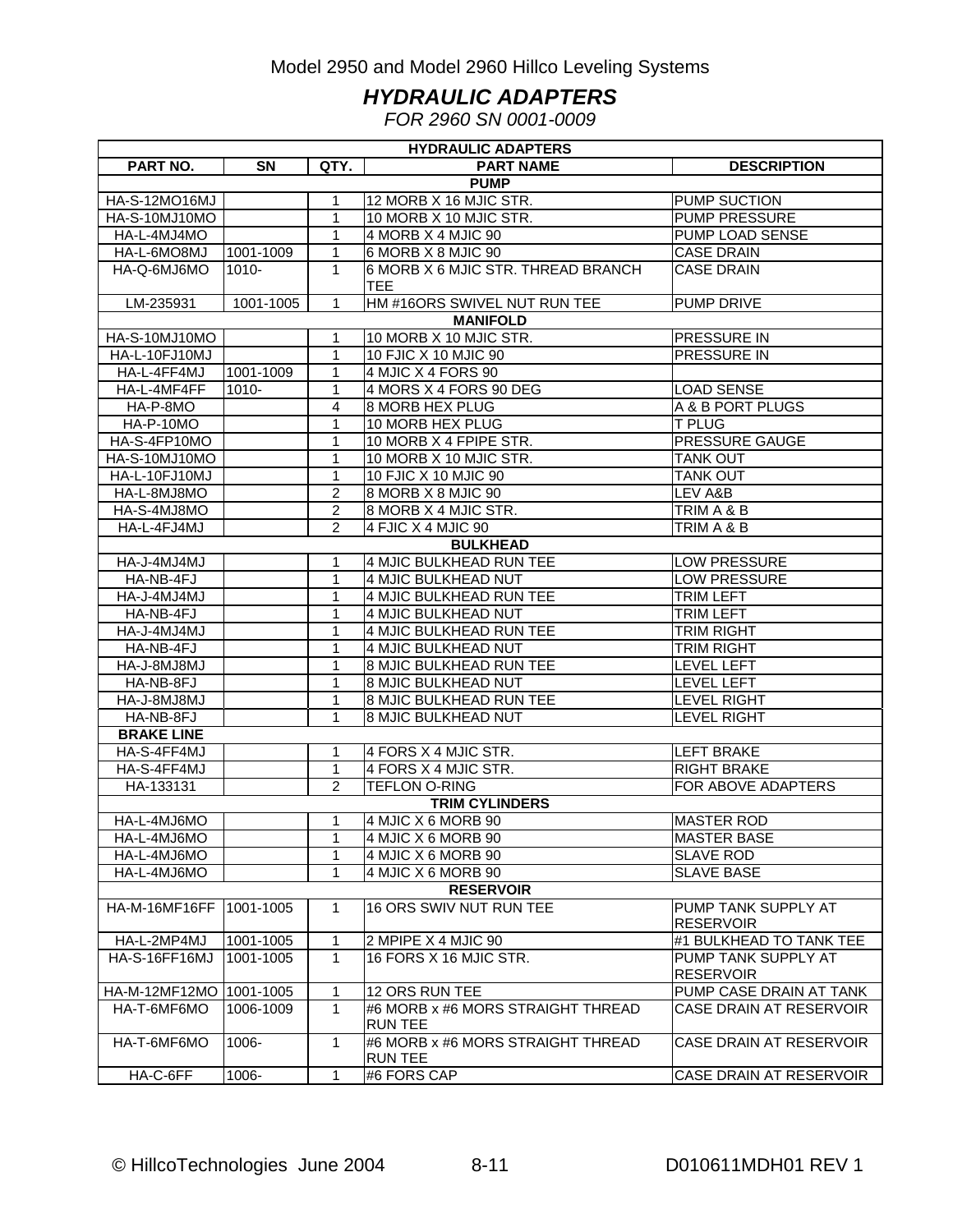#### *HYDRAULIC ADAPTERS*

*FOR 2960 SN 0001-0009*

| <b>HYDRAULIC ADAPTERS</b> |           |                |                                                     |                                         |  |  |  |  |
|---------------------------|-----------|----------------|-----------------------------------------------------|-----------------------------------------|--|--|--|--|
| <b>PART NO.</b>           | <b>SN</b> | QTY.           | <b>PART NAME</b>                                    | <b>DESCRIPTION</b>                      |  |  |  |  |
|                           |           |                | <b>PUMP</b>                                         |                                         |  |  |  |  |
| HA-S-12MO16MJ             |           | 1              | 12 MORB X 16 MJIC STR.                              | PUMP SUCTION                            |  |  |  |  |
| HA-S-10MJ10MO             |           | 1              | 10 MORB X 10 MJIC STR.                              | PUMP PRESSURE                           |  |  |  |  |
| HA-L-4MJ4MO               |           | 1              | 4 MORB X 4 MJIC 90                                  | PUMP LOAD SENSE                         |  |  |  |  |
| HA-L-6MO8MJ               | 1001-1009 | 1              | 6 MORB X 8 MJIC 90                                  | <b>CASE DRAIN</b>                       |  |  |  |  |
| HA-Q-6MJ6MO               | 1010-     | 1              | 6 MORB X 6 MJIC STR. THREAD BRANCH<br>TEE.          | <b>CASE DRAIN</b>                       |  |  |  |  |
| LM-235931                 | 1001-1005 | $\mathbf{1}$   | HM #16ORS SWIVEL NUT RUN TEE                        | PUMP DRIVE                              |  |  |  |  |
|                           |           |                | <b>MANIFOLD</b>                                     |                                         |  |  |  |  |
| HA-S-10MJ10MO             |           | 1              | 10 MORB X 10 MJIC STR.                              | PRESSURE IN                             |  |  |  |  |
| HA-L-10FJ10MJ             |           | 1              | 10 FJIC X 10 MJIC 90                                | <b>PRESSURE IN</b>                      |  |  |  |  |
| HA-L-4FF4MJ               | 1001-1009 | 1              | 4 MJIC X 4 FORS 90                                  |                                         |  |  |  |  |
| HA-L-4MF4FF               | 1010-     | 1              | 4 MORS X 4 FORS 90 DEG                              | <b>LOAD SENSE</b>                       |  |  |  |  |
| HA-P-8MO                  |           | 4              | <b>8 MORB HEX PLUG</b>                              | A & B PORT PLUGS                        |  |  |  |  |
| HA-P-10MO                 |           | 1              | 10 MORB HEX PLUG                                    | <b>T PLUG</b>                           |  |  |  |  |
| HA-S-4FP10MO              |           | 1              | 10 MORB X 4 FPIPE STR.                              | PRESSURE GAUGE                          |  |  |  |  |
| HA-S-10MJ10MO             |           | 1              | 10 MORB X 10 MJIC STR.                              | <b>TANK OUT</b>                         |  |  |  |  |
| HA-L-10FJ10MJ             |           | 1              | 10 FJIC X 10 MJIC 90                                | <b>TANK OUT</b>                         |  |  |  |  |
| HA-L-8MJ8MO               |           | $\overline{2}$ | 8 MORB X 8 MJIC 90                                  | LEV A&B                                 |  |  |  |  |
| HA-S-4MJ8MO               |           | $\overline{2}$ | 8 MORB X 4 MJIC STR.                                | TRIM A & B                              |  |  |  |  |
| HA-L-4FJ4MJ               |           | $\overline{2}$ | 4 FJIC X 4 MJIC 90                                  | TRIM A & B                              |  |  |  |  |
|                           |           |                | <b>BULKHEAD</b>                                     |                                         |  |  |  |  |
| HA-J-4MJ4MJ               |           | 1              | 4 MJIC BULKHEAD RUN TEE                             | LOW PRESSURE                            |  |  |  |  |
| HA-NB-4FJ                 |           | 1              | 4 MJIC BULKHEAD NUT                                 | <b>LOW PRESSURE</b>                     |  |  |  |  |
| HA-J-4MJ4MJ               |           | 1              | 4 MJIC BULKHEAD RUN TEE                             | <b>TRIM LEFT</b>                        |  |  |  |  |
| HA-NB-4FJ                 |           | 1              | 4 MJIC BULKHEAD NUT                                 | <b>TRIM LEFT</b>                        |  |  |  |  |
| HA-J-4MJ4MJ               |           | 1              | 4 MJIC BULKHEAD RUN TEE                             | <b>TRIM RIGHT</b>                       |  |  |  |  |
| HA-NB-4FJ                 |           | 1              | 4 MJIC BULKHEAD NUT                                 | <b>TRIM RIGHT</b>                       |  |  |  |  |
| HA-J-8MJ8MJ               |           | 1              | 8 MJIC BULKHEAD RUN TEE                             | <b>LEVEL LEFT</b>                       |  |  |  |  |
| HA-NB-8FJ                 |           | 1              | 8 MJIC BULKHEAD NUT                                 | <b>LEVEL LEFT</b>                       |  |  |  |  |
| LM8LM8-U-AH               |           | 1              | 8 MJIC BULKHEAD RUN TEE                             | <b>LEVEL RIGHT</b>                      |  |  |  |  |
| HA-NB-8FJ                 |           | 1              | 8 MJIC BULKHEAD NUT                                 | <b>LEVEL RIGHT</b>                      |  |  |  |  |
| <b>BRAKE LINE</b>         |           |                |                                                     |                                         |  |  |  |  |
| HA-S-4FF4MJ               |           | 1.             | 4 FORS X 4 MJIC STR.                                | <b>LEFT BRAKE</b>                       |  |  |  |  |
| HA-S-4FF4MJ               |           | 1              | 4 FORS X 4 MJIC STR.                                | RIGHT BRAKE                             |  |  |  |  |
| HA-133131                 |           | 2              | <b>TEFLON O-RING</b>                                | FOR ABOVE ADAPTERS                      |  |  |  |  |
|                           |           |                | <b>TRIM CYLINDERS</b>                               |                                         |  |  |  |  |
| HA-L-4MJ6MO               |           | 1.             | 4 MJIC X 6 MORB 90                                  | <b>MASTER ROD</b>                       |  |  |  |  |
| HA-L-4MJ6MO               |           | $\overline{1}$ | 4 MJIC X 6 MORB 90                                  | <b>MASTER BASE</b>                      |  |  |  |  |
| HA-L-4MJ6MO               |           | 1              | 4 MJIC X 6 MORB 90                                  | <b>SLAVE ROD</b>                        |  |  |  |  |
| HA-L-4MJ6MO               |           | 1              | 4 MJIC X 6 MORB 90                                  | <b>SLAVE BASE</b>                       |  |  |  |  |
|                           |           |                | <b>RESERVOIR</b>                                    |                                         |  |  |  |  |
| HA-M-16MF16FF             | 1001-1005 | 1              | 16 ORS SWIV NUT RUN TEE                             | PUMP TANK SUPPLY AT<br><b>RESERVOIR</b> |  |  |  |  |
| HA-L-2MP4MJ               | 1001-1005 | 1              | 2 MPIPE X 4 MJIC 90                                 | #1 BULKHEAD TO TANK TEE                 |  |  |  |  |
| HA-S-16FF16MJ             | 1001-1005 | $\mathbf{1}$   | 16 FORS X 16 MJIC STR.                              | PUMP TANK SUPPLY AT<br><b>RESERVOIR</b> |  |  |  |  |
| HA-M-12MF12MO   1001-1005 |           | 1              | 12 ORS RUN TEE                                      | PUMP CASE DRAIN AT TANK                 |  |  |  |  |
| HA-T-6MF6MO               | 1006-1009 | 1              | #6 MORB x #6 MORS STRAIGHT THREAD<br><b>RUN TEE</b> | CASE DRAIN AT RESERVOIR                 |  |  |  |  |
| HA-T-6MF6MO               | 1006-     | 1              | #6 MORB x #6 MORS STRAIGHT THREAD<br><b>RUN TEE</b> | CASE DRAIN AT RESERVOIR                 |  |  |  |  |
| HA-C-6FF                  | 1006-     | 1              | #6 FORS CAP                                         | CASE DRAIN AT RESERVOIR                 |  |  |  |  |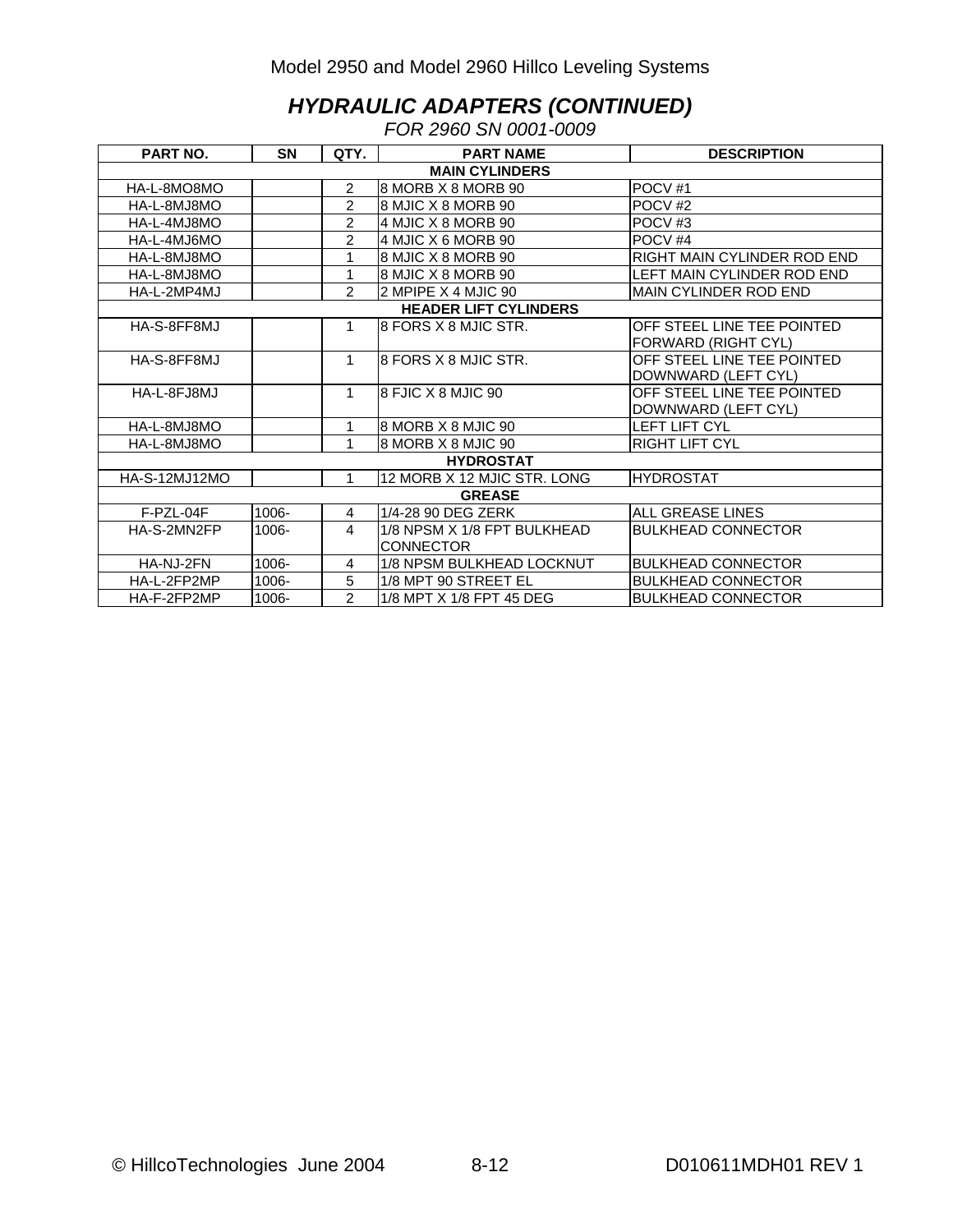#### *HYDRAULIC ADAPTERS (CONTINUED)*

*FOR 2960 SN 0001-0009* 

| PART NO.             | <b>SN</b>             | QTY.           | <b>PART NAME</b>             | <b>DESCRIPTION</b>           |  |  |  |  |  |
|----------------------|-----------------------|----------------|------------------------------|------------------------------|--|--|--|--|--|
|                      | <b>MAIN CYLINDERS</b> |                |                              |                              |  |  |  |  |  |
| HA-L-8MO8MO          |                       | $\mathcal{P}$  | I8 MORB X 8 MORB 90          | POCV <sub>#1</sub>           |  |  |  |  |  |
| HA-L-8MJ8MO          |                       | $\overline{2}$ | 8 MJIC X 8 MORB 90           | POCV <sub>#2</sub>           |  |  |  |  |  |
| HA-L-4MJ8MO          |                       | $\overline{2}$ | 4 MJIC X 8 MORB 90           | POCV <sub>#3</sub>           |  |  |  |  |  |
| HA-L-4MJ6MO          |                       | $\overline{2}$ | 4 MJIC X 6 MORB 90           | POCV <sub>#4</sub>           |  |  |  |  |  |
| HA-L-8MJ8MO          |                       | 1              | 8 MJIC X 8 MORB 90           | RIGHT MAIN CYLINDER ROD END  |  |  |  |  |  |
| HA-L-8MJ8MO          |                       | 1              | 8 MJIC X 8 MORB 90           | LEFT MAIN CYLINDER ROD END   |  |  |  |  |  |
| HA-L-2MP4MJ          |                       | $\mathcal{P}$  | 2 MPIPE X 4 MJIC 90          | <b>MAIN CYLINDER ROD END</b> |  |  |  |  |  |
|                      |                       |                | <b>HEADER LIFT CYLINDERS</b> |                              |  |  |  |  |  |
| HA-S-8FF8MJ          |                       | 1              | 8 FORS X 8 MJIC STR.         | OFF STEEL LINE TEE POINTED   |  |  |  |  |  |
|                      |                       |                |                              | FORWARD (RIGHT CYL)          |  |  |  |  |  |
| HA-S-8FF8MJ          |                       | 1              | 8 FORS X 8 MJIC STR.         | OFF STEEL LINE TEE POINTED   |  |  |  |  |  |
|                      |                       |                |                              | DOWNWARD (LEFT CYL)          |  |  |  |  |  |
| HA-L-8FJ8MJ          |                       | $\mathbf{1}$   | 8 FJIC X 8 MJIC 90           | OFF STEEL LINE TEE POINTED   |  |  |  |  |  |
|                      |                       |                |                              | DOWNWARD (LEFT CYL)          |  |  |  |  |  |
| HA-L-8MJ8MO          |                       | 1              | 8 MORB X 8 MJIC 90           | <b>LEFT LIFT CYL</b>         |  |  |  |  |  |
| HA-L-8MJ8MO          |                       | 1              | 8 MORB X 8 MJIC 90           | <b>RIGHT LIFT CYL</b>        |  |  |  |  |  |
|                      |                       |                | <b>HYDROSTAT</b>             |                              |  |  |  |  |  |
| <b>HA-S-12MJ12MO</b> |                       | 1              | 12 MORB X 12 MJIC STR, LONG  | <b>HYDROSTAT</b>             |  |  |  |  |  |
|                      |                       |                | <b>GREASE</b>                |                              |  |  |  |  |  |
| F-PZL-04F            | 1006-                 | 4              | 1/4-28 90 DEG ZERK           | <b>ALL GREASE LINES</b>      |  |  |  |  |  |
| HA-S-2MN2FP          | 1006-                 | 4              | 1/8 NPSM X 1/8 FPT BULKHEAD  | <b>BULKHEAD CONNECTOR</b>    |  |  |  |  |  |
|                      |                       |                | <b>CONNECTOR</b>             |                              |  |  |  |  |  |
| HA-NJ-2FN            | 1006-                 | 4              | 1/8 NPSM BULKHEAD LOCKNUT    | <b>BULKHEAD CONNECTOR</b>    |  |  |  |  |  |
| HA-L-2FP2MP          | 1006-                 | 5              | 1/8 MPT 90 STREET EL         | <b>BULKHEAD CONNECTOR</b>    |  |  |  |  |  |
| HA-F-2FP2MP          | 1006-                 | $\mathcal{P}$  | 1/8 MPT X 1/8 FPT 45 DEG     | <b>BULKHEAD CONNECTOR</b>    |  |  |  |  |  |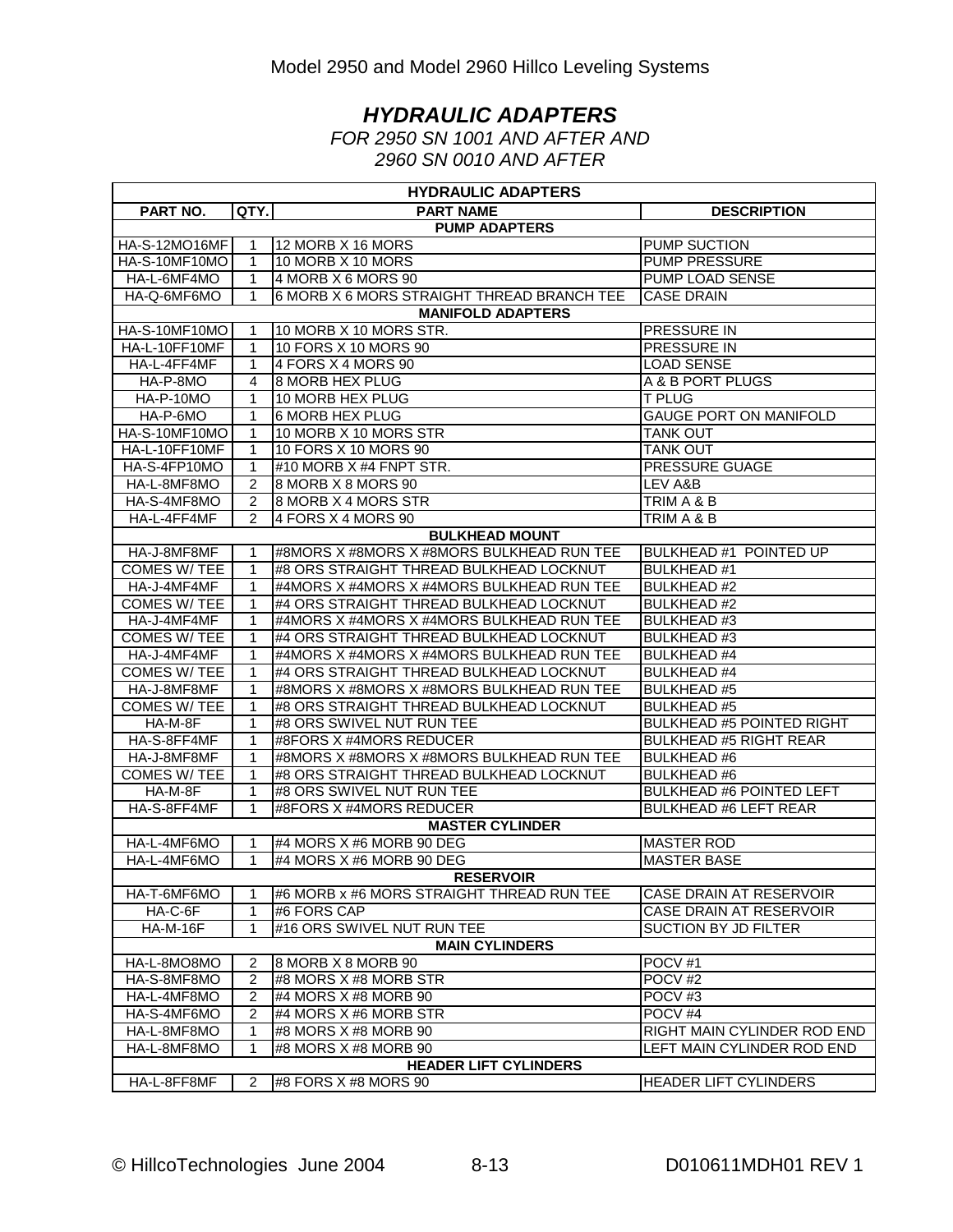### *HYDRAULIC ADAPTERS*

*FOR 2950 SN 1001 AND AFTER AND 2960 SN 0010 AND AFTER*

| <b>HYDRAULIC ADAPTERS</b> |                |                                            |                                  |  |  |  |  |
|---------------------------|----------------|--------------------------------------------|----------------------------------|--|--|--|--|
| PART NO.                  | QTY.           | <b>PART NAME</b>                           | <b>DESCRIPTION</b>               |  |  |  |  |
|                           |                | <b>PUMP ADAPTERS</b>                       |                                  |  |  |  |  |
| HA-S-12MO16MF             |                | 12 MORB X 16 MORS                          | PUMP SUCTION                     |  |  |  |  |
| HA-S-10MF10MO             | 1              | 10 MORB X 10 MORS                          | <b>PUMP PRESSURE</b>             |  |  |  |  |
| HA-L-6MF4MO               | 1              | 4 MORB X 6 MORS 90                         | PUMP LOAD SENSE                  |  |  |  |  |
| HA-Q-6MF6MO               | 1              | 6 MORB X 6 MORS STRAIGHT THREAD BRANCH TEE | <b>CASE DRAIN</b>                |  |  |  |  |
|                           |                | <b>MANIFOLD ADAPTERS</b>                   |                                  |  |  |  |  |
| HA-S-10MF10MO             | 1              | 10 MORB X 10 MORS STR.                     | <b>PRESSURE IN</b>               |  |  |  |  |
| HA-L-10FF10MF             | 1              | 10 FORS X 10 MORS 90                       | PRESSURE IN                      |  |  |  |  |
| HA-L-4FF4MF               | 1              | 4 FORS X 4 MORS 90                         | <b>LOAD SENSE</b>                |  |  |  |  |
| HA-P-8MO                  | 4              | <b>8 MORB HEX PLUG</b>                     | A & B PORT PLUGS                 |  |  |  |  |
| HA-P-10MO                 | 1              | 10 MORB HEX PLUG                           | <b>T PLUG</b>                    |  |  |  |  |
| HA-P-6MO                  | 1              | 6 MORB HEX PLUG                            | <b>GAUGE PORT ON MANIFOLD</b>    |  |  |  |  |
| HA-S-10MF10MO             | 1              | 10 MORB X 10 MORS STR                      | <b>TANK OUT</b>                  |  |  |  |  |
| HA-L-10FF10MF             | 1              | 10 FORS X 10 MORS 90                       | <b>TANK OUT</b>                  |  |  |  |  |
| HA-S-4FP10MO              | 1              | #10 MORB X #4 FNPT STR.                    | PRESSURE GUAGE                   |  |  |  |  |
| HA-L-8MF8MO               | 2              | 8 MORB X 8 MORS 90                         | LEV A&B                          |  |  |  |  |
| HA-S-4MF8MO               | $\overline{2}$ | 8 MORB X 4 MORS STR                        | TRIM A & B                       |  |  |  |  |
| HA-L-4FF4MF               | $\mathcal{P}$  | 4 FORS X 4 MORS 90                         | TRIM A & B                       |  |  |  |  |
|                           |                | <b>BULKHEAD MOUNT</b>                      |                                  |  |  |  |  |
| HA-J-8MF8MF               | 1              | #8MORS X #8MORS X #8MORS BULKHEAD RUN TEE  | BULKHEAD #1 POINTED UP           |  |  |  |  |
| <b>COMES W/ TEE</b>       | 1              | #8 ORS STRAIGHT THREAD BULKHEAD LOCKNUT    | <b>BULKHEAD#1</b>                |  |  |  |  |
| HA-J-4MF4MF               | 1              | #4MORS X #4MORS X #4MORS BULKHEAD RUN TEE  | <b>BULKHEAD #2</b>               |  |  |  |  |
| <b>COMES W/ TEE</b>       | 1              | #4 ORS STRAIGHT THREAD BULKHEAD LOCKNUT    | <b>BULKHEAD#2</b>                |  |  |  |  |
| HA-J-4MF4MF               | 1              | #4MORS X #4MORS X #4MORS BULKHEAD RUN TEE  | <b>BULKHEAD#3</b>                |  |  |  |  |
| <b>COMES W/TEE</b>        | 1              | #4 ORS STRAIGHT THREAD BULKHEAD LOCKNUT    | <b>BULKHEAD #3</b>               |  |  |  |  |
| HA-J-4MF4MF               | 1              | #4MORS X #4MORS X #4MORS BULKHEAD RUN TEE  | <b>BULKHEAD #4</b>               |  |  |  |  |
| <b>COMES W/TEE</b>        | 1              | #4 ORS STRAIGHT THREAD BULKHEAD LOCKNUT    | <b>BULKHEAD #4</b>               |  |  |  |  |
| HA-J-8MF8MF               | 1              | #8MORS X #8MORS X #8MORS BULKHEAD RUN TEE  | <b>BULKHEAD#5</b>                |  |  |  |  |
| <b>COMES W/ TEE</b>       | 1              | #8 ORS STRAIGHT THREAD BULKHEAD LOCKNUT    | <b>BULKHEAD#5</b>                |  |  |  |  |
| HA-M-8F                   | 1              | #8 ORS SWIVEL NUT RUN TEE                  | <b>BULKHEAD #5 POINTED RIGHT</b> |  |  |  |  |
| HA-S-8FF4MF               | 1              | #8FORS X #4MORS REDUCER                    | <b>BULKHEAD #5 RIGHT REAR</b>    |  |  |  |  |
| HA-J-8MF8MF               | 1              | #8MORS X #8MORS X #8MORS BULKHEAD RUN TEE  | <b>BULKHEAD #6</b>               |  |  |  |  |
| <b>COMES W/ TEE</b>       | 1              | #8 ORS STRAIGHT THREAD BULKHEAD LOCKNUT    | <b>BULKHEAD#6</b>                |  |  |  |  |
| HA-M-8F                   | 1              | #8 ORS SWIVEL NUT RUN TEE                  | <b>BULKHEAD #6 POINTED LEFT</b>  |  |  |  |  |
| HA-S-8FF4MF               | 1              | #8FORS X #4MORS REDUCER                    | <b>BULKHEAD #6 LEFT REAR</b>     |  |  |  |  |
|                           |                | <b>MASTER CYLINDER</b>                     |                                  |  |  |  |  |
| HA-L-4MF6MO               |                | #4 MORS X #6 MORB 90 DEG                   | <b>MASTER ROD</b>                |  |  |  |  |
| HA-L-4MF6MO               | 1              | #4 MORS X #6 MORB 90 DEG                   | <b>MASTER BASE</b>               |  |  |  |  |
|                           |                | <b>RESERVOIR</b>                           |                                  |  |  |  |  |
| HA-T-6MF6MO               | 1              | #6 MORB x #6 MORS STRAIGHT THREAD RUN TEE  | CASE DRAIN AT RESERVOIR          |  |  |  |  |
| $HA-C-6F$                 | 1              | #6 FORS CAP                                | CASE DRAIN AT RESERVOIR          |  |  |  |  |
| <b>HA-M-16F</b>           | 1              | #16 ORS SWIVEL NUT RUN TEE                 | SUCTION BY JD FILTER             |  |  |  |  |
|                           |                | <b>MAIN CYLINDERS</b>                      |                                  |  |  |  |  |
| HA-L-8MO8MO               | 2              | 8 MORB X 8 MORB 90                         | POCV <sub>#1</sub>               |  |  |  |  |
| HA-S-8MF8MO               | 2              | #8 MORS X #8 MORB STR                      | POCV <sub>#2</sub>               |  |  |  |  |
| HA-L-4MF8MO               | 2              | #4 MORS X #8 MORB 90                       | POCV#3                           |  |  |  |  |
| HA-S-4MF6MO               | 2              | #4 MORS X #6 MORB STR                      | POCV <sub>#4</sub>               |  |  |  |  |
| HA-L-8MF8MO               | 1              | #8 MORS X #8 MORB 90                       | RIGHT MAIN CYLINDER ROD END      |  |  |  |  |
| HA-L-8MF8MO               | 1              | #8 MORS X #8 MORB 90                       | LEFT MAIN CYLINDER ROD END       |  |  |  |  |
|                           |                | <b>HEADER LIFT CYLINDERS</b>               |                                  |  |  |  |  |
| HA-L-8FF8MF               | 2              | #8 FORS $X$ #8 MORS 90                     | <b>HEADER LIFT CYLINDERS</b>     |  |  |  |  |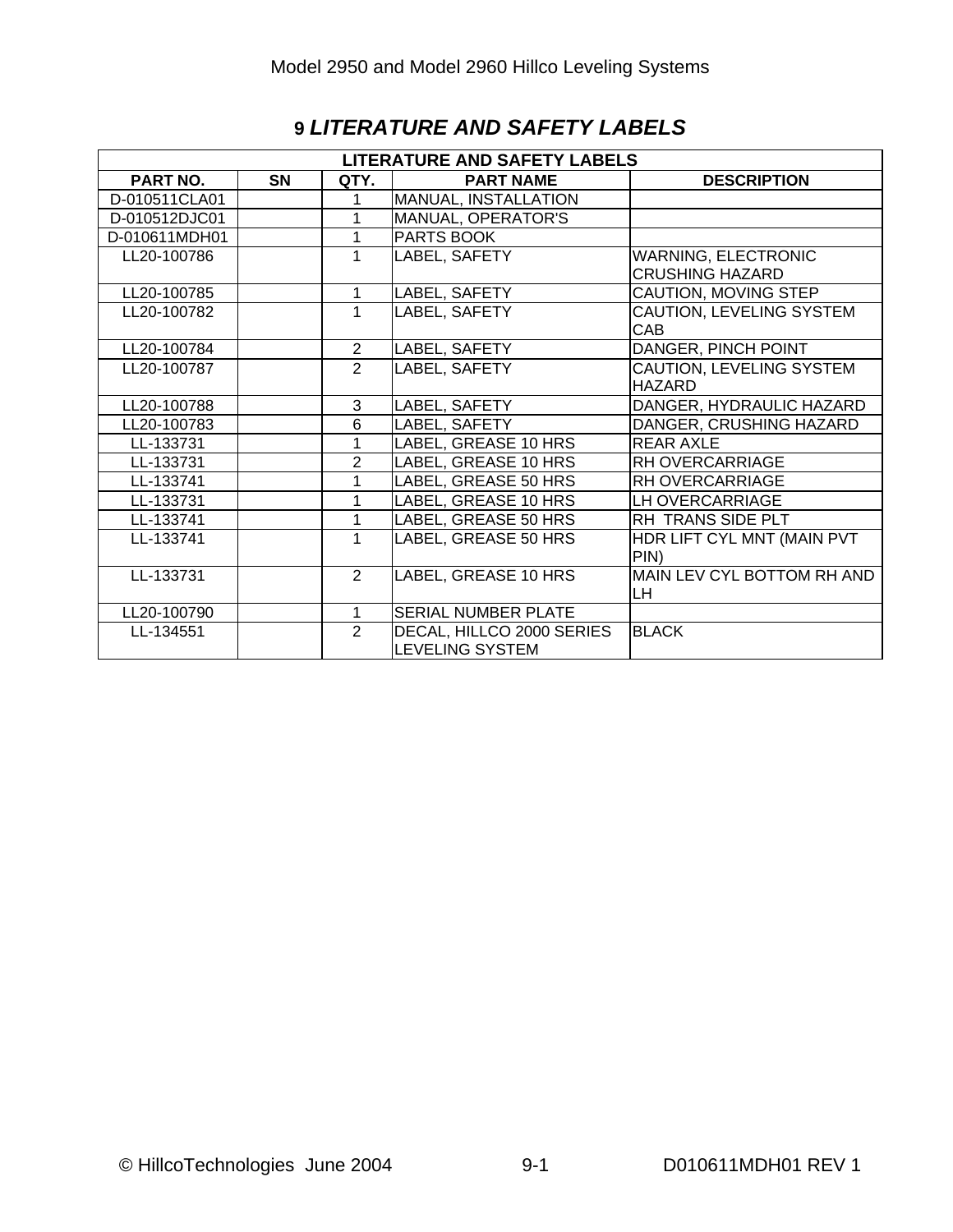| <b>LITERATURE AND SAFETY LABELS</b> |           |                |                           |                            |  |  |  |
|-------------------------------------|-----------|----------------|---------------------------|----------------------------|--|--|--|
| PART NO.                            | <b>SN</b> | QTY.           | <b>PART NAME</b>          | <b>DESCRIPTION</b>         |  |  |  |
| D-010511CLA01                       |           | 1              | MANUAL, INSTALLATION      |                            |  |  |  |
| D-010512DJC01                       |           | 1              | MANUAL, OPERATOR'S        |                            |  |  |  |
| D-010611MDH01                       |           | 1              | PARTS BOOK                |                            |  |  |  |
| LL20-100786                         |           | 1              | LABEL, SAFETY             | <b>WARNING, ELECTRONIC</b> |  |  |  |
|                                     |           |                |                           | <b>CRUSHING HAZARD</b>     |  |  |  |
| LL20-100785                         |           | 1              | LABEL, SAFETY             | CAUTION, MOVING STEP       |  |  |  |
| LL20-100782                         |           | 1              | LABEL, SAFETY             | CAUTION, LEVELING SYSTEM   |  |  |  |
|                                     |           |                |                           | <b>CAB</b>                 |  |  |  |
| LL20-100784                         |           | $\overline{2}$ | LABEL, SAFETY             | DANGER, PINCH POINT        |  |  |  |
| LL20-100787                         |           | $\overline{2}$ | LABEL, SAFETY             | CAUTION, LEVELING SYSTEM   |  |  |  |
|                                     |           |                |                           | <b>HAZARD</b>              |  |  |  |
| LL20-100788                         |           | 3              | LABEL, SAFETY             | DANGER, HYDRAULIC HAZARD   |  |  |  |
| LL20-100783                         |           | 6              | LABEL, SAFETY             | DANGER, CRUSHING HAZARD    |  |  |  |
| LL-133731                           |           | 1              | LABEL, GREASE 10 HRS      | <b>REAR AXLE</b>           |  |  |  |
| LL-133731                           |           | $\overline{2}$ | LABEL, GREASE 10 HRS      | <b>RH OVERCARRIAGE</b>     |  |  |  |
| LL-133741                           |           |                | LABEL, GREASE 50 HRS      | <b>RH OVERCARRIAGE</b>     |  |  |  |
| LL-133731                           |           | 1              | LABEL, GREASE 10 HRS      | LH OVERCARRIAGE            |  |  |  |
| LL-133741                           |           | 1              | LABEL, GREASE 50 HRS      | RH TRANS SIDE PLT          |  |  |  |
| LL-133741                           |           | $\mathbf 1$    | LABEL, GREASE 50 HRS      | HDR LIFT CYL MNT (MAIN PVT |  |  |  |
|                                     |           |                |                           | PIN)                       |  |  |  |
| LL-133731                           |           | 2              | LABEL, GREASE 10 HRS      | MAIN LEV CYL BOTTOM RH AND |  |  |  |
|                                     |           |                |                           | LH.                        |  |  |  |
| LL20-100790                         |           | 1              | SERIAL NUMBER PLATE       |                            |  |  |  |
| LL-134551                           |           | $\overline{2}$ | DECAL, HILLCO 2000 SERIES | <b>BLACK</b>               |  |  |  |
|                                     |           |                | LEVELING SYSTEM           |                            |  |  |  |

### **9** *LITERATURE AND SAFETY LABELS*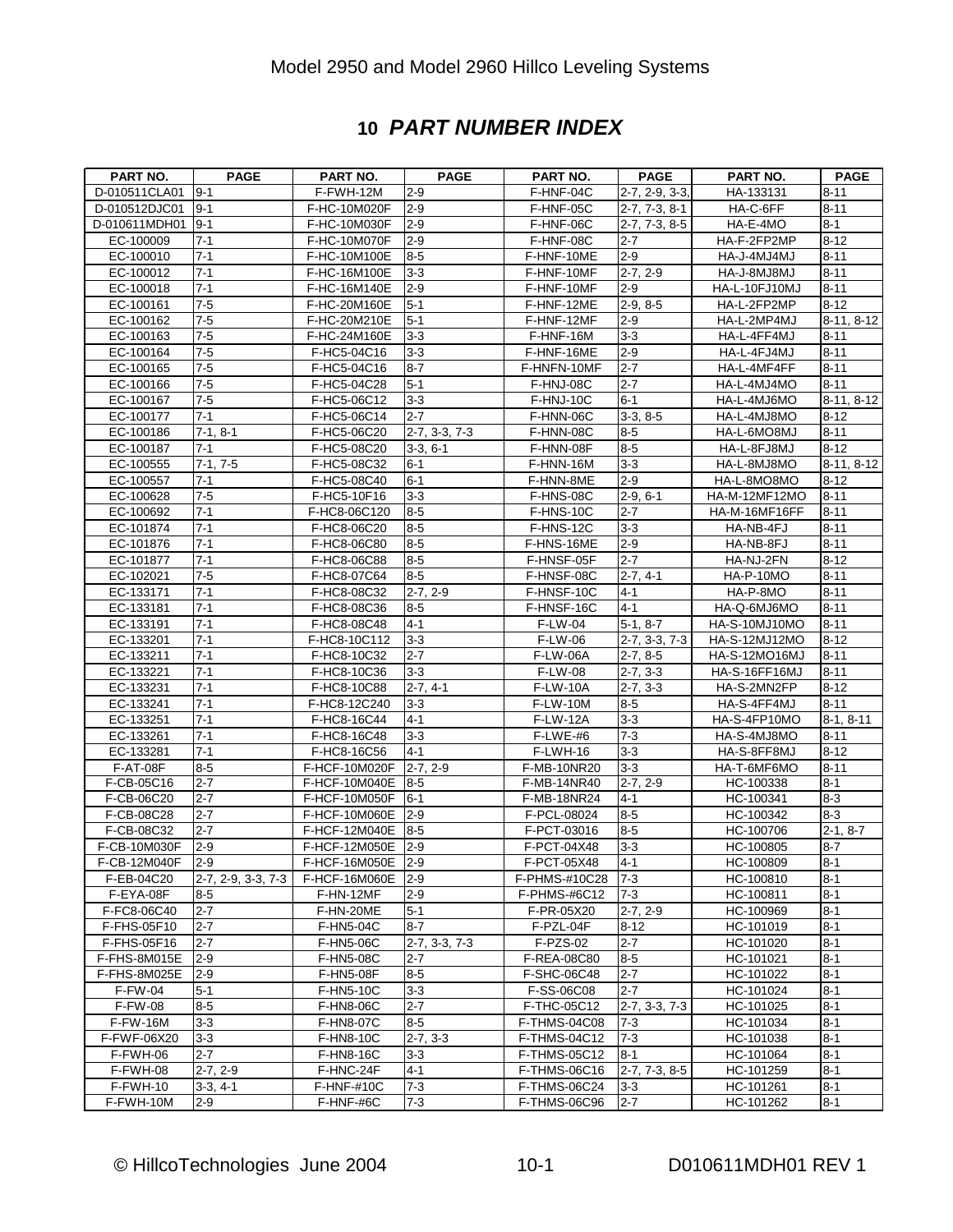#### **10** *PART NUMBER INDEX*

| <b>PART NO.</b> | <b>PAGE</b>        | PART NO.                       | <b>PAGE</b>           | PART NO.                   | <b>PAGE</b>            | <b>PART NO.</b> | <b>PAGE</b> |
|-----------------|--------------------|--------------------------------|-----------------------|----------------------------|------------------------|-----------------|-------------|
| D-010511CLA01   | $9 - 1$            | F-FWH-12M                      | $2 - 9$               | F-HNF-04C                  | $2 - 7, 2 - 9, 3 - 3,$ | HA-133131       | $8 - 11$    |
| D-010512DJC01   | $9 - 1$            | F-HC-10M020F                   | $2 - 9$               | $F-HNF-05C$                | $2 - 7, 7 - 3, 8 - 1$  | HA-C-6FF        | $8 - 11$    |
| D-010611MDH01   | $9 - 1$            | F-HC-10M030F                   | $2 - 9$               | F-HNF-06C                  | $2-7, 7-3, 8-5$        | HA-E-4MO        | $8 - 1$     |
| EC-100009       | $7 - 1$            | F-HC-10M070F                   | $2 - 9$               | F-HNF-08C                  | $2 - 7$                | HA-F-2FP2MP     | $8 - 12$    |
| EC-100010       | $7 - 1$            | F-HC-10M100E                   | $8-5$                 | F-HNF-10ME                 | $2 - 9$                | HA-J-4MJ4MJ     | $8 - 11$    |
| EC-100012       | $7 - 1$            | F-HC-16M100E                   | $3 - 3$               | F-HNF-10MF                 | $2-7, 2-9$             | HA-J-8MJ8MJ     | $8 - 11$    |
| EC-100018       | $7 - 1$            | F-HC-16M140E                   | $2 - 9$               | F-HNF-10MF                 | $2 - 9$                | HA-L-10FJ10MJ   | $8 - 11$    |
| EC-100161       | $7-5$              | F-HC-20M160E                   | $5 - 1$               | F-HNF-12ME                 | $2-9, 8-5$             | HA-L-2FP2MP     | $8 - 12$    |
| EC-100162       | $7-5$              | F-HC-20M210E                   | $5 - 1$               | F-HNF-12MF                 | $2 - 9$                | HA-L-2MP4MJ     | 8-11, 8-12  |
| EC-100163       | $7-5$              | F-HC-24M160E                   | $3 - 3$               | F-HNF-16M                  | $3 - 3$                | HA-L-4FF4MJ     | $8 - 11$    |
| EC-100164       | $7 - 5$            | F-HC5-04C16                    | $3 - 3$               | F-HNF-16ME                 | $2 - 9$                | HA-L-4FJ4MJ     | $8 - 11$    |
| EC-100165       | $7 - 5$            | F-HC5-04C16                    | $8 - 7$               | F-HNFN-10MF                | $2 - 7$                | HA-L-4MF4FF     | $8 - 11$    |
| EC-100166       | $7 - 5$            | F-HC5-04C28                    | $5 - 1$               | F-HNJ-08C                  | $2 - 7$                | HA-L-4MJ4MO     | $8 - 11$    |
| EC-100167       | $7-5$              | F-HC5-06C12                    | $3 - 3$               | F-HNJ-10C                  | $6 - 1$                | HA-L-4MJ6MO     | 8-11, 8-12  |
| EC-100177       | $7 - 1$            | F-HC5-06C14                    | $2 - 7$               | F-HNN-06C                  | $3-3, 8-5$             | HA-L-4MJ8MO     | $8 - 12$    |
| EC-100186       | $7-1, 8-1$         | F-HC5-06C20                    | $2-7, 3-3, 7-3$       | F-HNN-08C                  | $8-5$                  | HA-L-6MO8MJ     | $8 - 11$    |
| EC-100187       | $7 - 1$            | F-HC5-08C20                    | 3-3, 6-1              | F-HNN-08F                  | $8-5$                  | HA-L-8FJ8MJ     | $8 - 12$    |
| EC-100555       | $7-1, 7-5$         | F-HC5-08C32                    | $6 - 1$               | F-HNN-16M                  | $3-3$                  | HA-L-8MJ8MO     | 8-11, 8-12  |
| EC-100557       | $7 - 1$            | F-HC5-08C40                    | $6 - 1$               | F-HNN-8ME                  | $2 - 9$                | HA-L-8MO8MO     | $8 - 12$    |
| EC-100628       | $7 - 5$            | F-HC5-10F16                    | $3 - 3$               | F-HNS-08C                  | $2-9, 6-1$             | HA-M-12MF12MO   | $8 - 11$    |
| EC-100692       | $7 - 1$            | F-HC8-06C120                   | $8-5$                 | F-HNS-10C                  | $2 - 7$                | HA-M-16MF16FF   | $8 - 11$    |
| EC-101874       | $7 - 1$            | F-HC8-06C20                    | $8 - 5$               | $F-HNS-12C$                | $3-3$                  | HA-NB-4FJ       | $8 - 11$    |
| EC-101876       | $7 - 1$            | F-HC8-06C80                    | $8-5$                 | F-HNS-16ME                 | $2 - 9$                | HA-NB-8FJ       | $8 - 11$    |
| EC-101877       | $7 - 1$            | F-HC8-06C88                    | $8 - 5$               | F-HNSF-05F                 | $2 - 7$                | HA-NJ-2FN       | $8 - 12$    |
| EC-102021       | $7 - 5$            | F-HC8-07C64                    | $8-5$                 | F-HNSF-08C                 | $2-7, 4-1$             | HA-P-10MO       | $8 - 11$    |
| EC-133171       | $7 - 1$            | F-HC8-08C32                    | $2-7, 2-9$            | F-HNSF-10C                 | $4 - 1$                | HA-P-8MO        | $8 - 11$    |
|                 |                    |                                |                       |                            |                        |                 |             |
| EC-133181       | $7 - 1$<br>$7 - 1$ | F-HC8-08C36                    | $8 - 5$<br>$4 - 1$    | F-HNSF-16C                 | $4 - 1$                | HA-Q-6MJ6MO     | $8 - 11$    |
| EC-133191       | $7 - 1$            | F-HC8-08C48                    |                       | F-LW-04                    | $5-1, 8-7$             | HA-S-10MJ10MO   | $8 - 11$    |
| EC-133201       | $7 - 1$            | F-HC8-10C112                   | $3 - 3$<br>$2 - 7$    | F-LW-06                    | $2 - 7, 3 - 3, 7 - 3$  | HA-S-12MJ12MO   | $8 - 12$    |
| EC-133211       | $7 - 1$            | F-HC8-10C32                    |                       | <b>F-LW-06A</b>            | $2-7, 8-5$             | HA-S-12MO16MJ   | $8 - 11$    |
| EC-133221       |                    | F-HC8-10C36                    | $3-3$                 | F-LW-08                    | $2-7, 3-3$             | HA-S-16FF16MJ   | $8 - 11$    |
| EC-133231       | $7 - 1$            | F-HC8-10C88                    | $2-7, 4-1$            | <b>F-LW-10A</b>            | $2-7, 3-3$             | HA-S-2MN2FP     | $8 - 12$    |
| EC-133241       | $7 - 1$            | F-HC8-12C240                   | $3-3$                 | <b>F-LW-10M</b>            | $8-5$                  | HA-S-4FF4MJ     | $8 - 11$    |
| EC-133251       | $7 - 1$            | F-HC8-16C44                    | $4 - 1$               | <b>F-LW-12A</b>            | $3 - 3$                | HA-S-4FP10MO    | $8-1, 8-11$ |
| EC-133261       | $7 - 1$            | F-HC8-16C48                    | $3 - 3$               | $\overline{F}$ -LWE-#6     | $7 - 3$                | HA-S-4MJ8MO     | $8 - 11$    |
| EC-133281       | $7 - 1$            | F-HC8-16C56                    | $4 - 1$               | $F-LWH-16$                 | $3-3$                  | HA-S-8FF8MJ     | $8 - 12$    |
| F-AT-08F        | $8-5$              | F-HCF-10M020F                  | $2 - 7, 2 - 9$        | F-MB-10NR20                | $3-3$                  | HA-T-6MF6MO     | $8 - 11$    |
| F-CB-05C16      | $2 - 7$            | F-HCF-10M040E                  | $8 - 5$               | F-MB-14NR40                | $2 - 7, 2 - 9$         | HC-100338       | $8 - 1$     |
| F-CB-06C20      | $2 - 7$            | F-HCF-10M050F                  | $6 - 1$               | F-MB-18NR24<br>F-PCL-08024 | $4 - 1$                | HC-100341       | $8 - 3$     |
| F-CB-08C28      | $2 - 7$            | F-HCF-10M060E                  | $2-9$                 |                            | $8-5$                  | HC-100342       | $8 - 3$     |
| F-CB-08C32      | $2 - 7$            | F-HCF-12M040E<br>F-HCF-12M050E | $8 - 5$               | F-PCT-03016                | $8-5$                  | HC-100706       | $2-1, 8-7$  |
| F-CB-10M030F    | $2 - 9$            |                                | $2-9$                 | F-PCT-04X48<br>F-PCT-05X48 | $3 - 3$                | HC-100805       | $8 - 7$     |
| F-CB-12M040F    | 2-9                | F-HCF-16M050E 2-9              |                       |                            | $4 - 1$                | HC-100809       | $8 - 1$     |
| F-EB-04C20      | 2-7, 2-9, 3-3, 7-3 | F-HCF-16M060E                  | $2-9$                 | F-PHMS-#10C28              | $7 - 3$                | HC-100810       | $8 - 1$     |
| F-EYA-08F       | $8 - 5$            | F-HN-12MF                      | $2 - 9$               | F-PHMS-#6C12               | $7 - 3$                | HC-100811       | $8 - 1$     |
| F-FC8-06C40     | $2 - 7$            | F-HN-20ME                      | $5-1$                 | F-PR-05X20                 | $2-7, 2-9$             | HC-100969       | $8 - 1$     |
| F-FHS-05F10     | $2 - 7$            | F-HN5-04C                      | $8 - 7$               | F-PZL-04F                  | $8 - 12$               | HC-101019       | $8 - 1$     |
| F-FHS-05F16     | $2 - 7$            | F-HN5-06C                      | $2 - 7, 3 - 3, 7 - 3$ | F-PZS-02                   | $2 - 7$                | HC-101020       | $8 - 1$     |
| F-FHS-8M015E    | $2 - 9$            | <b>F-HN5-08C</b>               | $2 - 7$               | F-REA-08C80                | $8-5$                  | HC-101021       | $8 - 1$     |
| F-FHS-8M025E    | $2-9$              | <b>F-HN5-08F</b>               | $8-5$                 | F-SHC-06C48                | $2 - 7$                | HC-101022       | $8 - 1$     |
| <b>F-FW-04</b>  | $5 - 1$            | <b>F-HN5-10C</b>               | $3 - 3$               | F-SS-06C08                 | $2 - 7$                | HC-101024       | $8 - 1$     |
| <b>F-FW-08</b>  | $8-5$              | <b>F-HN8-06C</b>               | $2 - 7$               | F-THC-05C12                | $2 - 7, 3 - 3, 7 - 3$  | HC-101025       | $8 - 1$     |
| <b>F-FW-16M</b> | $3-3$              | F-HN8-07C                      | $8-5$                 | F-THMS-04C08               | $7 - 3$                | HC-101034       | $8 - 1$     |
| F-FWF-06X20     | $3 - 3$            | F-HN8-10C                      | $2-7, 3-3$            | F-THMS-04C12               | $7 - 3$                | HC-101038       | $8 - 1$     |
| F-FWH-06        | $2 - 7$            | F-HN8-16C                      | $3 - 3$               | F-THMS-05C12               | 8-1                    | HC-101064       | 8-1         |
| F-FWH-08        | $2-7, 2-9$         | F-HNC-24F                      | $4 - 1$               | F-THMS-06C16               | $2 - 7, 7 - 3, 8 - 5$  | HC-101259       | $8 - 1$     |
| F-FWH-10        | $3-3, 4-1$         | <b>F-HNF-#10C</b>              | $7 - 3$               | F-THMS-06C24               | $3-3$                  | HC-101261       | 8-1         |
| F-FWH-10M       | $2 - 9$            | F-HNF-#6C                      | $7 - 3$               | F-THMS-06C96               | $2 - 7$                | HC-101262       | 8-1         |